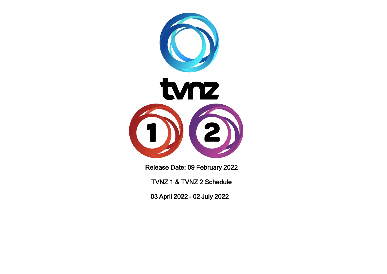

Release Date: 09 February 2022

TVNZ 1 & TVNZ 2 Schedule

03 April 2022 - 02 July 2022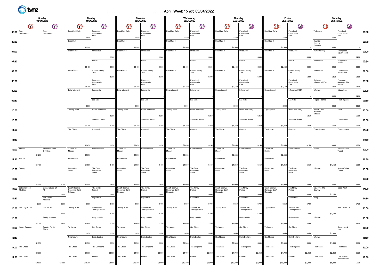# April: Week 15 w/c 03/04/2022

| Sunday<br>03/04/2022 |                                     |         |                            |                                 |                   | <b>Monday</b><br>04/04/2022     |         |                                 |          | Tuesday<br>05/04/2022           |         |                                 |          | Wednesday<br>06/04/2022         |         |                                 |          | <b>Thursday</b><br>07/04/2022       |         |                                 | Friday<br>08/04/2022 |                                 |         |                                     | Saturday<br>09/04/2022 |                                 |       |       |
|----------------------|-------------------------------------|---------|----------------------------|---------------------------------|-------------------|---------------------------------|---------|---------------------------------|----------|---------------------------------|---------|---------------------------------|----------|---------------------------------|---------|---------------------------------|----------|-------------------------------------|---------|---------------------------------|----------------------|---------------------------------|---------|-------------------------------------|------------------------|---------------------------------|-------|-------|
|                      | $\bigcirc$                          |         | $\bigcirc$                 |                                 | $\bm{\mathsf{O}}$ | $\bm{\mathsf{\odot}}$           |         | O                               |          | $\bm{\circ}$                    |         | $\bullet$                       |          | $\odot$                         |         | $\bm{\mathsf{O}}$               |          | $\odot$                             |         | $\bullet$                       |                      | $\odot$                         |         | $\bm{\mathsf{O}}$                   |                        | $\odot$                         |       |       |
| 06:00 $\vert$ Non    | Commercial                          |         | Non<br>Commercial          | <b>Breakfast Early</b>          | \$850             | Preschool<br>Commercial<br>Free |         | <b>Breakfast Early</b>          | \$850    | Preschool<br>Commercial<br>Free |         | <b>Breakfast Early</b>          | \$850    | Preschool<br>Commercial<br>Free |         | <b>Breakfast Early</b>          | \$850    | Preschool<br>Commercial<br>Free     |         | <b>Breakfast Early</b>          | \$850                | Preschool<br>Commercial<br>Free |         | Te Karere                           | \$450                  | Preschool<br>Commercial<br>Free |       | 06:00 |
| 06:30                |                                     |         |                            | Breakfast 1                     | \$1,500           |                                 |         | Breakfast 1                     | \$1,500  |                                 |         | Breakfast 1                     | \$1,500  |                                 |         | Breakfast 1                     | \$1,500  |                                     |         | Breakfast 1                     | \$1,500              |                                 |         | Hyundai<br>Country<br>Calendar      | \$450                  |                                 |       | 06:30 |
| 07:00                |                                     |         |                            | Breakfast 2                     |                   | Miraculous                      |         | Breakfast 2                     |          | Miraculous                      |         | Breakfast 2                     |          | Miraculous                      |         | Breakfast 2                     |          | Miraculous                          |         | Breakfast 2                     |                      | Miraculous                      |         | Rural Delivery                      |                        | Spongebob<br>Squarepants        |       | 07:00 |
| 07:30                |                                     |         |                            |                                 |                   | Ben 10                          | \$300   |                                 |          | Ben 10                          | \$300   |                                 |          | Ben 10                          | \$300   |                                 |          | Ben 10                              | \$300   |                                 |                      | Ben 10                          | \$300   | Infomercial                         | \$450                  | Dragon Ball                     | \$400 | 07:30 |
|                      |                                     |         |                            |                                 | \$2,450           |                                 | \$300   |                                 | \$2,450  |                                 | \$300   |                                 | \$2,450  |                                 | \$300   |                                 | \$2,450  |                                     | \$300   |                                 | \$2,450              |                                 | \$300   |                                     | \$250                  | Super                           | \$400 |       |
| 08:00                |                                     |         |                            | Breakfast 3                     |                   | Croods Family<br>ree            |         | Breakfast 3                     |          | Croods Family<br>Tree           |         | Breakfast 3                     |          | Croods Family<br>Tree           |         | Breakfast 3                     |          | Croods Family<br>Tree               |         | Breakfast 3                     |                      | Croods Family<br>Tree           |         | Infomercial                         |                        | The Dog and<br>Pony Show        |       | 08:00 |
| 08:30                |                                     |         |                            |                                 |                   | Preschool                       | \$300   |                                 |          | Preschool                       | \$300   |                                 |          | Preschool                       | \$300   |                                 |          | Preschool                           | \$300   |                                 |                      | Preschool                       | \$300   | Religious                           | \$250                  | Pokemon                         | \$400 | 08:30 |
|                      |                                     |         |                            |                                 | \$2,150           | Commercial<br>Free              |         |                                 | \$2,150  | Commercial<br>Free              |         |                                 | \$2,150  | Commercial<br>Free              |         |                                 | \$2,150  | Commercial<br>Free                  |         |                                 | \$2,150              | Commercial<br>Free              |         | Infomercial (FIA)                   | \$250                  | Journeys: The<br>Series         | \$400 |       |
| 09:00                |                                     |         |                            | Entertainment                   |                   | Infomercial                     |         | Entertainment                   |          | Infomercial                     |         | Entertainment                   |          | Infomercial                     |         | Entertainment                   |          | Infomercial                         |         | Entertainment                   |                      | Infomercial (GS)                |         | Lifestyle                           |                        | Miraculous                      |       | 09:00 |
| 09:30                |                                     |         |                            |                                 |                   | Les Mills                       |         |                                 |          | Les Mills                       |         |                                 |          | Les Mills                       |         |                                 |          | Les Mills                           |         |                                 |                      | Les Mills                       |         | Tagata Pasifika                     | \$350                  | The Simpsons                    | \$400 | 09:30 |
|                      |                                     |         |                            |                                 | \$900             |                                 |         |                                 | \$900    |                                 |         |                                 | \$900    |                                 |         |                                 | \$900    |                                     |         |                                 | \$900                |                                 |         |                                     | \$350                  |                                 | \$450 |       |
| 10:00                |                                     |         |                            | <b>Tipping Point</b>            |                   | Home and Away                   | \$250   | <b>Tipping Point</b>            |          | Home and Away                   | \$250   | <b>Tipping Point</b>            |          | Home and Away                   | \$250   | <b>Tipping Point</b>            |          | Home and Away                       | \$250   | <b>Tipping Point</b>            |                      | Home and Away                   | \$250   | John & Lisa's<br>Weekend<br>Kitchen |                        | Fresh                           | \$600 | 10:00 |
| 10:30                |                                     |         |                            |                                 |                   | Shortland Street                |         |                                 |          | Shortland Street                |         |                                 |          | Shortland Street                |         |                                 |          | Shortland Street                    |         |                                 |                      | Shortland Street                |         |                                     |                        | The Walkers                     |       | 10:30 |
| 11:00                |                                     |         |                            | The Chase                       | \$1,350           | Charmed                         | \$250   | The Chase                       | \$1,350  | Charmed                         | \$250   | The Chase                       | \$1,350  | Charmed                         | \$250   | The Chase                       | \$1,350  | Charmed                             | \$250   | The Chase                       | \$1,350              | Charmed                         | \$250   | Entertainment                       | \$550                  | Entertainment                   | \$600 | 11:00 |
|                      |                                     |         |                            |                                 |                   |                                 |         |                                 |          |                                 |         |                                 |          |                                 |         |                                 |          |                                     |         |                                 |                      |                                 |         |                                     |                        |                                 |       |       |
| 11:30                |                                     |         |                            |                                 |                   |                                 |         |                                 |          |                                 |         |                                 |          |                                 |         |                                 |          |                                     |         |                                 |                      |                                 |         |                                     |                        |                                 |       | 11:30 |
|                      | 12:00 Attitude                      |         | Shortland Street           | 1 News At                       | \$1,450           | Entertainment                   | \$250   | 1 News At                       | \$1,450  | Entertainment                   | \$250   | 1 News At                       | \$1,450  | Entertainment                   | \$250   | 1 News At                       | \$1,450  | Entertainment                       | \$250   | 1 News At                       | \$1,450              | Entertainment                   | \$250   | Drama                               | \$900                  | America's Got                   | \$550 | 12:00 |
|                      |                                     | \$1,200 | Omnibus                    | Midday                          | \$2,050           |                                 |         | Midday                          | \$2,050  |                                 |         | Midday                          | \$2,050  |                                 |         | Midday                          | \$2,050  |                                     |         | Midday                          | \$2,050              |                                 |         |                                     |                        | Talent                          |       |       |
|                      | 12:30 Fair Go                       |         |                            | Emmerdale                       |                   |                                 |         | Emmerdale                       |          |                                 |         | Emmerdale                       |          |                                 |         | Emmerdale                       |          |                                     |         | Emmerdale                       |                      |                                 |         |                                     |                        |                                 |       | 12:30 |
| 13:00                | Sunday                              | \$1,400 |                            | Coronation<br>Street            | \$1,850           | The Drew<br>Barrymore           | \$450   | Coronation<br>Street            | \$1,850  | The Drew<br>Barrymore           | \$450   | Coronation<br>Street            | \$1,850  | The Drew<br>Barrymore           | \$450   | Coronation<br>Street            | \$1,850  | The Drew<br>Barrymore               | \$450   | Coronation<br>Street            | \$1,850              | The Drew<br>Barrymore           | \$450   | Lifestyle                           | \$1,150                | America's Got<br>Talent         | \$600 | 13:00 |
|                      |                                     |         |                            |                                 |                   | Show                            |         |                                 |          | Show                            |         |                                 |          | Show                            |         |                                 |          | Show                                |         |                                 |                      | Show                            |         |                                     |                        |                                 |       |       |
| 13:30                |                                     | \$1,450 | \$750                      |                                 | \$1,000           |                                 | \$650   |                                 | \$1,000  |                                 | \$650   |                                 | \$1,000  |                                 | \$650   |                                 | \$1,000  |                                     | \$650   |                                 | \$1,000              |                                 | \$650   |                                     | \$800                  |                                 | \$650 | 13:30 |
| 14:00                | Extreme Food<br><sup>2</sup> hobics |         | United States Of           | Sarah Beeny's<br>Renovate Don't |                   | The Mindy<br>roject             |         | Sarah Beeny's<br>Renovate Don't |          | The Mindy<br>Project            |         | Sarah Beeny's<br>Renovate Don't |          | The Mindy<br>Project            |         | Sarah Beeny's<br>Renovate Don't |          | The Mindy<br>Project                |         | Sarah Beeny's<br>Renovate Don't |                      | The Mindy<br>Project            |         | Movin' To The<br>Country            |                        | Good Witch                      |       | 14:00 |
| 14:30                |                                     |         | \$800<br><b>Bob Hearts</b> | Relocate                        |                   | Superstore                      | \$800   | Relocate                        |          | Superstore                      | \$800   | Relocate                        |          | Superstore                      | \$800   | Relocate                        |          | Superstore                          | \$800   | Relocate                        |                      | Superstore                      | \$800   | Bling                               | \$1,150                |                                 |       | 14:30 |
|                      |                                     | \$900   | Abishola                   | \$900                           | \$650             |                                 | \$700   |                                 | \$650    |                                 | \$700   |                                 | \$650    |                                 | \$700   |                                 | \$650    |                                     | \$700   |                                 | \$650                |                                 | \$700   |                                     |                        |                                 | \$750 |       |
| 15:00                | The Dog House                       |         | Call Me Kat                | <b>Tipping Point</b>            |                   | Sabrina The<br>Teenage Witch    |         | <b>Tipping Point</b>            |          | Sabrina The<br>Teenage Witch    |         | <b>Tipping Point</b>            |          | Sabrina The<br>Teenage Witch    |         | <b>Tipping Point</b>            |          | Sabrina The<br><b>Teenage Witch</b> |         | <b>Tipping Point</b>            |                      | Sabrina The<br>Teenage Witch    |         |                                     |                        | Junior Bake Off                 |       | 15:00 |
| 15:30                |                                     |         | \$900<br>Punky Brewster    |                                 |                   | <b>Holly Hobbie</b>             | \$700   |                                 |          | <b>Holly Hobbie</b>             | \$700   |                                 |          | <b>Holly Hobbie</b>             | \$700   |                                 |          | <b>Holly Hobbie</b>                 | \$700   |                                 |                      | <b>Holly Hobbie</b>             | \$700   | Lifestyle                           | \$1,500                |                                 |       | 15:30 |
|                      |                                     | \$1,150 | \$900                      |                                 | \$1,600           |                                 | \$350   |                                 | \$1,600  |                                 | \$350   |                                 | \$1,600  |                                 | \$350   |                                 | \$1,600  |                                     |         |                                 | \$1,600              |                                 |         |                                     |                        |                                 | \$600 |       |
|                      | 16:00 Happy Campers                 |         | Sunday Family<br>Movie     | Te Karere                       |                   | Get Clever                      |         | Te Karere                       |          | Get Clever                      |         | Te Karere                       |          | Get Clever                      |         | Te Karere                       |          | Get Clever                          |         | Te Karere                       |                      | Get Clever                      |         |                                     |                        | Superman &<br>Lois              |       | 16:00 |
| 16:30                |                                     |         |                            | Neighbours                      | \$850             | <b>Brain Busters</b>            | \$350   | Neighbours                      | \$850    | <b>Brain Busters</b>            | \$350   | Neighbours                      | \$850    | <b>Brain Busters</b>            | \$350   | Neighbours                      | \$850    | <b>Brain Busters</b>                | \$350   | Neighbours                      | \$850                | <b>Brain Busters</b>            | \$350   | Lifestyle                           | \$1,600                |                                 |       | 16:30 |
|                      |                                     | \$1,650 |                            |                                 | \$1,300           |                                 | \$350   |                                 | \$1,300  |                                 | \$350   |                                 | \$1,300  |                                 | \$350   |                                 | \$1,300  |                                     | \$350   |                                 | \$1,300              |                                 | \$350   |                                     | \$1,600                |                                 | \$550 |       |
|                      | 17:00 The Chase                     | \$4,300 |                            | The Chase                       | \$4,700           | The Simpsons                    | \$2,050 | The Chase                       | \$4,700  | The Simpsons                    | \$2,050 | The Chase                       | \$4,700  | The Simpsons                    | \$2,050 | The Chase                       | \$4,700  | The Simpsons                        | \$2,050 | The Chase                       | \$4,700              | The Simpsons                    | \$2,050 | The Chase                           | \$2,850                | The Middle                      | \$550 | 17:00 |
|                      | 17:30 The Chase                     |         |                            | The Chase                       |                   | Friends                         |         | The Chase                       |          | Friends                         |         | The Chase                       |          | Friends                         |         | The Chase                       |          | Friends                             |         | The Chase                       |                      | Friends                         |         | The Chase                           |                        | That Animal<br>Rescue Show      |       | 17:30 |
|                      |                                     | \$9,800 | \$1,050                    |                                 | \$10,300          |                                 | \$3,000 |                                 | \$10,300 |                                 | \$3,000 |                                 | \$10,300 |                                 | \$3,000 |                                 | \$10,300 |                                     | \$3,000 |                                 | \$10,300             |                                 | \$3,000 |                                     | \$5,000                |                                 | \$550 |       |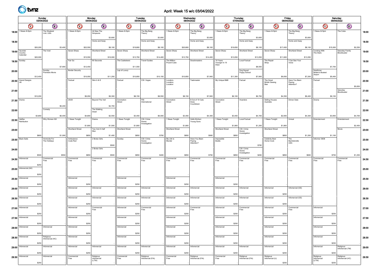# April: Week 15 w/c 03/04/2022

|                      |                                                            |          |                               |         |                         | Monday<br>04/04/2022 |                                   |          |                        |          | Tuesday<br>05/04/2022          |          |                                  |          | Wednesday<br>06/04/2022        |          |                             |          | Thursday<br>07/04/2022               |          |                                           | Friday<br>08/04/2022 |                                       |          |                                     | Saturday<br>09/04/2022 |                                |         |       |
|----------------------|------------------------------------------------------------|----------|-------------------------------|---------|-------------------------|----------------------|-----------------------------------|----------|------------------------|----------|--------------------------------|----------|----------------------------------|----------|--------------------------------|----------|-----------------------------|----------|--------------------------------------|----------|-------------------------------------------|----------------------|---------------------------------------|----------|-------------------------------------|------------------------|--------------------------------|---------|-------|
|                      | Sunday<br>03/04/2022<br>$\odot$<br>$\bm{\mathsf{O}}$       |          | $\bm{\mathsf{O}}$             |         | $\bm{\mathsf{\odot}}$   |                      | $\bm{\mathsf{O}}$                 |          | $\bigcirc$             |          | $\bullet$                      |          | $\bigcirc$                       |          | $\bigcirc$                     |          | $\odot$                     |          | $\bullet$                            |          | $\circledcirc$                            |                      | $\bigcirc$                            |          | $\odot$                             |                        |                                |         |       |
|                      | 18:00 <sup>1 News</sup> At 6pm<br>The Weakest<br>Link: USA |          | 1 News At 6pm                 |         | All New The<br>Simpsons |                      | 1 News At 6pm                     |          | The Big Bang<br>Theory |          | 1 News At 6pm                  |          | The Big Bang<br>Theory           |          | 1 News At 6pm                  |          | The Big Bang<br>Theory      |          | 1 News At 6pm                        |          | The Big Bang<br>Theory                    |                      | 1 News At 6pm                         |          | The Cube                            |                        | 18:00                          |         |       |
| 18:30                |                                                            |          |                               |         |                         |                      | Home and Away                     | \$3,600  |                        |          | Home and Away                  | \$3,600  |                                  |          | Home and Away                  | \$3,600  |                             |          | Home and Away                        | \$3,600  |                                           |                      | Home and Away                         | \$3,600  |                                     |                        |                                |         | 18:30 |
|                      |                                                            | \$20,200 |                               | \$3,400 |                         | \$22,550             |                                   | \$8,100  |                        | \$19,800 |                                | \$8,100  |                                  | \$20,800 |                                | \$8,100  |                             | \$19,650 |                                      | \$8,100  |                                           | \$17,450             |                                       | \$8,100  |                                     | \$15,000               |                                | \$2,250 |       |
|                      | $19:00$ Hyundai<br>Country<br>Calendar                     | \$20,000 | The Void                      |         | Seven Sharp             | \$15,550             | Shortland Street                  | \$16,000 | Seven Sharp            | \$13,750 | Shortland Street               | \$14,400 | Seven Sharp                      | \$13,750 | Shortland Street               | \$14,400 | Seven Sharp                 | \$13,050 | Shortland Street                     | \$13,050 | Seven Sharp                               | \$11,600             | Shortland Street                      | \$13,050 | Cooking With<br>The Stars           |                        | Saturday Family<br>Blockbuster |         | 19:00 |
| 19:30   Sunday       |                                                            |          |                               |         | Fair Go                 |                      | 60 Seconds                        |          | The Casketeers         |          | <b>Travel Guides</b>           |          | The Million<br>Pound Cube        |          | Snackmasters                   |          | 10 Years<br>Younger In 10   |          | Local Factual                        |          | The Repair<br>Shop                        |                      | I Can See Your<br>Voice               |          |                                     |                        |                                |         | 19:30 |
| 20:00                |                                                            |          | Sunday                        | \$7,900 | <b>Border Security</b>  | \$12,450             |                                   |          | Lap of Luxury          | \$11,550 |                                |          |                                  |          |                                |          | Days                        |          | Dog Squad<br>Puppy School            | \$8,550  |                                           |                      |                                       |          | Heathrow:                           | \$7,700                |                                |         | 20:00 |
|                      |                                                            | \$12,450 | Premiere Movie                |         |                         | \$10,050             |                                   | \$11,250 |                        | \$10,850 |                                | \$10,150 |                                  | \$10,850 |                                | \$7,900  |                             | \$11,300 |                                      | \$7,900  |                                           | \$9,050              |                                       | \$7,200  | <b>Britain's Busiest</b><br>Airport | \$5,400                |                                |         |       |
|                      | 20:30 Grand Designs<br><b>UK</b>                           |          |                               |         | Factual                 |                      | Skin A & E                        |          | Factual                |          | CSI: Vegas                     |          | Location<br>Location<br>Location |          | Taskmaster                     |          | My Unique B&B               |          | Factual                              |          | The Great<br><b>British Sewing</b><br>Bee |                      | Have You Been<br>Paying<br>Attention? |          | Factual                             |                        |                                |         | 20:30 |
| 21:00                |                                                            |          |                               |         |                         |                      |                                   |          |                        |          |                                |          |                                  |          |                                |          |                             |          |                                      |          |                                           |                      |                                       |          |                                     |                        | Saturday<br>Blockbuster        | \$5,650 | 21:00 |
|                      |                                                            | \$10,200 |                               |         | 20/20                   | \$9,050              |                                   | \$9,300  |                        | \$8,150  | FBI:                           | \$8,550  |                                  | \$8,150  | 8 Out of 10 Cats               | \$7,900  |                             | \$6,100  |                                      | \$6,750  |                                           | \$4,350              | Dinner Date                           | \$6,400  |                                     | \$6,100                |                                |         |       |
| 21:30 Drama          |                                                            |          |                               | \$6,400 |                         |                      | Beyond The Veil                   | \$4,700  | Coronation<br>Street   |          | International                  |          | Coronation<br>Street             |          | Does<br>Countdown              |          | Coronation<br>Street        |          | Hoarders                             |          | Selling Houses<br>Australia               |                      |                                       |          | Drama                               |                        |                                |         | 21:30 |
| 22:00                |                                                            |          | Comedy                        |         |                         |                      | The Walking<br>Dead               |          |                        |          |                                |          |                                  |          |                                |          |                             |          |                                      |          |                                           |                      |                                       |          |                                     |                        |                                |         | 22:00 |
| <b>22:30</b> Halifax |                                                            | \$3,850  | Why Women Kill                | \$6,400 | 1 News Tonight          | \$4,800              | Drama                             | \$2,550  | 1 News Tonight         | \$3,450  | CSI: Crime                     | \$6,000  | 1 News Tonight                   | \$3,450  | Hells Kitchen:                 | \$4,300  | 1 News Tonight              | \$3,450  | Local Factual                        | \$4,700  | 1 News Tonight                            | \$2,000              | Unreal                                | \$4,300  | Entertainment                       | \$3,950                | Entertainment                  | \$4,700 | 22:30 |
|                      | Retribution                                                |          |                               |         |                         | \$1,800              |                                   | \$1,500  |                        | \$1,800  | Scene<br>nvestigation          |          |                                  | \$1,800  | Young Guns                     |          |                             | \$1,800  |                                      | \$1,200  |                                           | \$1,800              |                                       |          |                                     |                        |                                | \$2,450 |       |
| 23:00                |                                                            |          |                               |         | Shortland Street        |                      | Two And A Half                    |          | Shortland Street       |          |                                |          | Shortland Street                 |          |                                |          | Shortland Street            |          | CSI: Crime<br>Scene<br>Investigation |          | Shortland Street                          |                      |                                       |          |                                     |                        | Movie                          |         | 23:00 |
|                      | $23:30$ Black Sails                                        | \$800    | Homicide For<br>The Holidays  | \$1,000 | Ambulance:<br>Code Red  | \$850                | 2 Broke Girls                     | \$1,400  | Sunday                 | \$850    | CSI: Crime<br>Scene            | \$750    | My Life Is<br>Murder             | \$850    | Have You Been<br>Paying        | \$900    | Impossible<br><b>Builds</b> | \$850    |                                      |          | Celebrity Best<br>Home Cook               | \$850                | The<br>Bachelorette                   | \$1,200  | Informer 3838                       | \$1,100                |                                |         | 23:30 |
|                      |                                                            |          |                               |         |                         |                      | 2 Broke Girls                     | \$500    |                        |          | Investigation                  |          |                                  |          | Attention?                     |          |                             |          | CSI: Crime                           | \$700    |                                           |                      | <b>USA</b>                            |          |                                     |                        |                                |         |       |
| 24:00                |                                                            | \$500    |                               | \$550   |                         | \$850                |                                   | \$500    |                        | \$850    |                                | \$400    |                                  | \$850    |                                | \$750    |                             | \$850    | Scene<br>nvestigation                | \$450    |                                           | \$850                |                                       | \$600    |                                     | \$750                  |                                | \$1,250 | 24:00 |
|                      | 24:30   Informercial                                       |          | Commercial<br>Free            |         | Commercial<br>Free      |                      | Commercial<br>Free                |          | Commercial<br>Free     |          | Commercial<br>Free             |          | Commercial<br>Free               |          | Commercial<br>Free             |          | Commercial<br>Free          |          | Commercial<br>Free                   |          | Commercial<br>Free                        |                      | Commercial<br>Free                    |          | Commercial<br>Free                  |                        | Commercial<br>Free             |         | 24:30 |
|                      | 25:00 Infomercial (AH)                                     | \$250    |                               |         |                         |                      |                                   |          |                        |          |                                |          |                                  |          |                                |          |                             |          |                                      |          |                                           |                      |                                       |          |                                     |                        |                                |         | 25:00 |
|                      |                                                            | \$250    |                               |         |                         |                      |                                   |          |                        |          |                                |          |                                  |          |                                |          |                             |          |                                      |          |                                           |                      |                                       |          |                                     |                        |                                |         |       |
|                      | 25:30   Informercial                                       |          |                               |         | Infomercial             |                      |                                   |          | Infomercial            |          |                                |          | Infomercial                      |          |                                |          | Infomercial                 |          |                                      |          |                                           |                      |                                       |          |                                     |                        |                                |         | 25:30 |
|                      | 26:00 Infomercial                                          | \$250    |                               |         | Infomercial             | \$250                | Infomercial                       |          | Infomercial            | \$250    | Infomercial                    |          | Infomercial                      | \$250    | Infomercial                    |          | Infomercial                 | \$250    | Infomercial                          |          | Infomercial                               |                      | Infomercial (GS)                      |          |                                     |                        |                                |         | 26:00 |
|                      | Infomercial                                                | \$250    |                               |         | Infomercial             | \$250                | Infomercial                       |          | Infomercial            | \$250    | Infomercial                    |          | Infomercial                      | \$250    | Infomercial                    |          | Infomercial                 | \$250    | Infomercial                          |          | Infomercial                               | \$250                | Infomercial (GS)                      |          |                                     |                        |                                |         |       |
| 26:30                |                                                            | \$250    |                               |         |                         | \$250                |                                   |          |                        | \$250    |                                |          |                                  | \$250    |                                |          |                             | \$250    |                                      |          |                                           | \$250                |                                       |          |                                     |                        |                                |         | 26:30 |
|                      | 27:00 Informercial                                         |          |                               |         | Infomercial             |                      | Commercial<br>Free                |          | Infomercial            |          | Commercial<br>Free             |          | Infomercial                      |          | Commercial<br>Free             |          | Infomercial                 |          | Commercial<br>Free                   |          | Infomercial                               |                      | Commercial<br>Free                    |          | Infomercial                         |                        |                                |         | 27:00 |
|                      | $27:30$ Infomercial                                        | \$250    |                               |         | Infomercial             | \$250                |                                   |          | Infomercial            | \$250    |                                |          | Infomercial                      | \$250    |                                |          | Infomercial                 | \$250    |                                      |          | Infomercial                               | \$250                |                                       |          | Infomercial                         | \$250                  |                                |         | 27:30 |
|                      |                                                            | \$250    |                               |         |                         | \$250                |                                   |          |                        | \$250    |                                |          |                                  | \$250    |                                |          |                             | \$250    |                                      |          |                                           | \$250                |                                       |          |                                     | \$250                  |                                |         |       |
|                      | $28:00$ Infomercial                                        | \$250    | Infomercial                   |         | Infomercial             | \$250                |                                   |          | Infomercial            | \$250    |                                |          | Infomercial                      | \$250    |                                |          | Infomercial                 | \$250    |                                      |          | Infomercial                               | \$250                |                                       |          | Infomercial                         | \$250                  |                                |         | 28:00 |
|                      | 28:30 Informercial                                         |          | Religious<br>Infomercial (HC) |         | Infomercial             |                      |                                   |          | Infomercial            |          |                                |          | Infomercial                      |          |                                |          | Infomercial                 |          |                                      |          | Infomercial                               |                      |                                       |          | Infomercial                         |                        |                                |         | 28:30 |
|                      | 29:00   Informercial                                       | \$250    | Infomercial                   |         | Infomercial             | \$250                | Infomercial                       |          | Infomercial            | \$250    | nfomercial                     |          | Infomercial                      | \$250    | Infomercial                    |          | Infomercial                 | \$250    | Infomercial                          |          | Infomercial                               | \$250                |                                       |          | Infomercial                         | \$250                  | Religious<br>Infomercial (TM)  |         | 29:00 |
|                      |                                                            | \$250    |                               |         |                         | \$250                |                                   |          |                        | \$250    |                                |          |                                  | \$250    |                                |          |                             | \$250    |                                      |          |                                           | \$250                |                                       |          |                                     | \$250                  |                                |         |       |
|                      | 29:30   Informercial                                       |          | Infomercial                   |         | Commercial<br>Free      |                      | Religious<br>Infomercial<br>(LTW) |          | Commercial<br>Free     |          | Religious<br>Infomercial (FIA) |          | Commercial<br>Free               |          | Religious<br>Infomercial (FIA) |          | Commercial<br>Free          |          | Religious<br>Infomercial (FIA)       |          | Religious<br>Infomercial (IJ)             |                      |                                       |          | Religious<br>Infomercial<br>(LTW)   |                        | Religious<br>Infomercial (HC)  |         | 29:30 |
|                      |                                                            | \$250    |                               |         |                         |                      |                                   |          |                        |          |                                |          |                                  |          |                                |          |                             |          |                                      |          |                                           | \$250                |                                       |          |                                     | \$250                  |                                |         |       |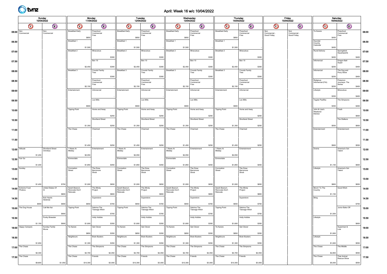

# April: Week 16 w/c 10/04/2022

| Sunday<br>10/04/2022<br>$\odot$<br>$\bm{\mathsf{\odot}}$ |                               |         |                               |         |                                             | Monday<br>11/04/2022 |                                 |         |                                             |          | Tuesday<br>12/04/2022           |         |                                             | Wednesday<br>13/04/2022 |                                 |         |                                             | <b>Thursday</b><br>14/04/2022 |                                     |         |                                    | Friday<br>15/04/2022               |                                     | Saturday<br>16/04/2022 |                            |       |       |
|----------------------------------------------------------|-------------------------------|---------|-------------------------------|---------|---------------------------------------------|----------------------|---------------------------------|---------|---------------------------------------------|----------|---------------------------------|---------|---------------------------------------------|-------------------------|---------------------------------|---------|---------------------------------------------|-------------------------------|-------------------------------------|---------|------------------------------------|------------------------------------|-------------------------------------|------------------------|----------------------------|-------|-------|
|                                                          |                               |         |                               |         | $\bullet$                                   |                      | $\bigcirc$                      |         | $\bm{\mathsf{O}}$                           |          | $\bigcirc$                      |         | $\bm{\mathsf{O}}$                           |                         | $\bigcirc$                      |         | $\bullet$                                   |                               | $\odot$                             |         | $\bigcirc$                         | $\odot$                            | $\bigcirc$                          |                        | $\bigcirc$                 |       |       |
|                                                          | 06:00 Non                     |         | Non<br>Commercial             |         | <b>Breakfast Early</b>                      | \$850                | Preschool<br>Commercial<br>Free |         | <b>Breakfast Early</b>                      | \$850    | Preschool<br>Commercial<br>Free |         | <b>Breakfast Early</b>                      | \$850                   | Preschool<br>Commercial<br>Free |         | <b>Breakfast Early</b>                      | \$850                         | Preschool<br>Commercial<br>Free     |         | Non<br>Commercial -<br>Good Friday | Non<br>Commercial -<br>Good Friday | Te Karere                           | Free<br>\$450          | Preschool<br>Commercial    |       | 06:00 |
| 06:30                                                    |                               |         |                               |         | Breakfast 1                                 | \$1,500              |                                 |         | Breakfast 1                                 | \$1,500  |                                 |         | Breakfast 1                                 | \$1,500                 |                                 |         | Breakfast 1                                 | \$1,500                       |                                     |         |                                    |                                    | Hyundai<br>Country<br>Calendar      | \$450                  |                            |       | 06:30 |
| 07:00                                                    |                               |         |                               |         | Breakfast 2                                 |                      | Miraculous                      |         | Breakfast 2                                 |          | Miraculous                      |         | Breakfast 2                                 |                         | Miraculous                      |         | Breakfast 2                                 |                               | Miraculous                          |         |                                    |                                    | Rural Delivery                      |                        | Spongebob<br>Squarepants   |       | 07:00 |
| 07:30                                                    |                               |         |                               |         |                                             |                      | Ben 10                          | \$300   |                                             |          | Ben 10                          | \$300   |                                             |                         | Ben 10                          | \$300   |                                             |                               | Ben 10                              | \$300   |                                    |                                    | Infomercial                         | \$450                  | Dragon Ball                | \$400 | 07:30 |
|                                                          |                               |         |                               |         |                                             | \$2,450              |                                 | \$300   |                                             | \$2,450  |                                 | \$300   |                                             | \$2,450                 |                                 | \$300   |                                             | \$2,450                       |                                     | \$300   |                                    |                                    |                                     | Super<br>\$250         |                            | \$400 |       |
| 08:00                                                    |                               |         |                               |         | Breakfast 3                                 |                      | Croods Family<br>Tree           |         | Breakfast 3                                 |          | Croods Family<br>Tree           |         | Breakfast 3                                 |                         | Croods Family<br>Tree           |         | Breakfast 3                                 |                               | Croods Family<br>Tree               |         |                                    |                                    | Infomercial                         |                        | The Dog and<br>Pony Show   |       | 08:00 |
| 08:30                                                    |                               |         |                               |         |                                             |                      | Preschool                       | \$300   |                                             |          | Preschool                       | \$300   |                                             |                         | Preschool                       | \$300   |                                             |                               | Preschool                           | \$300   |                                    |                                    | Religious                           | \$250                  | Pokemon                    | \$400 | 08:30 |
|                                                          |                               |         |                               |         |                                             | \$2,150              | Commercial<br>Free              |         |                                             | \$2,150  | Commercial<br>Free              |         |                                             | \$2,150                 | Commercial<br>Free              |         |                                             | \$2,150                       | Commercial<br>Free                  |         |                                    |                                    | Infomercial (FIA)                   | Series<br>\$250        | Journeys: The              | \$400 |       |
| 09:00                                                    |                               |         |                               |         | Entertainment                               |                      | Infomercial                     |         | Entertainment                               |          | Infomercial                     |         | Entertainment                               |                         | Infomercial                     |         | Entertainment                               |                               | Infomercial                         |         |                                    |                                    | Lifestyle                           |                        | Miraculous                 |       | 09:00 |
| 09:30                                                    |                               |         |                               |         |                                             |                      | Les Mills                       |         |                                             |          | Les Mills                       |         |                                             |                         | Les Mills                       |         |                                             |                               | Les Mills                           |         |                                    |                                    | Tagata Pasifika                     | \$350                  | The Simpsons               | \$400 | 09:30 |
|                                                          |                               |         |                               |         |                                             | \$900                |                                 |         |                                             | \$900    |                                 |         |                                             | \$900                   |                                 |         |                                             | \$900                         |                                     |         |                                    |                                    |                                     | \$350                  |                            | \$450 |       |
| 10:00                                                    |                               |         |                               |         | <b>Tipping Point</b>                        |                      | Home and Away                   |         | <b>Tipping Point</b>                        |          | Home and Away                   |         | <b>Tipping Point</b>                        |                         | Home and Away                   |         | <b>Tipping Point</b>                        |                               | Home and Away                       |         |                                    |                                    | John & Lisa's<br>Weekend<br>Kitchen | Fresh                  |                            |       | 10:00 |
| 10:30                                                    |                               |         |                               |         |                                             |                      | Shortland Street                | \$250   |                                             |          | Shortland Street                | \$250   |                                             |                         | Shortland Street                | \$250   |                                             |                               | Shortland Street                    | \$250   |                                    |                                    |                                     |                        | The Walkers                | \$600 | 10:30 |
|                                                          |                               |         |                               |         |                                             | \$1,350              |                                 | \$250   |                                             | \$1,350  |                                 | \$250   |                                             | \$1,350                 |                                 | \$250   |                                             | \$1,350                       |                                     | \$250   |                                    |                                    |                                     | \$550                  |                            | \$600 |       |
| 11:00                                                    |                               |         |                               |         | The Chase                                   |                      | Charmed                         |         | The Chase                                   |          | Charmed                         |         | The Chase                                   |                         | Charmed                         |         | The Chase                                   |                               | Charmed                             |         |                                    |                                    | Entertainment                       |                        | Entertainment              |       | 11:00 |
| 11:30                                                    |                               |         |                               |         |                                             |                      |                                 |         |                                             |          |                                 |         |                                             |                         |                                 |         |                                             |                               |                                     |         |                                    |                                    |                                     |                        |                            |       | 11:30 |
|                                                          |                               |         |                               |         |                                             | \$1,450              |                                 | \$250   |                                             | \$1,450  |                                 | \$250   |                                             | \$1,450                 |                                 | \$250   |                                             | \$1,450                       |                                     | \$250   |                                    |                                    |                                     | \$900                  |                            | \$550 |       |
| 12:00 Attitude                                           |                               |         | Shortland Street<br>Omnibus   |         | 1 News At<br>Midday                         |                      | Entertainment                   |         | 1 News At<br>Midday                         |          | Entertainment                   |         | 1 News At<br>Midday                         |                         | Entertainment                   |         | 1 News At<br>Midday                         |                               | Entertainment                       |         |                                    |                                    | Drama                               | Talent                 | America's Got              |       | 12:00 |
| 12:30 Fair Go                                            |                               | \$1,200 |                               |         | Emmerdale                                   | \$2,050              |                                 |         | Emmerdale                                   | \$2,050  |                                 |         | Emmerdale                                   | \$2,050                 |                                 |         | Emmerdale                                   | \$2,050                       |                                     |         |                                    |                                    |                                     |                        |                            |       | 12:30 |
|                                                          |                               | \$1,400 |                               |         |                                             | \$1,850              |                                 | \$450   |                                             | \$1,850  |                                 | \$450   |                                             | \$1,850                 |                                 | \$450   |                                             | \$1,850                       |                                     | \$450   |                                    |                                    | \$1,150                             |                        |                            | \$600 |       |
| 13:00   Sunday                                           |                               |         |                               |         | Coronation<br>Street                        |                      | The Drew<br>Barrymore<br>Show   |         | Coronation<br>Street                        |          | The Drew<br>Barrymore<br>Show   |         | Coronation<br>Street                        |                         | The Drew<br>Barrymore<br>Show   |         | Coronation<br>Street                        |                               | The Drew<br>Barrymore<br>Show       |         |                                    |                                    | Lifestyle                           | Talent                 | America's Got              |       | 13:00 |
| 13:30                                                    |                               |         |                               |         |                                             |                      |                                 |         |                                             |          |                                 |         |                                             |                         |                                 |         |                                             |                               |                                     |         |                                    |                                    |                                     |                        |                            |       | 13:30 |
|                                                          |                               | \$1,450 |                               | \$750   |                                             | \$1,000              |                                 | \$650   |                                             | \$1,000  |                                 | \$650   |                                             | \$1,000                 |                                 | \$650   |                                             | \$1,000                       |                                     | \$650   |                                    |                                    |                                     | \$800                  |                            | \$650 |       |
|                                                          | 14:00 Extreme Food<br>Phobics |         | United States Of              |         | Sarah Beeny's<br>Renovate Don't<br>Relocate |                      | The Mindy<br>Project            |         | Sarah Beeny's<br>Renovate Don't<br>Relocate |          | The Mindy<br>Project            |         | Sarah Beeny's<br>Renovate Don't<br>Relocate |                         | The Mindy<br>Project            |         | Sarah Beeny's<br>Renovate Don't<br>Relocate |                               | The Mindy<br>Project                |         |                                    |                                    | Movin' To The<br>Country            |                        | Good Witch                 |       | 14:00 |
| 14:30                                                    |                               |         | <b>Bob Hearts</b><br>Abishola | \$800   |                                             |                      | Superstore                      | \$800   |                                             |          | Superstore                      | \$800   |                                             |                         | Superstore                      | \$800   |                                             |                               | Superstore                          | \$800   |                                    |                                    | \$1,150<br>Bling                    |                        |                            |       | 14:30 |
|                                                          |                               | \$900   |                               | \$900   |                                             | \$650                |                                 | \$700   |                                             | \$650    |                                 | \$700   |                                             | \$650                   |                                 | \$700   |                                             | \$650                         |                                     | \$700   |                                    |                                    |                                     |                        |                            | \$750 |       |
|                                                          | 15:00 The Dog House           |         | Call Me Kat                   |         | <b>Tipping Point</b>                        |                      | Sabrina The<br>Teenage Witch    |         | <b>Tipping Point</b>                        |          | Sabrina The<br>Teenage Witch    |         | <b>Tipping Point</b>                        |                         | Sabrina The<br>Teenage Witch    |         | <b>Tipping Point</b>                        |                               | Sabrina The<br><b>Teenage Witch</b> |         |                                    |                                    |                                     |                        | Junior Bake Off            |       | 15:00 |
| 15:30                                                    |                               |         | Punky Brewster                | \$900   |                                             |                      | <b>Holly Hobbie</b>             | \$700   |                                             |          | Holly Hobbie                    | \$700   |                                             |                         | Holly Hobbie                    | \$700   |                                             |                               | Holly Hobbie                        | \$700   |                                    |                                    | \$1,500<br>Lifestyle                |                        |                            |       | 15:30 |
|                                                          |                               | \$1,150 |                               | \$900   |                                             | \$1,600              |                                 | \$350   |                                             | \$1,600  |                                 | \$350   |                                             | \$1,600                 |                                 | \$350   |                                             | \$1,600                       |                                     | \$35    |                                    |                                    |                                     |                        |                            | \$600 |       |
|                                                          | 16:00 Happy Campers           |         | Sunday Family<br>Movie        |         | Te Karere                                   |                      | Get Clever                      |         | Te Karere                                   |          | Get Clever                      |         | Te Karere                                   |                         | Get Clever                      |         | Te Karere                                   |                               | Get Clever                          |         |                                    |                                    |                                     | Lois                   | Superman &                 |       | 16:00 |
| 16:30                                                    |                               |         |                               |         | Neighbours                                  | \$850                | <b>Brain Busters</b>            | \$350   | Neighbours                                  | \$850    | <b>Brain Busters</b>            | \$350   | Neighbours                                  | \$850                   | <b>Brain Busters</b>            | \$350   | Neighbours                                  | \$850                         | <b>Brain Busters</b>                | \$350   |                                    |                                    | \$1,600<br>Lifestyle                |                        |                            |       | 16:30 |
|                                                          |                               | \$1,650 |                               |         |                                             | \$1,300              |                                 | \$350   |                                             | \$1,300  |                                 | \$350   |                                             | \$1,300                 |                                 | \$350   |                                             | \$1,300                       |                                     | \$350   |                                    |                                    | \$1,600                             |                        |                            | \$550 |       |
|                                                          | 17:00 The Chase               |         |                               |         | The Chase                                   |                      | The Simpsons                    |         | The Chase                                   |          | The Simpsons                    |         | The Chase                                   |                         | The Simpsons                    |         | The Chase                                   |                               | The Simpsons                        |         |                                    |                                    | The Chase                           |                        | The Middle                 |       | 17:00 |
|                                                          | 17:30 The Chase               | \$4,300 |                               |         | The Chase                                   | \$4,700              | Friends                         | \$2,050 | The Chase                                   | \$4,700  | Friends                         | \$2,050 | The Chase                                   | \$4,700                 | Friends                         | \$2,050 | The Chase                                   | \$4,700                       | Friends                             | \$2,050 |                                    |                                    | \$2,850<br>The Chase                |                        | That Animal<br>Rescue Show | \$550 | 17:30 |
|                                                          |                               | \$9,800 |                               | \$1,050 |                                             | \$10,300             |                                 | \$3,000 |                                             | \$10,300 |                                 | \$3,000 |                                             | \$10,300                |                                 | \$3,000 |                                             | \$10,300                      |                                     | \$3,000 |                                    |                                    | \$5,000                             |                        |                            | \$550 |       |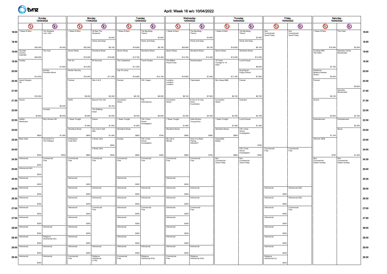

# April: Week 16 w/c 10/04/2022

|                 |                                              |          |                               |         |                        | Monday<br>11/04/2022 |                                   |          |                      |          | Tuesday<br>12/04/2022          |          |                                    |          | Wednesday<br>13/04/2022               |          |                           |          | Thursday<br>14/04/2022               |          |                                    | Friday<br>15/04/2022               |                                                | Saturday<br>16/04/2022         |         |       |
|-----------------|----------------------------------------------|----------|-------------------------------|---------|------------------------|----------------------|-----------------------------------|----------|----------------------|----------|--------------------------------|----------|------------------------------------|----------|---------------------------------------|----------|---------------------------|----------|--------------------------------------|----------|------------------------------------|------------------------------------|------------------------------------------------|--------------------------------|---------|-------|
|                 | Sunday<br>10/04/2022<br>$\odot$<br>$\bullet$ |          |                               |         | $\bullet$              |                      | $\odot$                           |          | $\bm{\mathsf{O}}$    |          | $\bigcirc$                     |          | $\bigcirc$                         |          | $\odot$                               |          | $\bm{\mathsf{O}}$         |          | $\odot$                              |          | $\bm{\mathsf{O}}$                  | $\odot$                            | $\bigcirc$                                     | $\odot$                        |         |       |
| 18:00           | 1 News At 6pm                                |          | The Weakest<br>Link: USA      |         | 1 News At 6pm          |                      | All New The<br>Simpsons           |          | 1 News At 6pm        |          | The Big Bang<br>Theory         |          | 1 News At 6pm                      |          | The Big Bang<br>Theory                |          | 1 News At 6pm             |          | The Big Bang<br>Theory               |          | Non<br>Commercial -<br>Good Friday | Non<br>Commercial -<br>Good Friday | 1 News At 6pm                                  | The Cube                       |         | 18:00 |
| 18:30           |                                              |          |                               |         |                        |                      | Home and Away                     | \$3,600  |                      |          | Home and Away                  | \$3,600  |                                    |          | Home and Away                         | \$3,600  |                           |          | Home and Away                        | \$3,600  |                                    |                                    |                                                |                                |         | 18:30 |
|                 |                                              | \$20,200 |                               | \$3,400 |                        | \$22,550             |                                   | \$8,100  |                      | \$19,800 |                                | \$8,100  |                                    | \$20,800 |                                       | \$8,100  |                           | \$19,650 |                                      | \$8,100  |                                    |                                    | \$15,000                                       |                                | \$2,250 |       |
|                 | $19:00$ Hyundai<br>Country<br>Calendar       |          | The Void                      |         | Seven Sharp            |                      | Shortland Street                  |          | Seven Sharp          |          | Shortland Street               |          | Seven Sharp                        |          | Shortland Street                      |          | Seven Sharp               |          | Shortland Street                     |          |                                    |                                    | Cooking With<br>The Stars                      | Saturday Family<br>Blockbuster |         | 19:00 |
| 19:30 Sunday    |                                              | \$20,000 |                               |         | Fair Go                | \$15,550             | 60 Seconds                        | \$16,000 | The Casketeers       | \$13,750 | <b>Travel Guides</b>           | \$14,400 | The Million<br>Pound Cube          | \$13,750 | Snackmasters                          | \$14,400 | 10 Years<br>Younger In 10 | \$13,050 | Local Factual                        | \$13,050 |                                    |                                    |                                                |                                |         | 19:30 |
|                 |                                              |          |                               | \$7,900 | <b>Border Security</b> | \$12,450             |                                   |          | Lap of Luxury        | \$11,550 |                                |          |                                    |          |                                       |          | Days                      |          |                                      | \$8,550  |                                    |                                    | \$7,700<br>Heathrow:                           |                                |         |       |
| 20:00           |                                              | \$12,450 | Sunday<br>Premiere Movie      |         |                        | \$10,050             |                                   | \$11,250 |                      | \$10,850 |                                | \$10,150 |                                    | \$10,850 |                                       | \$7,900  |                           | \$11,300 | Dog Squad<br>Puppy School            | \$7,900  |                                    |                                    | <b>Britain's Busiest</b><br>Airport<br>\$5,400 |                                |         | 20:00 |
|                 | 20:30 Grand Designs<br>UK                    |          |                               |         | Factual                |                      | Skin A & E                        |          | Factual              |          | CSI: Vegas                     |          | Location,<br>Location,<br>Location |          | Taskmaster                            |          | My Unique B&B             |          | Factual                              |          |                                    |                                    | Factual                                        |                                |         | 20:30 |
| 21:00           |                                              |          |                               |         |                        |                      |                                   |          |                      |          |                                |          |                                    |          |                                       |          |                           |          |                                      |          |                                    |                                    |                                                | Saturday                       | \$5,650 | 21:00 |
|                 |                                              | \$10,200 |                               |         |                        | \$9,050              |                                   | \$9,300  |                      | \$8,150  |                                | \$8,550  |                                    | \$8,150  |                                       | \$7,900  |                           | \$6,100  |                                      | \$6,750  |                                    |                                    | \$6,100                                        | Blockbuster                    |         |       |
| $21:30$ Drama   |                                              |          |                               |         | 20/20                  |                      | Beyond The Veil                   |          | Coronation<br>Street |          | FBI:<br>International          |          | Coronation<br>Street               |          | 8 Out of 10 Cats<br>Does<br>Countdown |          | Coronation<br>Street      |          | Hoarders                             |          |                                    |                                    | Drama                                          |                                |         | 21:30 |
| 22:00           |                                              |          | Comedy                        | \$6,400 |                        |                      | The Walking<br>Dead               | \$4,700  |                      |          |                                |          |                                    |          |                                       |          |                           |          |                                      |          |                                    |                                    |                                                |                                |         | 22:00 |
| $22:30$ Halifax |                                              | \$3,850  | Why Women Kill                | \$6,400 | 1 News Tonight         | \$4,800              | Drama                             | \$2,550  | 1 News Tonight       | \$3,450  | CSI: Crime                     | \$6,000  | 1 News Tonight                     | \$3,450  | Hells Kitchen:                        | \$4,300  | 1 News Tonight            | \$3,450  | Local Factual                        | \$4,700  |                                    |                                    | \$3,950<br>Entertainment                       | Entertainment                  | \$4,700 |       |
|                 | Retribution                                  |          |                               |         |                        | \$1,800              |                                   | \$1,500  |                      | \$1,800  | Scene<br>Investigation         |          |                                    | \$1,800  | Young Guns                            |          |                           | \$1,800  |                                      | \$1,200  |                                    |                                    |                                                |                                | \$2,450 | 22:30 |
| 23:00           |                                              |          |                               |         | Shortland Street       |                      | Two And A Half                    |          | Shortland Street     |          |                                |          | Shortland Street                   |          |                                       |          | Shortland Street          |          | CSI: Crime<br>Scene<br>Investigation |          |                                    |                                    |                                                | Movie                          |         | 23:00 |
|                 | 23:30   Black Sails                          | \$800    | Homicide For                  | \$1,000 | Ambulance:             | \$850                | 2 Broke Girls                     | \$1,400  | Sunday               | \$850    | CSI: Crime                     | \$750    | My Life Is                         | \$850    | Have You Been                         | \$900    | Impossible                | \$850    |                                      |          |                                    |                                    | \$1,100<br>Informer 3838                       |                                |         | 23:30 |
|                 |                                              |          | The Holidays                  |         | Code Red               |                      |                                   | \$500    |                      |          | Scene<br>Investigation         |          | Murder                             |          | Paying<br>Attention?                  |          | Builds                    |          |                                      | \$700    |                                    |                                    |                                                |                                |         |       |
| 24:00           |                                              | \$500    |                               | \$550   |                        | \$850                | 2 Broke Girls                     | \$500    |                      | \$850    |                                | \$400    |                                    | \$850    |                                       | \$750    |                           | \$850    | CSI: Crime<br>Scene<br>Investigation | \$450    | Commercial<br>Free                 | Commercial<br>Free                 | \$750                                          |                                | \$1,250 | 24:00 |
|                 | 24:30 Informercial                           |          | Commercial<br>Free            |         | Commercial<br>Free     |                      | Commercial<br>Free                |          | Commercial<br>Free   |          | Commercial<br>Free             |          | Commercial<br>Free                 |          | Commercial<br>Free                    |          | Non<br>Commercial -       |          | Non<br>Commercial -                  |          |                                    |                                    | Non<br>Commercial -                            | Non<br>Commercial -            |         | 24:30 |
|                 | 25:00 Infomercial (AH)                       | \$250    |                               |         |                        |                      |                                   |          |                      |          |                                |          |                                    |          |                                       |          | Good Friday               |          | Good Friday                          |          |                                    |                                    | Easter Sunday                                  | Easter Sunday                  |         | 25:00 |
|                 |                                              | \$250    |                               |         |                        |                      |                                   |          |                      |          |                                |          |                                    |          |                                       |          |                           |          |                                      |          |                                    |                                    |                                                |                                |         |       |
|                 | 25:30   Informercial                         |          |                               |         | Infomercial            |                      |                                   |          | Infomercial          |          |                                |          | Infomercial                        |          |                                       |          |                           |          |                                      |          |                                    |                                    |                                                |                                |         | 25:30 |
|                 | $26:00$   Informercial                       | \$250    |                               |         | Infomercial            | \$250                | Infomercial                       |          | Infomercial          | \$250    | Infomercial                    |          | Infomercial                        | \$250    | Infomercial                           |          |                           |          |                                      |          | Infomercial                        | Infomercial (GS)                   |                                                |                                |         | 26:00 |
|                 | 26:30   Informercial                         | \$250    |                               |         | Infomercial            | \$250                | Infomercial                       |          | Infomercial          | \$250    | Infomercial                    |          | Infomercial                        | \$250    | Infomercial                           |          |                           |          |                                      |          | \$250<br>Infomercial               | Infomercial (GS)                   |                                                |                                |         |       |
|                 |                                              | \$250    |                               |         |                        | \$250                |                                   |          |                      | \$250    |                                |          |                                    | \$250    |                                       |          |                           |          |                                      |          | \$250                              |                                    |                                                |                                |         | 26:30 |
|                 | $27:00$ Infomercial                          |          |                               |         | Infomercial            |                      | Commercial<br>Free                |          | Infomercial          |          | Commercial<br>Free             |          | Infomercial                        |          | Commercial<br>Free                    |          |                           |          |                                      |          | Infomercial                        | Commercial<br>Free                 |                                                |                                |         | 27:00 |
|                 | $27:30$ Informercial                         | \$250    |                               |         | Infomercial            | \$250                |                                   |          | Infomercial          | \$250    |                                |          | Infomercial                        | \$250    |                                       |          |                           |          |                                      |          | \$250<br>Infomercial               |                                    |                                                |                                |         | 27:30 |
|                 |                                              | \$250    |                               |         |                        | \$250                |                                   |          |                      | \$250    |                                |          |                                    | \$250    |                                       |          |                           |          |                                      |          | \$250                              |                                    |                                                |                                |         |       |
|                 | 28:00   Informercial                         | \$250    | Infomercial                   |         | Infomercial            | \$250                |                                   |          | Infomercial          | \$250    |                                |          | Infomercial                        | \$250    |                                       |          |                           |          |                                      |          | Infomercial<br>\$250               |                                    |                                                |                                |         | 28:00 |
|                 | 28:30   Informercial                         |          | Religious<br>Infomercial (HC) |         | Infomercial            |                      |                                   |          | Infomercial          |          |                                |          | Infomercial                        |          |                                       |          |                           |          |                                      |          | Infomercial                        |                                    |                                                |                                |         | 28:30 |
|                 | 29:00   Informercial                         | \$250    | Infomercial                   |         | Infomercial            | \$250                | Infomercial                       |          | Infomercial          | \$250    | Infomercial                    |          | Infomercial                        | \$250    | Infomercial                           |          |                           |          |                                      |          | \$250<br>Infomercial               |                                    |                                                |                                |         | 29:00 |
|                 |                                              | \$250    |                               |         |                        | \$250                |                                   |          |                      | \$250    |                                |          |                                    | \$250    |                                       |          |                           |          |                                      |          | \$250                              |                                    |                                                |                                |         |       |
|                 | 29:30   Informercial                         |          | Infomercial                   |         | Commercial<br>Free     |                      | Religious<br>Infomercial<br>(LTW) |          | Commercial<br>Free   |          | Religious<br>Infomercial (FIA) |          | Commercial<br>Free                 |          | Religious<br>Infomercial (FIA)        |          |                           |          |                                      |          | Religious<br>Infomercial (IJ)      |                                    |                                                |                                |         | 29:30 |
|                 |                                              | \$250    |                               |         |                        |                      |                                   |          |                      |          |                                |          |                                    |          |                                       |          |                           |          |                                      |          | \$250                              |                                    |                                                |                                |         |       |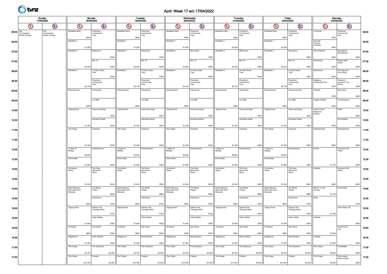

# April: Week 17 w/c 17/04/2022

|                                |                               | Sunday<br>17/04/2022                        |                                             | Monday<br>18/04/2022 |                                 |         |                                             | Tuesday<br>19/04/2022 |                                 |         |                                             | Wednesday<br>20/04/2022 |                                 |         |                                             |          | Thursday<br>21/04/2022              |         |                                             | Friday<br>22/04/2022 |                                 |         |                                     | Saturday<br>23/04/2022 |                                    |       |       |
|--------------------------------|-------------------------------|---------------------------------------------|---------------------------------------------|----------------------|---------------------------------|---------|---------------------------------------------|-----------------------|---------------------------------|---------|---------------------------------------------|-------------------------|---------------------------------|---------|---------------------------------------------|----------|-------------------------------------|---------|---------------------------------------------|----------------------|---------------------------------|---------|-------------------------------------|------------------------|------------------------------------|-------|-------|
|                                | $\bigcirc$                    | $\odot$                                     | $\bigcirc$                                  |                      | $\odot$                         |         | $\bm{\mathsf{O}}$                           |                       | $\bigcirc$                      |         | $\bullet$                                   |                         | $\odot$                         |         | $\bm{\mathsf{O}}$                           |          | $\odot$                             |         | $\bullet$                                   |                      | $\odot$                         |         | $\bigcirc$                          |                        | $\odot$                            |       |       |
| 06:00 $\sqrt{\frac{Non}{Com}}$ | Commercial -<br>Easter Sunday | <b>Non</b><br>Commercial -<br>Easter Sunday | <b>Breakfast Early</b>                      | \$850                | Preschool<br>Commercial<br>Free |         | <b>Breakfast Early</b>                      | \$850                 | Preschool<br>Commercial<br>Free |         | <b>Breakfast Early</b>                      | \$850                   | Preschool<br>Commercial<br>Free |         | <b>Breakfast Early</b>                      | \$850    | Preschool<br>Commercial<br>Free     |         | <b>Breakfast Early</b>                      | \$850                | Preschool<br>Commercial<br>Free |         | Te Karere                           | \$450                  | Preschool<br>Commercial<br>Free    |       | 06:00 |
| 06:30                          |                               |                                             | Breakfast 1                                 | \$1,500              |                                 |         | Breakfast 1                                 | \$1,500               |                                 |         | Breakfast 1                                 | \$1,500                 |                                 |         | Breakfast 1                                 | \$1,500  |                                     |         | Breakfast 1                                 | \$1,500              |                                 |         | Hyundai<br>Country<br>Calendar      | \$450                  |                                    |       | 06:30 |
| 07:00                          |                               |                                             | Breakfast 2                                 |                      | Miraculous                      |         | Breakfast 2                                 |                       | Miraculous                      |         | Breakfast 2                                 |                         | Miraculous                      |         | Breakfast 2                                 |          | Miraculous                          |         | Breakfast 2                                 |                      | Miraculous                      |         | Rural Delivery                      |                        | Spongebob<br>Squarepants           |       | 07:00 |
| 07:30                          |                               |                                             |                                             |                      | Ben 10                          | \$300   |                                             |                       | Ben 10                          | \$300   |                                             |                         | Ben 10                          | \$300   |                                             |          | Ben 10                              | \$300   |                                             |                      | Ben 10                          | \$300   | Infomercial                         | \$450                  | Dragon Ball<br>Super               | \$400 | 07:30 |
|                                |                               |                                             | Breakfast 3                                 | \$2,450              | Croods Family                   | \$300   | Breakfast 3                                 | \$2,450               | Croods Family                   | \$300   | Breakfast 3                                 | \$2,450                 | Croods Family                   | \$300   | Breakfast 3                                 | \$2,450  | Croods Family                       | \$300   | Breakfast 3                                 | \$2,450              | Croods Family                   | \$300   | Infomercial                         | \$250                  | The Dog and                        | \$400 |       |
| 08:00                          |                               |                                             |                                             |                      | Tree                            | \$300   |                                             |                       | Tree                            | \$300   |                                             |                         | Tree                            | \$300   |                                             |          | Tree                                | \$300   |                                             |                      | Tree                            | \$300   |                                     | \$250                  | Pony Show                          | \$400 | 08:00 |
| 08:30                          |                               |                                             |                                             |                      | Preschool<br>Commercial<br>Free |         |                                             |                       | Preschool<br>Commercial<br>Free |         |                                             |                         | Preschool<br>Commercial<br>Free |         |                                             |          | Preschool<br>Commercia<br>-ree      |         |                                             |                      | Preschool<br>Commercial<br>Free |         | Religious<br>Infomercial (FIA)      | \$250                  | Pokemon<br>Journeys: The<br>Series |       | 08:30 |
| 09:00                          |                               |                                             | Entertainment                               | \$2,150              | Infomercia                      |         | Entertainment                               | \$2,150               | Infomercial                     |         | Entertainment                               | \$2,150                 | Infomercial                     |         | Entertainment                               | \$2,150  | nfomercial                          |         | Entertainment                               | \$2,150              | Infomercial (GS)                |         | Lifestyle                           |                        | Miraculous                         | \$400 | 09:00 |
| 09:30                          |                               |                                             |                                             |                      | Les Mills                       |         |                                             |                       | Les Mills                       |         |                                             |                         | <b>Les Mills</b>                |         |                                             |          | Les Mills                           |         |                                             |                      | Les Mills                       |         | Tagata Pasifika                     | \$350                  | The Simpsons                       | \$400 | 09:30 |
|                                |                               |                                             |                                             | \$900                |                                 |         |                                             | \$900                 |                                 |         |                                             | \$900                   |                                 |         |                                             | \$900    | Home and Away                       |         |                                             | \$900                | Home and Away                   |         |                                     | \$350                  |                                    | \$450 |       |
| 10:00                          |                               |                                             | <b>Tipping Point</b>                        |                      | Home and Away                   | \$250   | <b>Tipping Point</b>                        |                       | Home and Away                   | \$250   | <b>Tipping Point</b>                        |                         | Home and Away                   | \$250   | <b>Tipping Point</b>                        |          |                                     | \$250   | <b>Tipping Point</b>                        |                      |                                 | \$250   | John & Lisa's<br>Weekend<br>Kitchen |                        | Fresh                              | \$600 | 10:00 |
| 10:30                          |                               |                                             |                                             |                      | Shortland Street                |         |                                             |                       | Shortland Street                |         |                                             |                         | Shortland Street                |         |                                             |          | Shortland Street                    |         |                                             |                      | Shortland Street                |         |                                     |                        | The Walkers                        |       | 10:30 |
| 11:00                          |                               |                                             | The Chase                                   | \$1,350              | Charmed                         | \$250   | The Chase                                   | \$1,350               | Charmed                         | \$250   | The Chase                                   | \$1,350                 | Charmed                         | \$250   | The Chase                                   | \$1,350  | Charmed                             | \$250   | The Chase                                   | \$1,350              | Charmed                         | \$250   | Entertainment                       | \$550                  | Entertainment                      | \$600 | 11:00 |
| 11:30                          |                               |                                             |                                             |                      |                                 |         |                                             |                       |                                 |         |                                             |                         |                                 |         |                                             |          |                                     |         |                                             |                      |                                 |         |                                     |                        |                                    |       | 11:30 |
|                                |                               |                                             |                                             | \$1,450              |                                 | \$250   |                                             | \$1,450               |                                 | \$250   |                                             | \$1,450                 |                                 | \$250   |                                             | \$1,450  |                                     | \$250   |                                             | \$1,450              |                                 | \$250   |                                     | \$900                  |                                    | \$550 |       |
| 12:00                          |                               |                                             | 1 News At<br>Midday                         | \$2,050              | Entertainment                   |         | 1 News At<br>Midday                         | \$2,050               | Entertainment                   |         | 1 News At<br>Midday                         | \$2,050                 | Entertainment                   |         | 1 News At<br>Midday                         | \$2,050  | Entertainment                       |         | 1 News At<br>Midday                         | \$2,050              | Entertainment                   |         | Drama                               |                        | America's Got<br>Talent            |       | 12:00 |
| 12:30                          |                               |                                             | Emmerdale                                   |                      |                                 |         | Emmerdale                                   |                       |                                 |         | Emmerdale                                   |                         |                                 |         | Emmerdale                                   |          |                                     |         | Emmerdale                                   |                      |                                 |         |                                     |                        |                                    |       | 12:30 |
| 13:00                          |                               |                                             | Coronation<br>Street                        | \$1,850              | The Drew<br>Barrymore           | \$450   | Coronation<br>Street                        | \$1,850               | The Drew<br>Barrymore           | \$450   | Coronation<br>Street                        | \$1,850                 | The Drew<br>Barrymore           | \$450   | Coronation<br>Street                        | \$1,850  | The Drew<br>Barrymore               | \$450   | Coronation<br>Street                        | \$1,850              | The Drew<br>Barrymore           | \$450   | Lifestyle                           | \$1,150                | America's Got<br>Talent            | \$600 | 13:00 |
| 13:30                          |                               |                                             |                                             |                      | Show                            |         |                                             |                       | Show                            |         |                                             |                         | Show                            |         |                                             |          | Show                                |         |                                             |                      | Show                            |         |                                     |                        |                                    |       | 13:30 |
|                                |                               |                                             |                                             | \$1,000              |                                 | \$650   |                                             | \$1,000               |                                 | \$650   |                                             | \$1,000                 |                                 | \$650   |                                             | \$1,000  |                                     | \$650   |                                             | \$1,000              |                                 | \$650   |                                     | \$800                  |                                    | \$650 |       |
| 14:00                          |                               |                                             | Sarah Beeny's<br>Renovate Don't<br>Relocate |                      | The Mindy<br>Project            | \$800   | Sarah Beeny's<br>Renovate Don't<br>Relocate |                       | The Mindy<br>Project            | \$800   | Sarah Beeny's<br>Renovate Don't<br>Relocate |                         | The Mindy<br>Project            | \$800   | Sarah Beeny's<br>Renovate Don't<br>Relocate |          | The Mindy<br>Project                | \$800   | Sarah Beeny's<br>Renovate Don't<br>Relocate |                      | The Mindy<br>Project            | \$800   | Movin' To The<br>Country            | \$1,150                | Good Witch                         |       | 14:00 |
| 14:30                          |                               |                                             |                                             |                      | Superstore                      |         |                                             |                       | Superstore                      |         |                                             |                         | Superstore                      |         |                                             |          | Superstore                          |         |                                             |                      | Superstore                      |         | Bling                               |                        |                                    |       | 14:30 |
| 15:00                          |                               |                                             | <b>Tipping Point</b>                        | \$650                | Sabrina The<br>Teenage Witch    | \$700   | <b>Tipping Point</b>                        | \$650                 | Sabrina The<br>Teenage Witch    | \$700   | <b>Tipping Point</b>                        | \$650                   | Sabrina The<br>Teenage Witch    | \$700   | <b>Tipping Point</b>                        | \$650    | Sabrina The<br><b>Teenage Witch</b> | \$700   | <b>Tipping Point</b>                        | \$650                | Sabrina The<br>Teenage Witch    | \$700   |                                     |                        | Junior Bake Off                    | \$750 | 15:00 |
| 15:30                          |                               |                                             |                                             |                      | Holly Hobbie                    | \$700   |                                             |                       | Holly Hobbie                    | \$700   |                                             |                         | Holly Hobbie                    | \$700   |                                             |          | <b>Holly Hobbie</b>                 | \$700   |                                             |                      | <b>Holly Hobbie</b>             | \$700   | Lifestyle                           | \$1,500                |                                    |       | 15:30 |
|                                |                               |                                             |                                             | \$1,600              |                                 | \$350   |                                             | \$1,600               |                                 | \$350   |                                             | \$1,600                 |                                 | \$350   |                                             | \$1,600  |                                     | \$350   |                                             | \$1,600              |                                 | \$350   |                                     |                        |                                    | \$600 |       |
| 16:00                          |                               |                                             | Te Karere                                   | \$850                | Get Clever                      | \$350   | Te Karere                                   | \$850                 | Get Clever                      | \$350   | Te Karere                                   | \$850                   | Get Clever                      | \$350   | Te Karere                                   | \$850    | Get Clever                          | \$350   | Te Karere                                   | \$850                | Get Clever                      | \$350   |                                     | \$1,600                | Superman &<br>Lois                 |       | 16:00 |
| 16:30                          |                               |                                             | Neighbours                                  |                      | <b>Brain Busters</b>            |         | Neighbours                                  |                       | <b>Brain Busters</b>            |         | Neighbours                                  |                         | <b>Brain Busters</b>            |         | Neighbours                                  |          | <b>Brain Busters</b>                |         | Neighbours                                  |                      | <b>Brain Busters</b>            |         | Lifestyle                           |                        |                                    |       | 16:30 |
| 17:00                          |                               |                                             | The Chase                                   | \$1,300              | The Simpsons                    | \$350   | The Chase                                   | \$1,300               | The Simpsons                    | \$350   | The Chase                                   | \$1,300                 | The Simpsons                    | \$350   | The Chase                                   | \$1,300  | The Simpsons                        | \$350   | The Chase                                   | \$1,300              | The Simpsons                    | \$350   | The Chase                           | \$1,600                | The Middle                         | \$550 | 17:00 |
|                                |                               |                                             | The Chase                                   | \$4,700              | Friends                         | \$2,050 | The Chase                                   | \$4,700               | Friends                         | \$2,050 | The Chase                                   | \$4,700                 | Friends                         | \$2,050 | The Chase                                   | \$4,700  | Friends                             | \$2,050 | The Chase                                   | \$4,700              | Friends                         | \$2,050 | The Chase                           | \$2,850                | <b>That Animal</b>                 | \$550 |       |
| 17:30                          |                               |                                             |                                             | \$10,300             |                                 | \$3,000 |                                             | \$10,300              |                                 | \$3,000 |                                             | \$10,300                |                                 | \$3,000 |                                             | \$10,300 |                                     | \$3,000 |                                             | \$10,300             |                                 | \$3,000 |                                     | \$5,000                | Rescue Show                        | \$550 | 17:30 |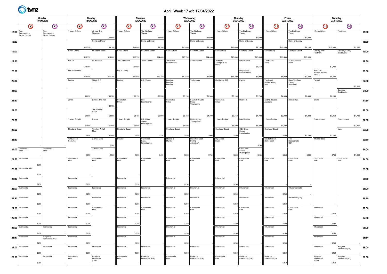# April: Week 17 w/c 17/04/2022

|                                    |                                                              | Sunday                               |                        | Monday<br>18/04/2022         |                |                      | Tuesday<br>19/04/2022 |                        |          |                           | Wednesday<br>20/04/2022 |                                       |          |                                   | Thursday<br>21/04/2022 |                                      |                                    | Friday<br>22/04/2022 |                                   |          |                                                  | Saturday<br>23/04/2022 |                               |         |       |
|------------------------------------|--------------------------------------------------------------|--------------------------------------|------------------------|------------------------------|----------------|----------------------|-----------------------|------------------------|----------|---------------------------|-------------------------|---------------------------------------|----------|-----------------------------------|------------------------|--------------------------------------|------------------------------------|----------------------|-----------------------------------|----------|--------------------------------------------------|------------------------|-------------------------------|---------|-------|
| 17/04/2022<br>$\odot$<br>$\bullet$ |                                                              |                                      | $\bm{\mathsf{O}}$      |                              | $\circledcirc$ | $\bm{\mathsf{O}}$    |                       | $\odot$                |          | $\bullet$                 |                         | $\odot$                               |          | $\bm{\mathsf{O}}$                 |                        | $\odot$                              | $\bullet$                          |                      | $\odot$                           |          | $\bullet$                                        |                        | $\bigcirc$                    |         |       |
| 18:00 $\sqrt{\frac{Non}{Con}}$     | Commercial -<br>Easter Sunday                                | Non<br>Commercial -<br>Easter Sunday | 1 News At 6pm          | All New The<br>Simpsons      |                | 1 News At 6pm        |                       | The Big Bang<br>Theory |          | 1 News At 6pm             |                         | The Big Bang<br>Theory                |          | 1 News At 6pm                     |                        | The Big Bang<br>Theory               | 1 News At 6pm                      |                      | The Big Bang<br>Theory            |          | 1 News At 6pm                                    |                        | The Cube                      |         | 18:00 |
| 18:30                              |                                                              |                                      |                        | Home and Away                | \$3,600        |                      |                       | Home and Away          | \$3,600  |                           |                         | Home and Away                         | \$3,600  |                                   |                        | \$3,600<br>Home and Away             |                                    |                      | Home and Away                     | \$3,600  |                                                  |                        |                               |         | 18:30 |
| 19:00                              |                                                              |                                      | Seven Sharp            | \$22,550<br>Shortland Street | \$8,100        | Seven Sharp          | \$19,800              | Shortland Street       | \$8,100  | Seven Sharp               | \$20,800                | Shortland Street                      | \$8,100  | Seven Sharp                       | \$19,650               | \$8,100<br>Shortland Street          | Seven Sharp                        | \$17,450             | Shortland Street                  | \$8,100  | Cooking With                                     | \$15,000               | Saturday Family               | \$2,250 | 19:00 |
|                                    |                                                              |                                      |                        | \$15,550                     | \$16,000       |                      | \$13,750              |                        | \$14,400 |                           | \$13,750                |                                       | \$14,400 |                                   | \$13,050               | \$13,050                             |                                    | \$11,600             |                                   | \$13,050 | The Stars                                        |                        | Blockbuster                   |         |       |
| 19:30                              |                                                              |                                      | Fair Go                | 60 Seconds<br>\$12,450       |                | The Casketeers       | \$11,550              | <b>Travel Guides</b>   |          | The Million<br>Pound Cube |                         | Snackmasters                          |          | 10 Years<br>Younger In 10<br>Days |                        | Local Factual<br>\$8,550             | The Repair<br>Shop                 |                      | I Can See Your<br>Voice           |          |                                                  | \$7,700                |                               |         | 19:30 |
| 20:00                              |                                                              |                                      | <b>Border Security</b> |                              |                | Lap of Luxury        |                       |                        |          |                           |                         |                                       |          |                                   |                        | Dog Squad<br>Puppy School            |                                    |                      |                                   |          | Heathrow:<br><b>Britain's Busiest</b><br>Airport |                        |                               |         | 20:00 |
| 20:30                              |                                                              |                                      | Factual                | \$10,050<br>Skin A & E       | \$11,250       | Factual              | \$10,850              | CSI: Vegas             | \$10,150 | Location,<br>Location,    | \$10,850                | Taskmaster                            | \$7,900  | My Unique B&B                     | \$11,300               | \$7,900<br>Factual                   | The Great<br><b>British Sewing</b> | \$9,050              | Have You Been<br>Paying           | \$7,200  | Factual                                          | \$5,400                |                               |         | 20:30 |
| 21:00                              |                                                              |                                      |                        |                              |                |                      |                       |                        |          | Location                  |                         |                                       |          |                                   |                        |                                      | Bee                                |                      | Attention?                        |          |                                                  |                        | Saturday                      | \$5,650 | 21:00 |
|                                    |                                                              |                                      |                        | \$9,050                      | \$9,300        |                      | \$8,150               |                        | \$8,550  |                           | \$8,150                 |                                       | \$7,900  |                                   | \$6,100                | \$6,750                              |                                    | \$4,350              |                                   | \$6,400  |                                                  | \$6,100                | Blockbuster                   |         |       |
| 21:30                              |                                                              |                                      | 20/20                  | Beyond The Veil              | \$4,700        | Coronation<br>Street |                       | FBI:<br>International  |          | Coronation<br>Street      |                         | 8 Out of 10 Cats<br>Does<br>Countdown |          | Coronation<br>Street              |                        | Hoarders                             | Selling Houses<br>Australia        |                      | Dinner Date                       |          | Drama                                            |                        |                               |         | 21:30 |
| 22:00                              |                                                              |                                      |                        | The Walking<br>Dead          |                |                      |                       |                        |          |                           |                         |                                       |          |                                   |                        |                                      |                                    |                      |                                   |          |                                                  |                        |                               |         | 22:00 |
| 22:30                              |                                                              |                                      | 1 News Tonight         | \$4,800<br>Drama             | \$2,550        | 1 News Tonight       | \$3,450               | CSI: Crime<br>Scene    | \$6,000  | 1 News Tonight            | \$3,450                 | Hells Kitchen:<br>Young Guns          | \$4,300  | 1 News Tonight                    | \$3,450                | \$4,700<br>Local Factual             | 1 News Tonight                     | \$2,000              | Unreal                            | \$4,300  | Entertainment                                    | \$3,950                | Entertainment                 | \$4,700 | 22:30 |
| 23:00                              |                                                              |                                      | Shortland Street       | \$1,800<br>Two And A Half    | \$1,500        | Shortland Street     | \$1,800               | nvestigation           |          | Shortland Street          | \$1,800                 |                                       |          | Shortland Street                  | \$1,800                | \$1,200<br>CSI: Crime                | Shortland Street                   | \$1,800              |                                   |          |                                                  |                        | Movie                         | \$2,450 | 23:00 |
|                                    |                                                              |                                      |                        | \$850                        | \$1,400        |                      | \$850                 | CSI: Crime             | \$750    |                           | \$850                   |                                       | \$900    |                                   | \$850                  | Scene<br>Investigation               |                                    | \$850                |                                   | \$1,200  |                                                  | \$1,100                |                               |         |       |
| 23:30                              |                                                              |                                      | Ambulance:<br>Code Red | 2 Broke Girls                | \$500          | Sunday               |                       | Scene<br>Investigation |          | My Life Is<br>Murder      |                         | Have You Been<br>Paying<br>Attention? |          | Impossible<br><b>Builds</b>       |                        | \$700                                | <b>Celebrity Best</b><br>Home Cook |                      | The<br>Bachelorette<br><b>USA</b> |          | Informer 3838                                    |                        |                               |         | 23:30 |
|                                    | $24:00$ $\sqrt{\frac{\text{Commercial}}{\text{E}}}\$<br>Free | Commercial<br>Free                   |                        | 2 Broke Girls                |                |                      |                       |                        |          |                           |                         |                                       |          |                                   |                        | CSI: Crime<br>Scene<br>Investigation |                                    |                      |                                   |          |                                                  |                        |                               |         | 24:00 |
|                                    | 24:30   Informercial                                         |                                      | Commercial<br>Free     | \$850<br>Commercial<br>Free  | \$500          | Commercial<br>Free   | \$850                 | Commercial<br>Free     | \$400    | Commercial<br>Free        | \$850                   | Commercial<br>Free                    | \$750    | Commercial<br>Free                | \$850                  | \$450<br>Commercial<br>Free          | Commercial<br>Free                 | \$850                | Commercial<br>Free                | \$600    | Commercial<br>Free                               | \$750                  | Commercial<br>Free            | \$1,250 | 24:30 |
|                                    | \$250<br>25:00 Infomercial (AH)                              |                                      |                        |                              |                |                      |                       |                        |          |                           |                         |                                       |          |                                   |                        |                                      |                                    |                      |                                   |          |                                                  |                        |                               |         | 25:00 |
|                                    | \$250                                                        |                                      | Infomercial            |                              |                | Infomercial          |                       |                        |          | Infomercial               |                         |                                       |          | Infomercial                       |                        |                                      |                                    |                      |                                   |          |                                                  |                        |                               |         |       |
|                                    | 25:30 Informercial<br>\$250                                  |                                      |                        | \$250                        |                |                      | \$250                 |                        |          |                           | \$250                   |                                       |          |                                   | \$250                  |                                      |                                    |                      |                                   |          |                                                  |                        |                               |         | 25:30 |
|                                    | 26:00   Informercial<br>\$250                                |                                      | Infomercial            | Infomercial<br>\$250         |                | Infomercial          | \$250                 | Infomercial            |          | Infomercial               | \$250                   | Infomercial                           |          | Infomercial                       | \$250                  | Infomercial                          | Infomercial                        | \$250                | Infomercial (GS)                  |          |                                                  |                        |                               |         | 26:00 |
|                                    | $26:30$ Infomercial                                          |                                      | Infomercial            | Infomercial                  |                | Infomercial          |                       | Infomercial            |          | Infomercial               |                         | Infomercial                           |          | Infomercial                       |                        | Infomercial                          | Infomercial                        |                      | Infomercial (GS)                  |          |                                                  |                        |                               |         | 26:30 |
|                                    | \$250<br>27:00 Infomercial                                   |                                      | Infomercial            | \$250<br>Commercial<br>Free  |                | Infomercial          | \$250                 | Commercial<br>Free     |          | Infomercial               | \$250                   | Commercial<br>Free                    |          | Infomercial                       | \$250                  | Commercial<br>Free                   | Infomercial                        | \$250                | Commercial<br>Free                |          | Infomercial                                      |                        |                               |         | 27:00 |
|                                    | \$250<br>27:30   Infomercial                                 |                                      | Infomercial            | \$250                        |                | Infomercial          | \$250                 |                        |          | Infomercial               | \$250                   |                                       |          | Infomercial                       | \$250                  |                                      | Infomercial                        | \$250                |                                   |          | Infomercial                                      | \$250                  |                               |         | 27:30 |
|                                    | \$250                                                        |                                      |                        | \$250                        |                |                      | \$250                 |                        |          |                           | \$250                   |                                       |          |                                   | \$250                  |                                      |                                    | \$250                |                                   |          |                                                  | \$250                  |                               |         |       |
|                                    | 28:00   Informercial<br>\$250                                | Infomercial                          | Infomercial            | \$250                        |                | Infomercial          | \$250                 |                        |          | Infomercial               | \$250                   |                                       |          | Infomercial                       | \$250                  |                                      | Infomercial                        | \$250                |                                   |          | Infomercial                                      | \$250                  |                               |         | 28:00 |
|                                    | $28:30$   Informercial                                       | Religious<br>Infomercial (HC)        | Infomercial            |                              |                | Infomercial          |                       |                        |          | Infomercial               |                         |                                       |          | Infomercial                       |                        |                                      | Infomercial                        |                      |                                   |          | Infomercial                                      |                        |                               |         | 28:30 |
|                                    | \$250<br>$29:00$ Infomercial                                 | Infomercial                          | Infomercial            | \$250<br>Infomercial         |                | Infomercial          | \$250                 | Infomercial            |          | Infomercial               | \$250                   | Infomercial                           |          | Infomercial                       | \$250                  | Infomercial                          | Infomercial                        | \$250                |                                   |          | Infomercial                                      | \$250                  | Religious<br>Infomercial (TM) |         | 29:00 |
|                                    | \$250<br>29:30   Infomercial                                 | Infomercial                          | Commercial             | \$250<br>Religious           |                | Commercial           | \$250                 | Religious              |          | Commercial                | \$250                   | Religious                             |          | Commercial                        | \$250                  |                                      |                                    | \$250                |                                   |          |                                                  | \$250                  |                               |         |       |
|                                    | \$250                                                        |                                      | Free                   | Infomercial<br>(LTW)         |                | Free                 |                       | Infomercial (FIA)      |          | Free                      |                         | Infomercial (FIA)                     |          | Free                              |                        | Religious<br>Infomercial (FIA)       | Religious<br>Infomercial (IJ)      | \$250                |                                   |          | Religious<br>Infomercial<br>(LTW)                | \$250                  | Religious<br>Infomercial (HC) |         | 29:30 |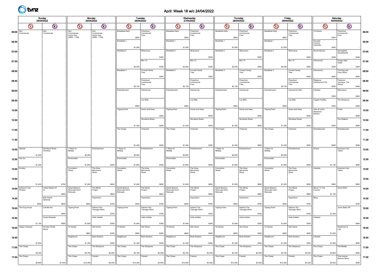# April: Week 18 w/c 24/04/2022

|                           |                                           | Sunday<br>24/04/2022 |                               |                                                     | Monday   | 25/04/2022                                          |         |                                 | Tuesday  | 26/04/2022                      |         |                                 | Wednesday<br>27/04/2022 |                                 |         |                                 | <b>Thursday</b><br>28/04/2022 |                                 |         |                                 | Friday<br>29/04/2022 |                                 |         |                                     | Saturday<br>30/04/2022 |                                   |       |       |
|---------------------------|-------------------------------------------|----------------------|-------------------------------|-----------------------------------------------------|----------|-----------------------------------------------------|---------|---------------------------------|----------|---------------------------------|---------|---------------------------------|-------------------------|---------------------------------|---------|---------------------------------|-------------------------------|---------------------------------|---------|---------------------------------|----------------------|---------------------------------|---------|-------------------------------------|------------------------|-----------------------------------|-------|-------|
|                           | $\bm{\mathsf{O}}$                         |                      | $\bigcirc$                    | $\bm{\mathsf{\odot}}$                               |          | $\bm{\mathsf{\odot}}$                               |         | $\bm{\mathsf{O}}$               |          | $\bm{\mathsf{\odot}}$           |         | $\bullet$                       |                         | $\bm{\mathsf{\odot}}$           |         | $\bm{\mathsf{O}}$               |                               | $\odot$                         |         | $\bullet$                       |                      | $\odot$                         |         | $\bullet$                           |                        | $\odot$                           |       |       |
| 06:00 $\sqrt{\frac{Non}}$ | Commercial                                |                      | Non<br>Commercial             | Non<br>Commercial -<br>Anzac Day<br>$(0600 - 1159)$ |          | Non<br>Commercial -<br>Anzac Day<br>$(0600 - 1159)$ |         | <b>Breakfast Early</b>          | \$850    | Preschool<br>Commercial<br>Free |         | <b>Breakfast Early</b>          | \$850                   | Preschool<br>Commercial<br>Free |         | Breakfast Early                 | \$850                         | Preschool<br>Commercial<br>Free |         | Breakfast Early                 | \$850                | Preschool<br>Commercial<br>Free |         | Te Karere                           | \$450                  | Preschool<br>Commercial<br>Free   |       | 06:00 |
| 06:30                     |                                           |                      |                               |                                                     |          |                                                     |         | Breakfast 1                     | \$1,500  |                                 |         | Breakfast 1                     | \$1,500                 |                                 |         | Breakfast 1                     | \$1,500                       |                                 |         | Breakfast 1                     | \$1,500              |                                 |         | Hyundai<br>Country<br>Calendar      | \$450                  |                                   |       | 06:30 |
| 07:00                     |                                           |                      |                               |                                                     |          |                                                     |         | Breakfast 2                     |          | Miraculous                      |         | Breakfast 2                     |                         | Miraculous                      |         | Breakfast 2                     |                               | Miraculous                      |         | Breakfast 2                     |                      | Miraculous                      |         | <b>Rural Delivery</b>               |                        | Spongebob<br>Squarepants          |       | 07:00 |
| 07:30                     |                                           |                      |                               |                                                     |          |                                                     |         |                                 |          | Ben 10                          | \$300   |                                 |                         | Ben 10                          | \$300   |                                 |                               | Ben 10                          | \$300   |                                 |                      | Ben 10                          | \$300   | Infomercial                         | \$450                  | Dragon Ball                       | \$400 | 07:30 |
|                           |                                           |                      |                               |                                                     |          |                                                     |         |                                 | \$2,450  |                                 | \$300   |                                 | \$2,450                 |                                 | \$300   |                                 | \$2,450                       |                                 | \$300   |                                 | \$2,450              |                                 | \$300   |                                     | $$250$                 | Super                             | \$400 |       |
| 08:00                     |                                           |                      |                               |                                                     |          |                                                     |         | Breakfast 3                     |          | Croods Family<br>Tree           |         | Breakfast 3                     |                         | Croods Family<br>Tree           |         | Breakfast 3                     |                               | Croods Family<br>Tree           |         | Breakfast 3                     |                      | Croods Family<br>Tree           |         | Infomercial                         |                        | The Dog and<br>Pony Show          |       | 08:00 |
| 08:30                     |                                           |                      |                               |                                                     |          |                                                     |         |                                 |          | Preschool                       | \$300   |                                 |                         | Preschool                       | \$300   |                                 |                               | Preschool                       | \$300   |                                 |                      | Preschool                       | \$300   | Religious                           | \$250                  | Pokemon                           | \$400 | 08:30 |
|                           |                                           |                      |                               |                                                     |          |                                                     |         |                                 | \$2,150  | Commercial<br>Free              |         |                                 | \$2,150                 | Commercial<br>Free              |         |                                 | \$2,150                       | Commercial<br>Free              |         |                                 | \$2,150              | Commercial<br>Free              |         | Infomercial (FIA)                   | \$250                  | Journeys: The<br>Series           | \$400 |       |
| 09:00                     |                                           |                      |                               |                                                     |          |                                                     |         | Entertainment                   |          | Infomercial                     |         | Entertainment                   |                         | Infomercial                     |         | Entertainment                   |                               | Infomercial                     |         | Entertainment                   |                      | Infomercial (GS)                |         | Lifestyle                           |                        | Miraculous                        |       | 09:00 |
| 09:30                     |                                           |                      |                               |                                                     |          |                                                     |         |                                 |          | Les Mills                       |         |                                 |                         | Les Mills                       |         |                                 |                               | Les Mills                       |         |                                 |                      | Les Mills                       |         | Tagata Pasifika                     | \$350                  | The Simpsons                      | \$400 | 09:30 |
|                           |                                           |                      |                               |                                                     |          |                                                     |         |                                 | \$900    |                                 |         |                                 | \$900                   |                                 |         |                                 | \$900                         |                                 |         |                                 | \$900                |                                 |         |                                     | \$350                  |                                   | \$450 |       |
| 10:00                     |                                           |                      |                               |                                                     |          |                                                     |         | <b>Tipping Point</b>            |          | Home and Away                   |         | <b>Tipping Point</b>            |                         | Home and Away                   |         | <b>Tipping Point</b>            |                               | Home and Away                   |         | <b>Tipping Point</b>            |                      | Home and Awav                   |         | John & Lisa's<br>Weekend<br>Kitchen |                        | Fresh                             |       | 10:00 |
|                           |                                           |                      |                               |                                                     |          |                                                     |         |                                 |          | Shortland Street                | \$250   |                                 |                         | Shortland Street                | \$250   |                                 |                               | Shortland Street                | \$250   |                                 |                      | Shortland Street                | \$250   |                                     |                        | The Walkers                       | \$600 |       |
| 10:30                     |                                           |                      |                               |                                                     |          |                                                     |         |                                 | \$1,350  |                                 | \$250   |                                 | \$1,350                 |                                 | \$250   |                                 | \$1,350                       |                                 | \$250   |                                 | \$1,350              |                                 | \$250   |                                     | \$550                  |                                   | \$600 | 10:30 |
| 11:00                     |                                           |                      |                               |                                                     |          |                                                     |         | The Chase                       |          | Charmed                         |         | The Chase                       |                         | Charmed                         |         | The Chase                       |                               | Charmed                         |         | The Chase                       |                      | Charmed                         |         | Entertainment                       |                        | Entertainment                     |       | 11:00 |
|                           |                                           |                      |                               |                                                     |          |                                                     |         |                                 |          |                                 |         |                                 |                         |                                 |         |                                 |                               |                                 |         |                                 |                      |                                 |         |                                     |                        |                                   |       |       |
| 11:30                     |                                           |                      |                               |                                                     |          |                                                     |         |                                 | \$1,450  |                                 | \$250   |                                 | \$1,450                 |                                 | \$250   |                                 | \$1,450                       |                                 | \$250   |                                 | \$1,450              |                                 | \$250   |                                     | \$900                  |                                   | \$550 | 11:30 |
| $12:00$ Attitude          |                                           |                      | Shortland Street<br>Omnibus   | 1 News At<br>Midday                                 |          | Entertainment                                       |         | 1 News At<br>Midday             |          | Entertainment                   |         | 1 News At<br>Midday             |                         | Entertainment                   |         | 1 News At<br>Midday             |                               | Entertainment                   |         | 1 News At<br>Midday             |                      | Entertainment                   |         | Drama                               |                        | America's Got<br>Talent           |       | 12:00 |
|                           |                                           | \$1,200              |                               | Emmerdale                                           | \$2,050  |                                                     |         | Emmerdale                       | \$2,050  |                                 |         |                                 | \$2,050                 |                                 |         | Emmerdale                       | \$2,050                       |                                 |         | Emmerdale                       | \$2,050              |                                 |         |                                     |                        |                                   |       |       |
| 12:30 Fair Go             |                                           |                      |                               |                                                     | \$1,850  |                                                     |         |                                 | \$1,850  |                                 | \$450   | Emmerdale                       | \$1,850                 |                                 |         |                                 | \$1,850                       |                                 |         |                                 | \$1,850              |                                 |         |                                     | \$1,150                |                                   |       | 12:30 |
| 13:00   Sunday            |                                           | \$1,400              |                               | Coronation<br>Street                                |          | The Drew<br>Barrymore                               | \$450   | Coronation<br>Street            |          | The Drew<br>Barrymore           |         | Coronation<br>Street            |                         | The Drew<br>Barrymore           | \$450   | Coronation<br>Street            |                               | The Drew<br>Barrymore           | \$450   | Coronation<br>Street            |                      | The Drew<br>Barrymore           | \$450   | Lifestyle                           |                        | America's Got<br>Talent           | \$600 | 13:00 |
|                           |                                           |                      |                               |                                                     |          | Show                                                |         |                                 |          | Show                            |         |                                 |                         | Show                            |         |                                 |                               | Show                            |         |                                 |                      | Show                            |         |                                     |                        |                                   |       |       |
| 13:30                     |                                           |                      |                               |                                                     |          |                                                     |         |                                 |          |                                 |         |                                 |                         |                                 |         |                                 |                               |                                 |         |                                 |                      |                                 |         |                                     |                        |                                   |       | 13:30 |
|                           | 14:00 Extreme Food<br><sup>2</sup> hobics | \$1,450              | \$750<br>United States Of     | Sarah Beeny's<br>Renovate Don't                     | \$1,000  | The Mindy<br>roject                                 | \$650   | Sarah Beeny's<br>Renovate Don't | \$1,000  | The Mindy<br>Project            | \$650   | Sarah Beeny's<br>Renovate Don't | \$1,000                 | The Mindy<br>roject             | \$650   | Sarah Beeny's<br>Renovate Don't | \$1,000                       | The Mindy<br>Project            | \$650   | Sarah Beeny's<br>Renovate Don't | \$1,000              | The Mindy<br>Project            | \$650   | Movin' To The<br>Country            | \$800                  | Good Witch                        | \$650 | 14:00 |
|                           |                                           |                      | \$800                         | Relocate                                            |          |                                                     | \$800   | Relocate                        |          |                                 | \$800   | Relocate                        |                         |                                 | \$800   | Relocate                        |                               |                                 | \$800   | Relocate                        |                      |                                 | \$800   |                                     | \$1,150                |                                   |       |       |
| 14:30                     |                                           |                      | <b>Bob Hearts</b><br>Abishola |                                                     |          | Superstore                                          |         |                                 |          | Superstore                      |         |                                 |                         | Superstore                      |         |                                 |                               | Superstore                      |         |                                 |                      | Superstore                      |         | Bling                               |                        |                                   |       | 14:30 |
| 15:00                     | The Dog House                             | \$900                | \$900<br>Call Me Kat          | <b>Tipping Point</b>                                | \$650    | Sabrina The<br>Teenage Witch                        | \$700   | <b>Tipping Point</b>            | \$650    | Sabrina The<br>Teenage Witch    | \$700   | <b>Tipping Point</b>            | \$650                   | Sabrina The<br>Teenage Witch    | \$700   | <b>Tipping Point</b>            | \$650                         | Sabrina The<br>Teenage Witch    | \$700   | <b>Tipping Point</b>            | \$650                | Sabrina The<br>Teenage Witch    | \$700   |                                     |                        | Junior Bake Off                   | \$750 | 15:00 |
|                           |                                           |                      | \$900                         |                                                     |          |                                                     | \$700   |                                 |          |                                 | \$700   |                                 |                         |                                 | \$700   |                                 |                               |                                 | \$700   |                                 |                      |                                 | \$700   |                                     | \$1,500                |                                   |       |       |
| 15:30                     |                                           |                      | Punky Brewster                |                                                     |          | <b>Holly Hobbie</b>                                 |         |                                 |          | <b>Holly Hobbie</b>             |         |                                 |                         | <b>Holly Hobbie</b>             |         |                                 |                               | <b>Holly Hobbie</b>             |         |                                 |                      | <b>Holly Hobbie</b>             |         | Lifestyle                           |                        |                                   |       | 15:30 |
| 16:00                     | <b>Happy Campers</b>                      | \$1,150              | \$900<br>Sunday Family        | Te Karere                                           | \$1,600  | Get Clever                                          | \$350   | Te Karere                       | \$1,600  | Get Clever                      | \$350   | Te Karere                       | \$1,600                 | Get Clever                      | \$350   | Te Karere                       | \$1,600                       | Get Clever                      | \$350   | Te Karere                       | \$1,600              | Get Clever                      |         |                                     |                        | Superman &                        | \$600 | 16:00 |
|                           |                                           |                      | Movie                         |                                                     | \$850    |                                                     | \$350   |                                 | \$850    |                                 | \$350   |                                 | \$850                   |                                 | \$350   |                                 | \$850                         |                                 | \$350   |                                 | \$850                |                                 | \$350   |                                     | \$1,600                | Lois                              |       |       |
| 16:30                     |                                           |                      |                               | Neighbours                                          |          | <b>Brain Busters</b>                                |         | Neighbours                      |          | <b>Brain Busters</b>            |         | Neighbours                      |                         | <b>Brain Busters</b>            |         | Neighbours                      |                               | <b>Brain Busters</b>            |         | Neighbours                      |                      | <b>Brain Busters</b>            |         | Lifestyle                           |                        |                                   |       | 16:30 |
|                           | 17:00 The Chase                           | \$1,650              |                               | The Chase                                           | \$1,300  | The Simpsons                                        | \$350   | The Chase                       | \$1,300  | The Simpsons                    | \$350   | The Chase                       | \$1,300                 | The Simpsons                    | \$350   | The Chase                       | \$1,300                       | The Simpsons                    | \$350   | The Chase                       | \$1,300              | The Simpsons                    | \$350   | The Chase                           | \$1,600                | The Middle                        | \$550 | 17:00 |
|                           |                                           | \$4,300              |                               |                                                     | \$4,700  |                                                     | \$2,050 |                                 | \$4,700  |                                 | \$2,050 |                                 | \$4,700                 |                                 | \$2,050 |                                 | \$4,700                       |                                 | \$2,050 |                                 | \$4,700              |                                 | \$2,050 |                                     | \$2,850                |                                   | \$550 |       |
|                           | 17:30 The Chase                           |                      |                               | The Chase                                           |          | Friends                                             |         | The Chase                       |          | Friends                         |         | The Chase                       |                         | Friends                         |         | The Chase                       |                               | Friends                         |         | The Chase                       |                      | Friends                         |         | The Chase                           |                        | <b>That Animal</b><br>Rescue Show |       | 17:30 |
|                           |                                           | \$9,800              | \$1,050                       |                                                     | \$10,300 |                                                     | \$3,000 |                                 | \$10,300 |                                 | \$3,000 |                                 | \$10,300                |                                 | \$3,000 |                                 | \$10,300                      |                                 | \$3,000 |                                 | \$10,300             |                                 | \$3,000 |                                     | \$5,000                |                                   | \$550 |       |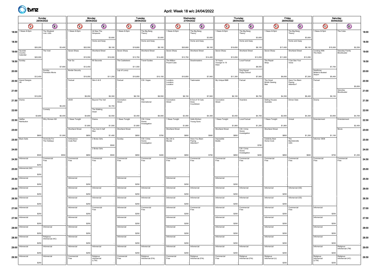

# April: Week 18 w/c 24/04/2022

|                 |                                            | Sunday   |                               |         |                        | Monday<br>25/04/2022 |                                   |          |                       | Tuesday  | 26/04/2022                           |          |                        |          | Wednesday<br>27/04/2022               |          |                       |          | <b>Thursday</b><br>28/04/2022  |          |                                    | Friday<br>29/04/2022 |                                   |          |                                                  | Saturday<br>30/04/2022 |                                |         |       |
|-----------------|--------------------------------------------|----------|-------------------------------|---------|------------------------|----------------------|-----------------------------------|----------|-----------------------|----------|--------------------------------------|----------|------------------------|----------|---------------------------------------|----------|-----------------------|----------|--------------------------------|----------|------------------------------------|----------------------|-----------------------------------|----------|--------------------------------------------------|------------------------|--------------------------------|---------|-------|
|                 | 24/04/2022<br>$\odot$<br>$\bm{\mathsf{O}}$ |          |                               |         | $\bm{\mathsf{\odot}}$  |                      | $\odot$                           |          | $\bm{\mathsf{\odot}}$ |          | $\bigcirc$                           |          | $\bigcirc$             |          | $\odot$                               |          | $\bigcirc$            |          | $\bm{\mathsf{\odot}}$          |          | $\bullet$                          |                      | $\circledcirc$                    |          | $\bm{\mathsf{O}}$                                |                        | $\odot$                        |         |       |
| 18:00           | 1 News At 6pm                              |          | The Weakest<br>Link: USA      |         | 1 News At 6pm          |                      | All New The<br>Simpsons           |          | 1 News At 6pm         |          | The Big Bang<br>Theory               |          | 1 News At 6pm          |          | The Big Bang<br>Theory                |          | 1 News At 6pm         |          | The Big Bang<br>Theory         |          | 1 News At 6pm                      |                      | The Big Bang<br>Theory            |          | 1 News At 6pm                                    |                        | The Cube                       |         | 18:00 |
| 18:30           |                                            |          |                               |         |                        |                      | Home and Away                     | \$3,600  |                       |          | Home and Away                        | \$3,600  |                        |          | Home and Away                         | \$3,600  |                       |          | Home and Away                  | \$3,600  |                                    |                      | Home and Away                     | \$3,600  |                                                  |                        |                                |         | 18:30 |
|                 |                                            | \$20,200 |                               | \$3,400 |                        | \$22,550             |                                   | \$8,100  |                       | \$19,800 |                                      | \$8,100  |                        | \$20,800 |                                       | \$8,100  |                       | \$19,650 |                                | \$8,100  |                                    | \$17,450             |                                   | \$8,100  |                                                  | \$15,000               |                                | \$2,250 |       |
|                 | $19:00$ Hyundai<br>Country<br>Calendar     |          | The Void                      |         | Seven Sharp            |                      | Shortland Street                  |          | Seven Sharp           |          | Shortland Street                     |          | Seven Sharp            |          | Shortland Street                      |          | Seven Sharp           |          | Shortland Street               |          | Seven Sharp                        |                      | Shortland Street                  |          | Cooking With<br>The Stars                        |                        | Saturday Family<br>Blockbuster |         | 19:00 |
| 19:30           | Sunday                                     | \$20,000 |                               |         | Fair Go                | \$15,550             | 60 Seconds                        | \$16,000 | The Casketeers        | \$13,750 | <b>Travel Guides</b>                 | \$14,400 | The Million            | \$13,750 | Snackmasters                          | \$14,400 | 10 Years              | \$13,050 | Local Factual                  | \$13,050 | The Repair                         | \$11,600             | I Can See Your                    | \$13,050 |                                                  |                        |                                |         | 19:30 |
|                 |                                            |          |                               | \$7,900 |                        | \$12,450             |                                   |          |                       | \$11,550 |                                      |          | Pound Cube             |          |                                       |          | Younger In 10<br>Days |          |                                | \$8,550  | Shop                               |                      | Voice                             |          |                                                  | \$7,700                |                                |         |       |
| 20:00           |                                            |          | Sunday<br>Premiere Movie      |         | <b>Border Security</b> |                      |                                   |          | Lap of Luxury         |          |                                      |          |                        |          |                                       |          |                       |          | Dog Squad<br>Puppy School      |          |                                    |                      |                                   |          | Heathrow:<br><b>Britain's Busiest</b><br>Airport |                        |                                |         | 20:00 |
|                 | 20:30 Grand Designs<br>UK                  | \$12,450 |                               |         | Factual                | \$10,050             | Skin A & E                        | \$11,250 | Factual               | \$10,850 | CSI: Vegas                           | \$10,150 | Location,<br>Location, | \$10,850 | Taskmaster                            | \$7,900  | My Unique B&B         | \$11,300 | Factual                        | \$7,900  | The Great<br><b>British Sewing</b> | \$9,050              | Have You Been<br>Paying           | \$7,200  | Factual                                          | \$5,400                |                                |         | 20:30 |
|                 |                                            |          |                               |         |                        |                      |                                   |          |                       |          |                                      |          | Location               |          |                                       |          |                       |          |                                |          |                                    |                      | Attention?                        |          |                                                  |                        |                                | \$5,650 |       |
| 21:00           |                                            | \$10,200 |                               |         |                        | \$9,050              |                                   | \$9,300  |                       | \$8,150  |                                      | \$8,550  |                        | \$8,150  |                                       | \$7,900  |                       | \$6,100  |                                | \$6,750  |                                    | \$4,350              |                                   | \$6,400  |                                                  | \$6,100                | Saturday<br>Blockbuster        |         | 21:00 |
| 21:30 Drama     |                                            |          |                               |         | 20/20                  |                      | Beyond The Veil                   |          | Coronation<br>Street  |          | FBI:<br>International                |          | Coronation<br>Street   |          | 8 Out of 10 Cats<br>Does              |          | Coronation<br>Street  |          | Hoarders                       |          | Selling Houses<br>Australia        |                      | Dinner Date                       |          | Drama                                            |                        |                                |         | 21:30 |
|                 |                                            |          | Comedy                        | \$6,400 |                        |                      | The Walking                       | \$4,700  |                       |          |                                      |          |                        |          | Countdown                             |          |                       |          |                                |          |                                    |                      |                                   |          |                                                  |                        |                                |         |       |
| 22:00           |                                            | \$3,850  |                               | \$6,400 |                        | \$4,800              | Dead                              | \$2,550  |                       | \$3,450  |                                      | \$6,000  |                        | \$3,450  |                                       | \$4,300  |                       | \$3,450  |                                | \$4,700  |                                    | \$2,000              |                                   | \$4,300  |                                                  | \$3,950                |                                | \$4,700 | 22:00 |
| $22:30$ Halifax | Retribution                                |          | Why Women Kill                |         | 1 News Tonight         |                      | Drama                             |          | 1 News Tonight        |          | CSI: Crime<br>Scene                  |          | News Tonight           |          | Hells Kitchen:<br>Young Guns          |          | 1 News Tonight        |          | Local Factual                  |          | 1 News Tonight                     |                      | Unreal                            |          | Entertainment                                    |                        | Entertainment                  |         | 22:30 |
| 23:00           |                                            |          |                               |         | Shortland Street       | \$1,800              | Two And A Half                    | \$1,500  | Shortland Street      | \$1,800  | nvestigation                         |          | Shortland Street       | \$1,800  |                                       |          | Shortland Street      | \$1,800  | CSI: Crime                     | \$1,200  | Shortland Street                   | \$1,800              |                                   |          |                                                  |                        | Movie                          | \$2,450 | 23:00 |
|                 |                                            | \$800    |                               | \$1,000 |                        | \$850                |                                   | \$1,400  |                       | \$850    |                                      | \$750    |                        | \$850    |                                       | \$900    |                       | \$850    | Scene<br>Investigation         |          |                                    | \$850                |                                   | \$1,200  |                                                  | \$1,100                |                                |         |       |
|                 | 23:30   Black Sails                        |          | Homicide For<br>The Holidays  |         | Ambulance<br>Code Red  |                      | 2 Broke Girls                     |          | Sunday                |          | CSI: Crime<br>Scene<br>Investigation |          | My Life Is<br>Murder   |          | Have You Been<br>Paying<br>Attention? |          | mpossible<br>Builds   |          |                                |          | <b>Celebrity Best</b><br>Home Cook |                      | The<br>Bachelorette<br><b>USA</b> |          | Informer 3838                                    |                        |                                |         | 23:30 |
| 24:00           |                                            |          |                               |         |                        |                      | 2 Broke Girls                     | \$500    |                       |          |                                      |          |                        |          |                                       |          |                       |          | CSI: Crime<br>Scene            | \$700    |                                    |                      |                                   |          |                                                  |                        |                                |         | 24:00 |
|                 |                                            | \$500    |                               | \$550   |                        | \$850                |                                   | \$500    |                       | \$850    |                                      | \$400    |                        | \$850    |                                       | \$750    |                       | \$850    | Investigation                  | \$450    |                                    | \$850                |                                   | \$600    |                                                  | \$750                  |                                | \$1,250 |       |
|                 | 24:30   Informercial                       |          | Commercial<br>Free            |         | Commercial<br>Free     |                      | Commercial<br>Free                |          | Commercial<br>Free    |          | Commercial<br>Free                   |          | Commercial<br>Free     |          | Commercial<br>Free                    |          | Commercial<br>Free    |          | Commercial<br>Free             |          | Commercial<br>Free                 |                      | Commercial<br>Free                |          | Commercial<br>Free                               |                        | Commercial<br>Free             |         | 24:30 |
| 25:00           | Infomercial (AH)                           | \$250    |                               |         |                        |                      |                                   |          |                       |          |                                      |          |                        |          |                                       |          |                       |          |                                |          |                                    |                      |                                   |          |                                                  |                        |                                |         | 25:00 |
|                 | Infomercial                                | \$250    |                               |         | Infomercial            |                      |                                   |          | Infomercial           |          |                                      |          | Infomercial            |          |                                       |          | Infomercial           |          |                                |          |                                    |                      |                                   |          |                                                  |                        |                                |         |       |
| 25:30           |                                            | \$250    |                               |         |                        | \$250                |                                   |          |                       | \$250    |                                      |          |                        | \$250    |                                       |          |                       | \$250    |                                |          |                                    |                      |                                   |          |                                                  |                        |                                |         | 25:30 |
|                 | 26:00   Infomercial                        |          |                               |         | Infomercial            |                      | Infomercial                       |          | Infomercial           |          | Infomercial                          |          | Infomercial            |          | Infomercial                           |          | Infomercial           |          | Infomercial                    |          | Infomercial                        |                      | Infomercial (GS)                  |          |                                                  |                        |                                |         | 26:00 |
| 26:30           | Infomercial                                | \$250    |                               |         | Infomercial            | \$250                | Infomercial                       |          | Infomercial           | \$250    | Infomercial                          |          | Infomercial            | \$250    | Infomercial                           |          | Infomercial           | \$250    | Infomercial                    |          | Infomercial                        | \$250                | Infomercial (GS)                  |          |                                                  |                        |                                |         | 26:30 |
|                 |                                            | \$250    |                               |         |                        | \$250                |                                   |          |                       | \$250    |                                      |          |                        | \$250    |                                       |          |                       | \$250    |                                |          |                                    | \$250                |                                   |          |                                                  |                        |                                |         |       |
|                 | 27:00 Informercial                         |          |                               |         | Infomercial            |                      | Commercial<br>Free                |          | Infomercial           |          | Commercial<br>Free                   |          | Infomercial            |          | Commercial<br>Free                    |          | Infomercial           |          | Commercial<br>Free             |          | Infomercial                        |                      | Commercial<br>Free                |          | Infomercial                                      |                        |                                |         | 27:00 |
|                 | $27:30$ Infomercial                        | \$250    |                               |         | Infomercial            | \$250                |                                   |          | Infomercial           | \$250    |                                      |          | Infomercial            | \$250    |                                       |          | Infomercial           | \$250    |                                |          | Infomercial                        | \$250                |                                   |          | Infomercial                                      | \$250                  |                                |         | 27:30 |
|                 |                                            | \$250    |                               |         |                        | \$250                |                                   |          |                       | \$250    |                                      |          |                        | \$250    |                                       |          |                       | \$250    |                                |          |                                    | \$250                |                                   |          |                                                  | \$250                  |                                |         |       |
|                 | $28:00$ Infomercial                        | \$250    | Infomercial                   |         | Infomercial            | \$250                |                                   |          | Infomercial           | \$250    |                                      |          | Infomercial            | \$250    |                                       |          | Infomercial           | \$250    |                                |          | Infomercial                        | \$250                |                                   |          | Infomercial                                      | \$250                  |                                |         | 28:00 |
|                 | 28:30   Informercial                       |          | Religious<br>Infomercial (HC) |         | Infomercial            |                      |                                   |          | Infomercial           |          |                                      |          | Infomercial            |          |                                       |          | Infomercial           |          |                                |          | Infomercial                        |                      |                                   |          | Infomercial                                      |                        |                                |         | 28:30 |
|                 | 29:00   Informercial                       | \$250    | Infomercial                   |         | Infomercial            | \$250                | Infomercial                       |          | Infomercial           | \$250    | Infomercial                          |          | Infomercial            | \$250    | Infomercial                           |          | Infomercial           | \$250    | Infomercial                    |          | Infomercial                        | \$250                |                                   |          | Infomercial                                      | \$250                  | Religious                      |         |       |
|                 |                                            | \$250    |                               |         |                        | \$250                |                                   |          |                       | \$250    |                                      |          |                        | \$250    |                                       |          |                       | \$250    |                                |          |                                    | \$250                |                                   |          |                                                  | \$250                  | Infomercial (TM)               |         | 29:00 |
|                 | 29:30 Informercial                         |          | Infomercial                   |         | Commercial<br>Free     |                      | Religious<br>Infomercial<br>(LTW) |          | Commercial<br>Free    |          | Religious<br>Infomercial (FIA)       |          | Commercial<br>Free     |          | Religious<br>Infomercial (FIA)        |          | Commercial<br>Free    |          | Religious<br>Infomercial (FIA) |          | Religious<br>Infomercial (IJ)      |                      |                                   |          | Religious<br>Infomercial<br>(LTW)                |                        | Religious<br>Infomercial (HC)  |         | 29:30 |
|                 |                                            | \$250    |                               |         |                        |                      |                                   |          |                       |          |                                      |          |                        |          |                                       |          |                       |          |                                |          |                                    | \$250                |                                   |          |                                                  | \$250                  |                                |         |       |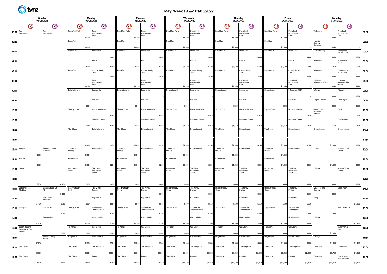# May: Week 19 w/c 01/05/2022

|                   |                                            | Sunday<br>01/05/2022 |                                    |                        |                   | Monday<br>02/05/2022            |         |                        | Tuesday  | 03/05/2022                      |             |                        | Wednesday<br>04/05/2022 |                                 |              |                        |          | <b>Thursday</b><br>05/05/2022   |             |                        | Friday<br>06/05/2022 |                                 |         |                                     | Saturday<br>07/05/2022 |                                 |         |       |
|-------------------|--------------------------------------------|----------------------|------------------------------------|------------------------|-------------------|---------------------------------|---------|------------------------|----------|---------------------------------|-------------|------------------------|-------------------------|---------------------------------|--------------|------------------------|----------|---------------------------------|-------------|------------------------|----------------------|---------------------------------|---------|-------------------------------------|------------------------|---------------------------------|---------|-------|
|                   | $\bm{\mathsf{O}}$                          |                      | $\bm{\bm{\circ}}$                  |                        | $\bm{\mathsf{O}}$ | $\odot$                         |         | $\bm{\mathsf{O}}$      |          | $\bm{\mathsf{\odot}}$           |             | $\bigcirc$             |                         | $\odot$                         |              | O                      |          | $\bm{\mathsf{\odot}}$           |             | $\bigcirc$             |                      | $\odot$                         |         | $\bigcirc$                          |                        | $\bigcirc$                      |         |       |
| 06:00 $\vert$ Non | Commercial                                 |                      | Non<br>Commercial                  | <b>Breakfast Early</b> | \$1,300           | Preschool<br>Commercial<br>Free |         | <b>Breakfast Early</b> |          | Preschool<br>Commercial<br>Free |             | <b>Breakfast Early</b> |                         | Preschool<br>Commercial<br>Free |              | <b>Breakfast Early</b> |          | Preschool<br>Commercial<br>Free |             | <b>Breakfast Early</b> |                      | Preschool<br>Commercial<br>Free |         | Te Karere                           |                        | Preschool<br>Commercial<br>Free |         | 06:00 |
| 06:30             |                                            |                      |                                    | Breakfast 1            |                   |                                 |         | Breakfast 1            | \$1,300  |                                 |             | Breakfast 1            | \$1,300                 |                                 |              | Breakfast 1            | \$1,300  |                                 |             | Breakfast 1            | \$1,300              |                                 |         | Hyundai<br>Country<br>Calendar      | \$350                  |                                 |         | 06:30 |
| 07:00             |                                            |                      |                                    | Breakfast 2            | \$2,000           | Miraculous                      |         | Breakfast 2            | \$2,000  | Miraculous                      |             | Breakfast 2            | \$2,000                 | Miraculous                      |              | Breakfast 2            | \$2,000  | Miraculous                      |             | Breakfast 2            | \$2,000              | Miraculous                      |         | <b>Rural Delivery</b>               | \$350                  | Spongebob<br>Squarepants        |         | 07:00 |
|                   |                                            |                      |                                    |                        |                   |                                 | \$400   |                        |          |                                 | \$400       |                        |                         |                                 | \$400        |                        |          |                                 | \$400       |                        |                      |                                 | \$400   |                                     | \$350                  |                                 | \$550   |       |
| 07:30             |                                            |                      |                                    |                        | \$3,100           | Ben 10                          | \$400   |                        | \$3,100  | Ben 10                          | \$400       |                        | \$3,100                 | Ben 10                          | \$400        |                        | \$3,100  | Ben 10                          | \$400       |                        | \$3,100              | Ben 10                          | \$400   | Infomercial                         | \$250                  | Dragon Ball<br>Super            | \$550   | 07:30 |
| 08:00             |                                            |                      |                                    | Breakfast 3            |                   | Croods Family<br>Tree           |         | Breakfast 3            |          | Croods Family<br>Tree           |             | Breakfast 3            |                         | Croods Family<br>Tree           |              | Breakfast 3            |          | Croods Family<br>Tree           |             | Breakfast 3            |                      | Croods Family<br>Tree           |         | Infomercial                         |                        | The Dog and<br>Pony Show        |         | 08:00 |
| 08:30             |                                            |                      |                                    |                        |                   | Preschool                       | \$400   |                        |          | Preschool                       | \$400       |                        |                         | Preschool                       | \$400        |                        |          | Preschool                       | \$400       |                        |                      | Preschool                       | \$400   |                                     | \$250                  | Pokemon                         | \$550   | 08:30 |
|                   |                                            |                      |                                    |                        | \$2,350           | Commercial<br>Free              |         |                        | \$2,350  | Commercial<br>Free              |             |                        | \$2,350                 | Commercial<br>Free              |              |                        | \$2,350  | Commercial<br>Free              |             |                        | \$2,350              | Commercia<br>Free               |         | Religious<br>Infomercial (FIA)      | \$250                  | Journeys: The<br>Series         | \$550   |       |
| 09:00             |                                            |                      |                                    | Entertainment          |                   | Infomercial                     |         | Entertainment          |          | Infomercial                     |             | Entertainment          |                         | Infomercial                     |              | Entertainment          |          | Infomercial                     |             | Entertainment          |                      | Infomercial (GS)                |         | Lifestyle                           |                        | Miraculous                      |         | 09:00 |
| 09:30             |                                            |                      |                                    |                        |                   | Les Mills                       |         |                        |          | Les Mills                       |             |                        |                         | Les Mills                       |              |                        |          | Les Mills                       |             |                        |                      | Les Mills                       |         | Tagata Pasifika                     | \$300                  | The Simpsons                    | \$550   | 09:30 |
|                   |                                            |                      |                                    |                        | \$800             |                                 |         |                        | \$800    |                                 |             |                        | \$800                   |                                 |              |                        | \$800    |                                 |             |                        | \$800                |                                 |         |                                     | \$300                  |                                 | \$550   |       |
| 10:00             |                                            |                      |                                    | <b>Tipping Point</b>   |                   | Home and Away                   | \$250   | <b>Tipping Point</b>   |          | Home and Away                   | \$250       | <b>Tipping Point</b>   |                         | Home and Away                   | \$250        | <b>Tipping Point</b>   |          | lome and Away                   | \$250       | <b>Tipping Point</b>   |                      | Home and Away                   | \$250   | John & Lisa's<br>Weekend<br>Kitchen |                        | Fresh                           | \$950   | 10:00 |
| 10:30             |                                            |                      |                                    |                        |                   | Shortland Street                |         |                        |          | <b>Shortland Street</b>         |             |                        |                         | Shortland Street                |              |                        |          | <b>Shortland Street</b>         |             |                        |                      | Shortland Street                |         |                                     |                        | The Walkers                     |         | 10:30 |
| 11:00             |                                            |                      |                                    | The Chase              | \$1,450           | Entertainment                   | \$250   | The Chase              | \$1,450  | Entertainment                   | \$250       | The Chase              | \$1,450                 | Entertainment                   | \$250        | The Chase              | \$1,450  | Entertainment                   | \$250       | The Chase              | \$1,450              | Entertainment                   | \$250   | Entertainment                       | \$550                  | Entertainment                   | \$350   | 11:00 |
|                   |                                            |                      |                                    |                        |                   |                                 |         |                        |          |                                 |             |                        |                         |                                 |              |                        |          |                                 |             |                        |                      |                                 |         |                                     |                        |                                 |         |       |
| 11:30             |                                            |                      |                                    |                        |                   |                                 |         |                        |          |                                 |             |                        |                         |                                 |              |                        |          |                                 |             |                        |                      |                                 |         |                                     |                        |                                 |         | 11:30 |
| 12:00             | Attitude                                   |                      | <b>Shortland Street</b><br>Omnibus | 1 News At<br>Midday    | \$1,400           | Entertainment                   | \$250   | 1 News At<br>Midday    | \$1,400  | Entertainment                   | \$250       | 1 News At<br>Midday    | \$1,400                 | Entertainment                   | \$250        | 1 News At<br>Midday    | \$1,400  | Entertainment                   | \$250       | 1 News At<br>Midday    | \$1,400              | Entertainment                   | \$250   | Drama                               | \$1,000                | America's Got<br>Talent         | \$350   | 12:00 |
|                   |                                            | \$800                |                                    | Emmerdale              | \$1,850           |                                 |         | Emmerdale              | \$1,850  |                                 |             | Emmerdale              | \$1,850                 |                                 |              | Emmerdale              | \$1,850  |                                 |             | Emmerdale              | \$1,850              |                                 |         |                                     |                        |                                 |         |       |
|                   | 12:30 Fair Go                              | \$950                |                                    |                        | \$1,650           |                                 | \$250   |                        | \$1,650  |                                 | \$250       |                        | \$1,650                 |                                 | \$250        |                        | \$1,650  |                                 | \$250       |                        | \$1,650              |                                 | \$250   |                                     | \$1,300                |                                 | \$400   | 12:30 |
| 13:00             | Sunday                                     |                      |                                    | Coronation<br>Street   |                   | The Drew<br>Barrymore<br>Show   |         | Coronation<br>Street   |          | The Drew<br>Barrymore<br>Show   |             | Coronation<br>Street   |                         | The Drew<br>Barrymore<br>Show   |              | Coronation<br>Street   |          | The Drew<br>Barrymore<br>Show   |             | Coronation<br>Street   |                      | The Drew<br>Barrymore<br>Show   |         | Lifestyle                           |                        | America's Got<br>Talent         |         | 13:00 |
| 13:30             |                                            |                      |                                    |                        |                   |                                 |         |                        |          |                                 |             |                        |                         |                                 |              |                        |          |                                 |             |                        |                      |                                 |         |                                     |                        |                                 |         | 13:30 |
|                   |                                            | \$750                | \$1,250                            |                        | \$850             |                                 | \$650   |                        | \$850    |                                 | \$650       |                        | \$850                   |                                 | \$650        |                        | \$850    |                                 | \$650       |                        | \$850                |                                 | \$650   |                                     | \$900                  |                                 | \$850   |       |
| 14:00             | <b>Extreme Food</b><br><sup>2</sup> hobics |                      | United States Of<br>\$1,250        | Ready Steady<br>Cook   |                   | The Mindy<br>roject             | \$550   | Ready Steady<br>Cook   |          | The Mindy<br>Project            | \$550       | Ready Steady<br>Cook   |                         | The Mindy<br>roject             | \$550        | Ready Steady<br>Cook   |          | The Mindy<br>Project            | \$550       | Ready Steady<br>Cook   |                      | The Mindy<br>roject             | \$550   | Movin' To The<br>Country            | \$800                  | Good Witch                      |         | 14:00 |
| 14:30             |                                            |                      | <b>Bob Hearts</b><br>Abishola      |                        |                   | Superstore                      |         |                        |          | Superstore                      |             |                        |                         | Superstore                      |              |                        |          | Superstore                      |             |                        |                      | Superstore                      |         | Bling                               |                        |                                 |         | 14:30 |
| 15:00             | Lifestyle                                  | \$1,100              | \$750<br>Call Me Kat               | <b>Tipping Point</b>   | \$600             | Sabrina The                     | \$550   | <b>Tipping Point</b>   | \$600    | Sabrina The                     | \$550       | <b>Tipping Point</b>   | \$600                   | Sabrina The                     | \$550        | <b>Tipping Point</b>   | \$600    | Sabrina The                     | \$550       | <b>Tipping Point</b>   | \$600                | Sabrina The                     | \$550   |                                     |                        | Junior Bake Off                 | \$1,250 | 15:00 |
|                   |                                            |                      | \$750                              |                        |                   | Teenage Witch                   | \$700   |                        |          | Teenage Witch                   | \$700       |                        |                         | <b>Teenage Witch</b>            | \$700        |                        |          | Teenage Witch                   | \$700       |                        |                      | Feenage Witch                   | \$700   |                                     | \$800                  |                                 |         |       |
| 15:30             |                                            |                      | Fantasy Island                     |                        |                   | <b>Holly Hobbie</b>             |         |                        |          | <b>Holly Hobbie</b>             |             |                        |                         | <b>Holly Hobbie</b>             |              |                        |          | <b>Holly Hobbie</b>             |             |                        |                      | <b>Holly Hobbie</b>             |         | Lifestyle                           |                        |                                 |         | 15:30 |
|                   | 16:00 Sarah Beeny's                        | \$1,600              |                                    | Te Karere              | \$1,300           | Get Clever                      | -5300   | Te Karere              | \$1,300  | Get Clever                      | <b>S300</b> | Te Karere              | \$1,300                 | Get Clever                      | <b>\$300</b> | Te Karere              | \$1,300  | Get Clever                      | <b>S300</b> | Te Karere              | \$1,300              | Get Clever                      | \$300   |                                     |                        | Superman &<br>Lois              | \$1,300 | 16:00 |
|                   | Country                                    |                      | \$700<br>Sunday Family             | Neighbours             | \$600             | <b>Brain Busters</b>            | \$300   | Neighbours             | \$600    | <b>Brain Busters</b>            | \$300       | Neighbours             | \$600                   | <b>Brain Busters</b>            | \$300        | Neighbours             | \$600    | <b>Brain Busters</b>            | \$300       | Neighbours             | \$600                | <b>Brain Busters</b>            | \$300   | Lifestyle                           | \$1,850                |                                 |         |       |
| 16:30             |                                            | \$2,250              | Movie                              |                        | \$1,000           |                                 | \$300   |                        | \$1,000  |                                 | \$300       |                        | \$1,000                 |                                 | \$300        |                        | \$1,000  |                                 | \$300       |                        | \$1,000              |                                 | \$300   |                                     | \$1,850                |                                 | \$1,450 | 16:30 |
|                   | 17:00 The Chase                            |                      |                                    | The Chase              |                   | The Simpsons                    |         | The Chase              |          | The Simpsons                    |             | The Chase              |                         | The Simpsons                    |              | The Chase              |          | The Simpsons                    |             | The Chase              |                      | The Simpsons                    |         | The Chase                           |                        | The Middle                      |         | 17:00 |
|                   | 17:30 The Chase                            | \$6,000              |                                    | The Chase              | \$5,650           | Friends                         | \$2,800 | The Chase              | \$5,650  | Friends                         | \$2,800     | The Chase              | \$5,650                 | Friends                         | \$2,800      | The Chase              | \$5,650  | Friends                         | \$2,800     | The Chase              | \$5,650              | Friends                         | \$2,800 | The Chase                           | \$5,750                | <b>That Animal</b>              | \$1,450 | 17:30 |
|                   |                                            | \$12,800             | \$600                              |                        | \$13,400          |                                 | \$3,350 |                        | \$13,400 |                                 | \$3,350     |                        | \$13,400                |                                 | \$3,350      |                        | \$13,400 |                                 | \$3,350     |                        | \$13,400             |                                 | \$3,350 |                                     | \$11,450               | Rescue Show                     | \$1,450 |       |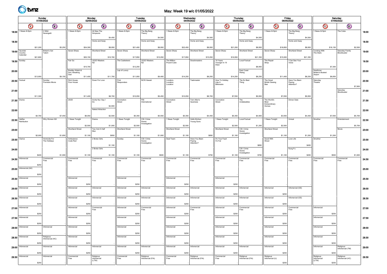# May: Week 19 w/c 01/05/2022

|               |                                                       |          | Sunday                        |         |                                         | Monday<br>02/05/2022 |                         |          |                  | <b>Tuesday</b> | 03/05/2022             |          |                       |          | Wednesday<br>04/05/2022 |          |                       |          | Thursday<br>05/05/2022               |                                | Friday<br>06/05/2022 |                        |          |                                                  | Saturday<br>07/05/2022 |                                |         |       |
|---------------|-------------------------------------------------------|----------|-------------------------------|---------|-----------------------------------------|----------------------|-------------------------|----------|------------------|----------------|------------------------|----------|-----------------------|----------|-------------------------|----------|-----------------------|----------|--------------------------------------|--------------------------------|----------------------|------------------------|----------|--------------------------------------------------|------------------------|--------------------------------|---------|-------|
|               | 01/05/2022<br>$\odot$<br>$\bm{\mathsf{O}}$<br>2 Wild: |          |                               |         | $\bm{\mathsf{O}}$                       |                      | $\bm{\mathsf{\odot}}$   |          | $\bigcirc$       |                | $\bm{\mathsf{\odot}}$  |          | $\bm{\mathsf{O}}$     |          | $\odot$                 |          | $\bigcirc$            |          | $\bm{\mathsf{\odot}}$                | $\bullet$                      |                      | $\bm{\mathsf{\odot}}$  |          | $\bm{\mathsf{O}}$                                |                        | $\odot$                        |         |       |
|               | 18:00 <sup>1</sup> News At 6pm                        |          | Serengetti                    |         | 1 News At 6pm                           |                      | All New The<br>Simpsons |          | 1 News At 6pm    |                | The Big Bang<br>Theory |          | 1 News At 6pm         |          | The Big Bang<br>Theory  |          | 1 News At 6pm         |          | The Big Bang<br>Theory               | 1 News At 6pm                  |                      | The Big Bang<br>Theory |          | 1 News At 6pm                                    |                        | The Cube                       |         | 18:00 |
| 18:30         |                                                       |          |                               |         |                                         |                      | Home and Away           | \$4,450  |                  |                | Home and Away          | \$4,500  |                       |          | Home and Away           | \$4,500  |                       |          | \$4,500<br>Home and Away             |                                |                      | Home and Away          | \$4,500  |                                                  |                        |                                |         | 18:30 |
|               |                                                       | \$21,200 |                               | \$5,250 |                                         | \$24,300             |                         | \$8,950  |                  | \$21,400       |                        | \$8,950  |                       | \$22,450 |                         | \$8,950  |                       | \$21,200 | \$8,950                              |                                | \$18,850             |                        | \$8,950  |                                                  | \$16,150               |                                | \$2,500 |       |
|               | 19:00   Hyundai<br>Country<br>Calendar                |          | Britain's Got<br>Talent       |         | Seven Sharp                             |                      | Shortland Street        |          | Seven Sharp      |                | Shortland Street       |          | Seven Sharp           |          | Shortland Street        |          | Seven Sharp           |          | Shortland Street                     | Seven Sharp                    |                      | Shortland Street       |          | Cooking With<br>The Stars                        |                        | Saturday Family<br>Blockbuster |         | 19:00 |
| 19:30         | Sunday                                                | \$21,800 |                               |         | Fair Go                                 | \$20,150             | <b>LEGO Masters</b>     | \$16,700 | The Casketeers   | \$17,850       | <b>LEGO Masters</b>    | \$15,050 | The Million           | \$17,850 | Snackmasters            | \$15,050 | 10 Years              | \$16,950 | \$21,350<br>Local Factual            | The Repair                     | \$15,000             | I Can See Your         | \$21,350 |                                                  |                        |                                |         | 19:30 |
|               |                                                       |          |                               |         |                                         | \$15,700             | N7                      |          |                  | \$12,250       | NZ.                    |          | Pound Cube            |          |                         |          | Younger In 10<br>Days |          | \$8,950                              | Shop                           |                      | Voice                  |          |                                                  | \$7,300                |                                |         |       |
| 20:00         |                                                       |          |                               |         | Bradley Walsh &<br>Son: Breaking<br>Dad |                      |                         |          | Lap of Luxury    |                |                        |          |                       |          |                         |          |                       |          | East Coast<br>Rising                 |                                |                      |                        |          | Heathrow:<br><b>Britain's Busiest</b><br>Airport |                        |                                |         | 20:00 |
|               | 20:30 Factual                                         | \$13,950 | Sunday                        | \$9,150 | Rich House,                             | \$11,400             | Down For Love           | \$11,750 | First            | \$11,950       | NCIS Hawaii            | \$9,400  | Location,             | \$14,250 | Taskmaster              | \$8,250  | How To Holiday        | \$14,250 | \$8,250<br>The Ex Best               | The Great                      | \$11,400             | Have You Been          | \$8,250  | Saturday                                         | \$6,650                |                                |         | 20:30 |
|               |                                                       |          | Premiere Movie                |         | Poor House                              |                      |                         |          | Responders       |                |                        |          | Location,<br>Location |          |                         |          | Like A<br>Billionaire |          | Thing                                | <b>British Sewing</b><br>Bee   |                      | Paying<br>Attention?   |          | Theatre <sup>®</sup>                             |                        |                                | \$7,900 |       |
| 21:00         |                                                       |          |                               |         |                                         |                      |                         |          |                  |                |                        |          |                       |          |                         |          |                       |          |                                      |                                |                      |                        |          |                                                  |                        | Saturday<br>Blockbuster        |         | 21:00 |
| 21:30 Drama   |                                                       | \$11,300 |                               |         | 20/20                                   | \$11,400             | Aroha Nui: Say I        | \$8,700  | Coronation       | \$10,050       | FBI:                   | \$9,450  | Coronation            | \$10,050 | Tom Allen's             | \$8,700  | Coronation            | \$7,550  | \$9,950<br>The                       | The World's                    | \$7,050              | Dinner Date            | \$9,950  |                                                  |                        |                                |         | 21:30 |
|               |                                                       |          |                               |         |                                         |                      |                         | \$4,900  | Street           |                | International          |          | Street                |          | Quizness                |          | Street                |          | Undateables                          | Most<br>Extraordinary<br>Homes |                      |                        |          |                                                  |                        |                                |         |       |
| 22:00         |                                                       |          |                               |         |                                         |                      | Naked Attraction        |          |                  |                |                        |          |                       |          |                         |          |                       |          |                                      |                                |                      |                        |          |                                                  |                        |                                |         | 22:00 |
| 22:30         | Halifax                                               | \$4,750  | Why Women Kill                | \$7,450 | 1 News Tonight                          | \$6,050              | Drama                   | \$2,500  | 1 News Tonight   | \$5,350        | CSI: Crime             | \$5,550  | 1 News Tonight        | \$5,350  | Hells Kitchen:          | \$4,450  | 1 News Tonight        | \$5,350  | \$4,900<br>Local Factual             | 1 News Tonight                 | \$3,550              | Unreal                 | \$4,450  | Smother                                          | \$7,550                | Entertainment                  | \$5,700 | 22:30 |
|               | Retribution                                           |          |                               |         |                                         | \$2,500              |                         | \$1,000  |                  | \$2,500        | Scene<br>Investigation |          |                       | \$2,500  | Young Guns              |          |                       | \$2,500  | \$1,200                              |                                | \$2,500              |                        |          |                                                  |                        |                                | \$5,700 |       |
| 23:00         |                                                       |          |                               |         | Shortland Street                        |                      | Two And A Half          |          | Shortland Street |                |                        |          | Shortland Street      |          |                         |          | Shortland Street      |          | CSI: Crime<br>Scene<br>Investigation | Shortland Street               |                      |                        |          |                                                  |                        | Movie                          |         | 23:00 |
| 23:30 Clarice |                                                       | \$2,000  | Homicide For                  | \$1,650 | Ambulance:                              | \$1,100              | 2 Broke Girls           | \$950    | Sunday           | \$1,100        | CSI: Crime             | \$1,000  | Seal Team             | \$1,100  | Have You Been           | \$850    | It's Your Fault       | \$1,100  |                                      | Good With                      | \$1,100              | Love Life              | \$1,200  | Smother                                          | \$1,200                |                                |         | 23:30 |
|               |                                                       |          | The Holidays                  |         | Code Red                                |                      |                         | \$1,100  |                  |                | Scene<br>Investigation |          |                       |          | Paying<br>Attention?    |          | I'm Fat               |          | \$850                                | Wood                           |                      |                        | \$450    |                                                  |                        |                                |         |       |
| 24:00         |                                                       |          |                               |         |                                         |                      | 2 Broke Girls           |          |                  |                |                        |          |                       |          |                         |          |                       |          | CSI: Crime<br>Scene                  |                                |                      | Kung Fu                |          |                                                  |                        |                                |         | 24:00 |
| 24:30         | Infomercial                                           | \$400    | Commercial                    | \$1,000 | Commercial                              | \$1,100              | Commercial              | \$1,100  | Commercial       | \$1,100        | Commercial             | \$600    | Commercial            | \$1,100  | Commercial              | \$750    | Commercial            | \$1,100  | Investigation<br>\$700<br>Commercial | Commercial                     | \$1,100              | Commercial             | \$450    | Commercial                                       | \$500                  | Commercial                     | \$1,600 | 24:30 |
|               |                                                       | \$250    | Free                          |         | Free                                    |                      | Free                    |          | Free             |                | Free                   |          | Free                  |          | Free                    |          | Free                  |          | Free                                 | Free                           |                      | Free                   |          | Free                                             |                        | Free                           |         |       |
| 25:00         | Infomercial (AH)                                      |          |                               |         |                                         |                      |                         |          |                  |                |                        |          |                       |          |                         |          |                       |          |                                      |                                |                      |                        |          |                                                  |                        |                                |         | 25:00 |
| 25:30         | Infomercial                                           | \$250    |                               |         | Infomercial                             |                      |                         |          | Infomercial      |                |                        |          | Infomercial           |          |                         |          | Infomercial           |          |                                      |                                |                      |                        |          |                                                  |                        |                                |         | 25:30 |
|               |                                                       | \$250    |                               |         |                                         | \$250                |                         |          |                  | \$250          |                        |          |                       | \$250    |                         |          |                       | \$250    |                                      |                                |                      |                        |          |                                                  |                        |                                |         |       |
| 26:00         | Infomercial                                           |          |                               |         | Infomercial                             |                      | Infomercial             |          | Infomercial      |                | Infomercial            |          | Infomercial           |          | Infomercial             |          | Infomercial           |          | Infomercial                          | Infomercial                    |                      | Infomercial (GS)       |          |                                                  |                        |                                |         | 26:00 |
| 26:30         | Infomercial                                           | \$250    |                               |         | Infomercial                             | \$250                | Infomercial             |          | Infomercial      | \$250          | Infomercial            |          | Infomercial           | \$250    | Infomercial             |          | Infomercial           | \$250    | Infomercial                          | Infomercial                    | \$250                | Infomercial (GS)       |          |                                                  |                        |                                |         | 26:30 |
|               |                                                       | \$250    |                               |         |                                         | \$250                |                         |          |                  | \$250          |                        |          |                       | \$250    |                         |          |                       | \$250    |                                      |                                | \$250                |                        |          |                                                  |                        |                                |         |       |
| 27:00         | Infomercial                                           |          |                               |         | Infomercial                             |                      | Commercial<br>Free      |          | Infomercial      |                | Commercial<br>Free     |          | Infomercial           |          | Commercial<br>Free      |          | Infomercial           |          | Commercial<br>Free                   | Infomercial                    |                      | Commercia<br>Free      |          | Infomercial                                      |                        |                                |         | 27:00 |
| 27:30         | Infomercial                                           | \$250    |                               |         | Infomercial                             | \$250                |                         |          | Infomercial      | \$250          |                        |          | Infomercial           | \$250    |                         |          | Infomercial           | \$250    |                                      | Infomercial                    | \$250                |                        |          | Infomercial                                      | \$250                  |                                |         | 27:30 |
|               |                                                       | \$250    |                               |         |                                         | \$250                |                         |          |                  | \$250          |                        |          |                       | \$250    |                         |          |                       | \$250    |                                      |                                | \$250                |                        |          |                                                  | \$250                  |                                |         |       |
|               | $28:00$   Informercial                                |          | Infomercial                   |         | Infomercial                             |                      |                         |          | Infomercial      |                |                        |          | Infomercial           |          |                         |          | Infomercial           |          |                                      | Infomercial                    |                      |                        |          | Infomercial                                      |                        |                                |         | 28:00 |
| 28:30         | Infomercial                                           | \$250    | Religious<br>Infomercial (HC) |         | Infomercial                             | \$250                |                         |          | Infomercial      | \$250          |                        |          | Infomercial           | \$250    |                         |          | Infomercial           | \$250    |                                      | Infomercial                    | \$250                |                        |          | Infomercial                                      | \$250                  |                                |         | 28:30 |
|               |                                                       | \$250    |                               |         |                                         | \$250                |                         |          |                  | \$250          |                        |          |                       | \$250    |                         |          |                       | \$250    |                                      |                                | \$250                |                        |          |                                                  | \$250                  |                                |         |       |
|               | $29:00$   Informercial                                |          | Infomercial                   |         | Infomercial                             |                      | Infomercial             |          | Infomercial      |                | Infomercial            |          | Infomercial           |          | Infomercial             |          | Infomercial           |          | Infomercial                          | Infomercial                    |                      |                        |          | Infomercial                                      |                        | Religious<br>Infomercial (TM)  |         | 29:00 |
|               | $29:30$   Informercial                                | \$250    | Infomercial                   |         | Commercial                              | \$250                | Religious               |          | Commercial       | \$250          | Religious              |          | Commercial            | \$250    | Religious               |          | Commercial            | \$250    | Religious                            | Religious                      | \$250                |                        |          |                                                  | \$250                  | Religious                      |         | 29:30 |
|               |                                                       | \$250    |                               |         | Free                                    |                      | Infomercial<br>(LTW)    |          | Free             |                | Infomercial (FIA)      |          | Free                  |          | Infomercial (FIA)       |          | Free                  |          | Infomercial (FIA)                    | Infomercial (IJ)               | \$250                |                        |          | Religious<br>Infomercial<br>(LTW)                | \$250                  | Infomercial (HC)               |         |       |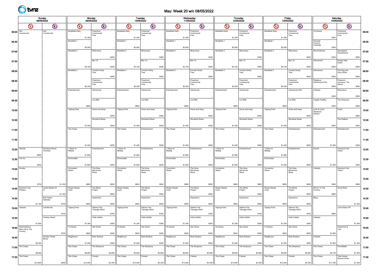# May: Week 20 w/c 08/05/2022

|                         |                                            | Sunday   | 08/05/2022                               |                        |                   | Monday<br>09/05/2022            |         |                        | Tuesday  | 10/05/2022                      |             |                        | Wednesday<br>11/05/2022 |                                     |              |                        |          | <b>Thursday</b><br>12/05/2022   |             |                        | Friday<br>13/05/2022 |                                 |         |                                | Saturday<br>14/05/2022 |                                 |         |       |
|-------------------------|--------------------------------------------|----------|------------------------------------------|------------------------|-------------------|---------------------------------|---------|------------------------|----------|---------------------------------|-------------|------------------------|-------------------------|-------------------------------------|--------------|------------------------|----------|---------------------------------|-------------|------------------------|----------------------|---------------------------------|---------|--------------------------------|------------------------|---------------------------------|---------|-------|
|                         | $\bm{\mathsf{O}}$                          |          | $\bm{\bm{\circ}}$                        |                        | $\bm{\mathsf{O}}$ | $\odot$                         |         | $\bm{\mathsf{O}}$      |          | $\odot$                         |             | $\bigcirc$             |                         | $\odot$                             |              | O                      |          | $\bm{\mathsf{\odot}}$           |             | $\bigcirc$             |                      | $\odot$                         |         | $\bigcirc$                     |                        | $\bigcirc$                      |         |       |
| 06:00 $\frac{Non}{Com}$ | Commercial                                 |          | Non<br>Commercial                        | <b>Breakfast Early</b> |                   | Preschool<br>Commercial<br>Free |         | <b>Breakfast Early</b> |          | Preschool<br>Commercial<br>Free |             | <b>Breakfast Early</b> |                         | Preschool<br>Commercial<br>Free     |              | <b>Breakfast Early</b> |          | Preschool<br>Commercial<br>Free |             | <b>Breakfast Early</b> |                      | Preschool<br>Commercial<br>Free |         | Te Karere                      |                        | Preschool<br>Commercial<br>Free |         | 06:00 |
| 06:30                   |                                            |          |                                          | Breakfast 1            | \$1,300           |                                 |         | Breakfast 1            | \$1,300  |                                 |             | Breakfast 1            | \$1,300                 |                                     |              | Breakfast 1            | \$1,300  |                                 |             | Breakfast 1            | \$1,300              |                                 |         | Hyundai<br>Country<br>Calendar | \$350                  |                                 |         | 06:30 |
| 07:00                   |                                            |          |                                          | Breakfast 2            | \$2,000           | Miraculous                      |         | Breakfast 2            | \$2,000  | Miraculous                      |             | Breakfast 2            | \$2,000                 | Miraculous                          |              | Breakfast 2            | \$2,000  | Miraculous                      |             | Breakfast 2            | \$2,000              | Miraculous                      |         | <b>Rural Delivery</b>          | \$350                  | Spongebob<br>Squarepants        |         | 07:00 |
|                         |                                            |          |                                          |                        |                   |                                 | \$400   |                        |          |                                 | \$400       |                        |                         |                                     | \$400        |                        |          |                                 | \$400       |                        |                      |                                 | \$400   |                                | \$350                  |                                 | \$550   |       |
| 07:30                   |                                            |          |                                          |                        | \$3,100           | Ben 10                          | \$400   |                        | \$3,100  | Ben 10                          | \$400       |                        | \$3,100                 | Ben 10                              | \$400        |                        | \$3,100  | Ben 10                          | \$400       |                        | \$3,100              | Ben 10                          | \$400   | Infomercial                    | \$250                  | Dragon Ball<br>Super            | \$550   | 07:30 |
| 08:00                   |                                            |          |                                          | Breakfast 3            |                   | Croods Family<br>Tree           |         | Breakfast 3            |          | Croods Family<br>Tree           |             | Breakfast 3            |                         | Croods Family<br>Tree               |              | Breakfast 3            |          | Croods Family<br>Tree           |             | Breakfast 3            |                      | Croods Family<br>Tree           |         | Infomercial                    |                        | The Dog and<br>Pony Show        |         | 08:00 |
| 08:30                   |                                            |          |                                          |                        |                   | Preschool                       | \$400   |                        |          | Preschool                       | \$400       |                        |                         | Preschool                           | \$400        |                        |          | Preschool                       | \$400       |                        |                      | Preschool                       | \$400   | Religious<br>Infomercial (FIA) | \$250                  | Pokemon                         | \$550   | 08:30 |
|                         |                                            |          |                                          |                        | \$2,350           | Commercial<br>Free              |         |                        | \$2,350  | Commercial<br>Free              |             |                        | \$2,350                 | Commercial<br>Free                  |              |                        | \$2,350  | Commercial<br>Free              |             |                        | \$2,350              | Commercia<br>Free               |         |                                | \$250                  | Journeys: The<br>Series         | \$550   |       |
| 09:00                   |                                            |          |                                          | Entertainment          |                   | Infomercial                     |         | Entertainment          |          | Infomercial                     |             | Entertainment          |                         | Infomercial                         |              | Entertainment          |          | Infomercial                     |             | Entertainment          |                      | Infomercial (GS)                |         | Lifestyle                      | \$300                  | Miraculous                      | \$550   | 09:00 |
| 09:30                   |                                            |          |                                          |                        |                   | Les Mills                       |         |                        |          | Les Mills                       |             |                        |                         | Les Mills                           |              |                        |          | Les Mills                       |             |                        |                      | Les Mills                       |         | Tagata Pasifika                |                        | The Simpsons                    |         | 09:30 |
| 10:00                   |                                            |          |                                          | <b>Tipping Point</b>   | \$800             | Home and Away                   |         | <b>Tipping Point</b>   | \$800    | Home and Away                   |             | <b>Tipping Point</b>   | \$800                   | Home and Away                       |              | <b>Tipping Point</b>   | \$800    | lome and Away                   |             | <b>Tipping Point</b>   | \$800                | Home and Away                   |         | John & Lisa's                  | \$300                  | Fresh                           | \$550   | 10:00 |
|                         |                                            |          |                                          |                        |                   |                                 | \$250   |                        |          |                                 | \$250       |                        |                         |                                     | \$250        |                        |          |                                 | \$250       |                        |                      |                                 | \$250   | Weekend<br>Kitchen             |                        |                                 | \$950   |       |
| 10:30                   |                                            |          |                                          |                        | \$1,450           | Shortland Street                | \$250   |                        | \$1,450  | <b>Shortland Street</b>         | \$250       |                        | \$1,450                 | Shortland Street                    | \$250        |                        | \$1,450  | Shortland Street                | \$250       |                        | \$1,450              | Shortland Street                | \$250   |                                | \$550                  | The Walkers                     | \$350   | 10:30 |
| 11:00                   |                                            |          |                                          | The Chase              |                   | Entertainment                   |         | The Chase              |          | Entertainment                   |             | The Chase              |                         | Entertainment                       |              | The Chase              |          | Entertainment                   |             | The Chase              |                      | Entertainment                   |         | Entertainment                  |                        | Entertainment                   |         | 11:00 |
| 11:30                   |                                            |          |                                          |                        |                   |                                 |         |                        |          |                                 |             |                        |                         |                                     |              |                        |          |                                 |             |                        |                      |                                 |         |                                |                        |                                 |         | 11:30 |
|                         |                                            |          |                                          |                        | \$1,400           |                                 | \$250   |                        | \$1,400  |                                 | \$250       |                        | \$1,400                 |                                     | \$250        |                        | \$1,400  |                                 | \$250       |                        | \$1,400              |                                 | \$250   |                                | \$1,000                |                                 | \$350   |       |
| 12:00                   | Attitude                                   | \$800    | <b>Shortland Street</b><br>Omnibus       | 1 News At<br>Midday    | \$1,850           | Entertainment                   |         | 1 News At<br>Midday    | \$1,850  | Entertainment                   |             | 1 News At<br>Midday    | \$1,850                 | Entertainment                       |              | 1 News At<br>Midday    | \$1,850  | Entertainment                   |             | 1 News At<br>Midday    | \$1,850              | Entertainment                   |         | Drama                          |                        | America's Got<br>Talent         |         | 12:00 |
|                         | 12:30 Fair Go                              |          |                                          | Emmerdale              |                   |                                 |         | Emmerdale              |          |                                 |             | Emmerdale              |                         |                                     |              | Emmerdale              |          |                                 |             | Emmerdale              |                      |                                 |         |                                |                        |                                 |         | 12:30 |
| 13:00                   | Sunday                                     | \$950    |                                          | Coronation             | \$1,650           | The Drew                        | \$250   | Coronation             | \$1,650  | The Drew                        | \$250       | Coronation             | \$1,650                 | The Drew                            | \$250        | Coronation             | \$1,650  | The Drew                        | \$250       | Coronation             | \$1,650              | The Drew                        | \$250   | Lifestyle                      | \$1,300                | America's Got                   | \$400   | 13:00 |
|                         |                                            |          |                                          | Street                 |                   | Barrymore<br>Show               |         | Street                 |          | Barrymore<br>Show               |             | Street                 |                         | Barrymore<br>Show                   |              | Street                 |          | Barrymore<br>Show               |             | Street                 |                      | Barrymore<br>Show               |         |                                |                        | Talent                          |         |       |
| 13:30                   |                                            | \$750    | \$1,250                                  |                        | \$850             |                                 | \$650   |                        | \$850    |                                 | \$650       |                        | \$850                   |                                     | \$650        |                        | \$850    |                                 | \$650       |                        | \$850                |                                 | \$650   |                                | \$900                  |                                 | \$850   | 13:30 |
| 14:00                   | <b>Extreme Food</b><br><sup>2</sup> hobics |          | United States Of                         | Ready Steady<br>Cook   |                   | The Mindy<br>roject             |         | Ready Steady<br>Cook   |          | The Mindy<br>Project            |             | Ready Steady<br>Cook   |                         | The Mindy<br>roject                 |              | Ready Steady<br>Cook   |          | The Mindy<br>Project            |             | Ready Steady<br>Cook   |                      | The Mindy<br>roject             |         | Movin' To The<br>Country       |                        | Good Witch                      |         | 14:00 |
| 14:30                   |                                            |          | \$1,250<br><b>Bob Hearts</b><br>Abishola |                        |                   | Superstore                      | \$550   |                        |          | Superstore                      | \$550       |                        |                         | Superstore                          | \$550        |                        |          | Superstore                      | \$550       |                        |                      | Superstore                      | \$550   | Bling                          | \$800                  |                                 |         | 14:30 |
|                         |                                            | \$1,100  | \$750                                    |                        | \$600             |                                 | \$550   |                        | \$600    |                                 | \$550       |                        | \$600                   |                                     | \$550        |                        | \$600    |                                 | \$550       |                        | \$600                |                                 | \$550   |                                |                        |                                 | \$1,250 |       |
| 15:00                   | Lifestyle                                  |          | Call Me Kat<br>\$750                     | <b>Tipping Point</b>   |                   | Sabrina The<br>Teenage Witch    | \$700   | <b>Tipping Point</b>   |          | Sabrina The<br>Teenage Witch    | \$700       | <b>Tipping Point</b>   |                         | Sabrina The<br><b>Teenage Witch</b> | \$700        | <b>Tipping Point</b>   |          | Sabrina The<br>Teenage Witch    | \$700       | <b>Tipping Point</b>   |                      | Sabrina The<br>Feenage Witch    | \$700   |                                | \$800                  | Junior Bake Off                 |         | 15:00 |
| 15:30                   |                                            |          | Fantasy Island                           |                        |                   | <b>Holly Hobbie</b>             |         |                        |          | <b>Holly Hobbie</b>             |             |                        |                         | <b>Holly Hobbie</b>                 |              |                        |          | <b>Holly Hobbie</b>             |             |                        |                      | <b>Holly Hobbie</b>             |         | Lifestyle                      |                        |                                 |         | 15:30 |
|                         | 16:00 Sarah Beeny's                        | \$1,600  |                                          | Te Karere              | \$1,300           | Get Clever                      | -5300   | Te Karere              | \$1,300  | Get Clever                      | <b>S300</b> | Te Karere              | \$1,300                 | Get Clever                          | <b>\$300</b> | Te Karere              | \$1,300  | Get Clever                      | <b>S300</b> | Te Karere              | \$1,300              | Get Clever                      | \$300   |                                |                        | Superman &<br>Lois              | \$1,300 | 16:00 |
|                         | Country                                    |          | \$700                                    |                        | \$600             |                                 | \$300   |                        | \$600    |                                 | \$300       |                        | \$600                   |                                     | \$300        |                        | \$600    |                                 | \$300       |                        | \$600                |                                 | \$300   |                                | \$1,850                |                                 |         |       |
| 16:30                   |                                            | \$2,250  | Sunday Family<br>Movie                   | Neighbours             | \$1,000           | <b>Brain Busters</b>            | \$300   | Neighbours             | \$1,000  | <b>Brain Busters</b>            | \$300       | Neighbours             | \$1,000                 | <b>Brain Busters</b>                | \$300        | Neighbours             | \$1,000  | <b>Brain Busters</b>            | \$300       | Neighbours             | \$1,000              | <b>Brain Busters</b>            | \$300   | Lifestyle                      | \$1,850                |                                 | \$1,450 | 16:30 |
|                         | 17:00 The Chase                            |          |                                          | The Chase              |                   | The Simpsons                    |         | The Chase              |          | The Simpsons                    |             | The Chase              |                         | The Simpsons                        |              | The Chase              |          | The Simpsons                    |             | The Chase              |                      | The Simpsons                    |         | The Chase                      |                        | The Middle                      |         | 17:00 |
|                         | 17:30 The Chase                            | \$6,000  |                                          | The Chase              | \$5,650           | Friends                         | \$2,800 | The Chase              | \$5,650  | Friends                         | \$2,800     | The Chase              | \$5,650                 | Friends                             | \$2,800      | The Chase              | \$5,650  | Friends                         | \$2,800     | The Chase              | \$5,650              | Friends                         | \$2,800 | The Chase                      | \$5,750                | <b>That Animal</b>              | \$1,450 | 17:30 |
|                         |                                            | \$12,800 | \$600                                    |                        | \$13,400          |                                 | \$3,350 |                        | \$13,400 |                                 | \$3,350     |                        | \$13,400                |                                     | \$3,350      |                        | \$13,400 |                                 | \$3,350     |                        | \$13,400             |                                 | \$3,350 |                                | \$11,450               | Rescue Show                     | \$1,450 |       |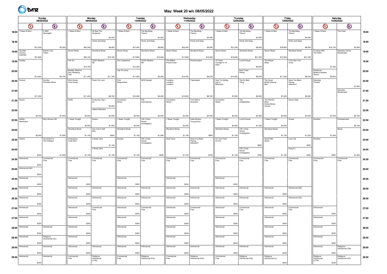# May: Week 20 w/c 08/05/2022

|               |                                            | Sunday   |                               |                   |                                         | Monday<br>09/05/2022  |                                   |           |                    | Tuesday               | 10/05/2022                     |                   |                       |          | Wednesday<br>11/05/2022        |                   |                       |                       | <b>Thursday</b><br>12/05/2022        |                                | Friday<br>13/05/2022  |                        |                   |                                                  | Saturday<br>14/05/2022 |                                |         |       |
|---------------|--------------------------------------------|----------|-------------------------------|-------------------|-----------------------------------------|-----------------------|-----------------------------------|-----------|--------------------|-----------------------|--------------------------------|-------------------|-----------------------|----------|--------------------------------|-------------------|-----------------------|-----------------------|--------------------------------------|--------------------------------|-----------------------|------------------------|-------------------|--------------------------------------------------|------------------------|--------------------------------|---------|-------|
|               | 08/05/2022<br>$\odot$<br>$\bm{\mathsf{O}}$ |          |                               | $\bm{\mathsf{O}}$ |                                         | $\bm{\mathsf{\odot}}$ |                                   | $\bullet$ |                    | $\bm{\mathsf{\odot}}$ |                                | $\bm{\mathsf{O}}$ |                       | $\odot$  |                                | $\bm{\mathsf{O}}$ |                       | $\bm{\mathsf{\odot}}$ | $\bullet$                            |                                | $\bm{\mathsf{\odot}}$ |                        | $\bm{\mathsf{O}}$ |                                                  | $\odot$                |                                |         |       |
|               | 18:00 <sup>1</sup> News At 6pm             |          | 2 Wild:<br>Serengetti         |                   | 1 News At 6pm                           |                       | All New The<br>Simpsons           |           | 1 News At 6pm      |                       | The Big Bang<br>Theory         |                   | 1 News At 6pm         |          | The Big Bang<br>Theory         |                   | 1 News At 6pm         |                       | The Big Bang<br>Theory               | 1 News At 6pm                  |                       | The Big Bang<br>Theory |                   | 1 News At 6pm                                    |                        | The Cube                       |         | 18:00 |
| 18:30         |                                            |          |                               |                   |                                         |                       | Home and Away                     | \$4,450   |                    |                       | Home and Away                  | \$4,500           |                       |          | Home and Away                  | \$4,500           |                       |                       | \$4,500<br>Home and Away             |                                |                       | Home and Away          | \$4,500           |                                                  |                        |                                |         | 18:30 |
|               |                                            | \$21,200 |                               | \$5,250           |                                         | \$24,300              |                                   | \$8,950   |                    | \$21,400              |                                | \$8,950           |                       | \$22,450 |                                | \$8,950           |                       | \$21,200              | \$8,950                              |                                | \$18,850              |                        | \$8,950           |                                                  | \$16,150               |                                | \$2,500 |       |
|               | 19:00   Hyundai<br>Country<br>Calendar     |          | Britain's Got<br>Talent       |                   | Seven Sharp                             |                       | Shortland Street                  |           | Seven Sharp        |                       | Shortland Street               |                   | Seven Sharp           |          | Shortland Street               |                   | Seven Sharp           |                       | Shortland Street                     | Seven Sharp                    |                       | Shortland Street       |                   | Cooking With<br>The Stars                        |                        | Saturday Family<br>Blockbuster |         | 19:00 |
| 19:30         | Sunday                                     | \$21,800 |                               |                   | Fair Go                                 | \$20,150              | <b>LEGO Masters</b>               | \$16,700  | The Casketeers     | \$17,850              | <b>LEGO Masters</b>            | \$15,050          | The Million           | \$17,850 | Snackmasters                   | \$15,050          | 10 Years              | \$16,950              | \$21,350<br>Local Factual            | The Repair                     | \$15,000              | I Can See Your         | \$21,350          |                                                  |                        |                                |         | 19:30 |
|               |                                            |          |                               |                   |                                         | \$15,700              | N <sub>7</sub>                    |           |                    | \$12,250              | NZ.                            |                   | Pound Cube            |          |                                |                   | Younger In 10<br>Days |                       | \$8,950                              | Shop                           |                       | Voice                  |                   |                                                  | \$7,300                |                                |         |       |
| 20:00         |                                            |          |                               |                   | Bradley Walsh &<br>Son: Breaking<br>Dad |                       |                                   |           | Lap of Luxury      |                       |                                |                   |                       |          |                                |                   |                       |                       | East Coast<br>Rising                 |                                |                       |                        |                   | Heathrow:<br><b>Britain's Busiest</b><br>Airport |                        |                                |         | 20:00 |
|               | 20:30 Factual                              | \$13,950 | Sunday                        | \$9,150           | Rich House,                             | \$11,400              | Down For Love                     | \$11,750  | First              | \$11,950              | NCIS Hawaii                    | \$9,400           | Location,             | \$14,250 | Taskmaster                     | \$8,250           | How To Holiday        | \$14,250              | \$8,250<br>The Ex Best               | The Great                      | \$11,400              | Have You Been          | \$8,250           | Saturday                                         | \$6,650                |                                |         | 20:30 |
|               |                                            |          | Premiere Movie                |                   | Poor House                              |                       |                                   |           | Responders         |                       |                                |                   | Location,<br>Location |          |                                |                   | Like A<br>Billionaire |                       | Thing                                | <b>British Sewing</b><br>Bee   |                       | Paying<br>Attention?   |                   | Theatre <sup>®</sup>                             |                        |                                | \$7,900 |       |
| 21:00         |                                            |          |                               |                   |                                         |                       |                                   |           |                    |                       |                                |                   |                       |          |                                |                   |                       |                       |                                      |                                |                       |                        |                   |                                                  |                        | Saturday<br>Blockbuster        |         | 21:00 |
| 21:30 Drama   |                                            | \$11,300 |                               |                   | 20/20                                   | \$11,400              | Aroha Nui: Say I                  | \$8,700   | Coronation         | \$10,050              | FBI:                           | \$9,450           | Coronation            | \$10,050 | Tom Allen's                    | \$8,700           | Coronation            | \$7,550               | \$9,950<br>The                       | The World's                    | \$7,050               | Dinner Date            | \$9,950           |                                                  |                        |                                |         | 21:30 |
|               |                                            |          |                               |                   |                                         |                       |                                   | \$4,900   | Street             |                       | International                  |                   | Street                |          | Quizness                       |                   | Street                |                       | Undateables                          | Most<br>Extraordinary<br>Homes |                       |                        |                   |                                                  |                        |                                |         |       |
| 22:00         |                                            |          |                               |                   |                                         |                       | Naked Attraction                  |           |                    |                       |                                |                   |                       |          |                                |                   |                       |                       |                                      |                                |                       |                        |                   |                                                  |                        |                                |         | 22:00 |
| 22:30         | Halifax                                    | \$4,750  | Why Women Kill                | \$7,450           | 1 News Tonight                          | \$6,050               | Drama                             | \$2,500   | 1 News Tonight     | \$5,350               | CSI: Crime                     | \$5,550           | 1 News Tonight        | \$5,350  | Hells Kitchen:                 | \$4,450           | 1 News Tonight        | \$5,350               | \$4,900<br>Local Factual             | 1 News Tonight                 | \$3,550               | Unreal                 | \$4,450           | Smother                                          | \$7,550                | Entertainment                  | \$5,700 | 22:30 |
|               | Retribution                                |          |                               |                   |                                         | \$2,500               |                                   | \$1,000   |                    | \$2,500               | Scene<br>Investigation         |                   |                       | \$2,500  | Young Guns                     |                   |                       | \$2,500               | \$1,200                              |                                | \$2,500               |                        |                   |                                                  |                        |                                | \$5,700 |       |
| 23:00         |                                            |          |                               |                   | Shortland Street                        |                       | Two And A Half                    |           | Shortland Street   |                       |                                |                   | Shortland Street      |          |                                |                   | Shortland Street      |                       | CSI: Crime<br>Scene<br>Investigation | Shortland Street               |                       |                        |                   |                                                  |                        | Movie                          |         | 23:00 |
| 23:30 Clarice |                                            | \$2,000  | Homicide For                  | \$1,650           | Ambulance:                              | \$1,100               | 2 Broke Girls                     | \$950     | Sunday             | \$1,100               | CSI: Crime                     | \$1,000           | Seal Team             | \$1,100  | Have You Been                  | \$850             | It's Your Fault       | \$1,100               |                                      | Good With                      | \$1,100               | Love Life              | \$1,200           | Smother                                          | \$1,200                |                                |         | 23:30 |
|               |                                            |          | The Holidays                  |                   | Code Red                                |                       |                                   | \$1,100   |                    |                       | Scene<br>Investigation         |                   |                       |          | Paying<br>Attention?           |                   | I'm Fat               |                       | \$850                                | Wood                           |                       |                        | \$450             |                                                  |                        |                                |         |       |
| 24:00         |                                            |          |                               |                   |                                         |                       | 2 Broke Girls                     |           |                    |                       |                                |                   |                       |          |                                |                   |                       |                       | CSI: Crime<br>Scene<br>Investigation |                                |                       | Kung Fu                |                   |                                                  |                        |                                |         | 24:00 |
| 24:30         | Infomercial                                | \$400    | Commercial                    | \$1,000           | Commercial                              | \$1,100               | Commercial                        | \$1,100   | Commercial         | \$1,100               | Commercial                     | \$600             | Commercial            | \$1,100  | Commercial                     | \$750             | Commercial            | \$1,100               | \$700<br>Commercial                  | Commercial                     | \$1,100               | Commercial             | \$450             | Commercial                                       | \$500                  | Commercial                     | \$1,600 | 24:30 |
|               |                                            | \$250    | Free                          |                   | Free                                    |                       | Free                              |           | Free               |                       | Free                           |                   | Free                  |          | Free                           |                   | Free                  |                       | Free                                 | Free                           |                       | Free                   |                   | Free                                             |                        | Free                           |         |       |
| 25:00         | Infomercial (AH)                           |          |                               |                   |                                         |                       |                                   |           |                    |                       |                                |                   |                       |          |                                |                   |                       |                       |                                      |                                |                       |                        |                   |                                                  |                        |                                |         | 25:00 |
| 25:30         | Infomercial                                | \$250    |                               |                   | Infomercial                             |                       |                                   |           | Infomercial        |                       |                                |                   | Infomercial           |          |                                |                   | Infomercial           |                       |                                      |                                |                       |                        |                   |                                                  |                        |                                |         | 25:30 |
|               |                                            | \$250    |                               |                   |                                         | \$250                 |                                   |           |                    | \$250                 |                                |                   |                       | \$250    |                                |                   |                       | \$250                 |                                      |                                |                       |                        |                   |                                                  |                        |                                |         |       |
| 26:00         | Infomercial                                |          |                               |                   | Infomercial                             |                       | Infomercial                       |           | Infomercial        |                       | Infomercial                    |                   | Infomercial           |          | Infomercial                    |                   | Infomercial           |                       | Infomercial                          | Infomercial                    |                       | Infomercial (GS)       |                   |                                                  |                        |                                |         | 26:00 |
| 26:30         | Infomercial                                | \$250    |                               |                   | Infomercial                             | \$250                 | Infomercial                       |           | Infomercial        | \$250                 | Infomercial                    |                   | Infomercial           | \$250    | Infomercial                    |                   | Infomercial           | \$250                 | Infomercial                          | Infomercial                    | \$250                 | Infomercial (GS)       |                   |                                                  |                        |                                |         | 26:30 |
|               |                                            | \$250    |                               |                   |                                         | \$250                 |                                   |           |                    | \$250                 |                                |                   |                       | \$250    |                                |                   |                       | \$250                 |                                      |                                | \$250                 |                        |                   |                                                  |                        |                                |         |       |
| 27:00         | Infomercial                                | \$250    |                               |                   | Infomercial                             | \$250                 | Commercial<br>Free                |           | Infomercial        | \$250                 | Commercial<br>Free             |                   | Infomercial           | \$250    | Commercial<br>Free             |                   | Infomercial           | \$250                 | Commercial<br>Free                   | Infomercial                    | \$250                 | Commercia<br>Free      |                   | Infomercial                                      | \$250                  |                                |         | 27:00 |
| 27:30         | Infomercial                                |          |                               |                   | Infomercial                             |                       |                                   |           | Infomercial        |                       |                                |                   | Infomercial           |          |                                |                   | Infomercial           |                       |                                      | Infomercial                    |                       |                        |                   | Infomercial                                      |                        |                                |         | 27:30 |
|               | $28:00$   Informercial                     | \$250    | Infomercial                   |                   | Infomercial                             | \$250                 |                                   |           | Infomercial        | \$250                 |                                |                   | Infomercial           | \$250    |                                |                   | Infomercial           | \$250                 |                                      | Infomercial                    | \$250                 |                        |                   | Infomercial                                      | \$250                  |                                |         |       |
|               |                                            | \$250    |                               |                   |                                         | \$250                 |                                   |           |                    | \$250                 |                                |                   |                       | \$250    |                                |                   |                       | \$250                 |                                      |                                | \$250                 |                        |                   |                                                  | \$250                  |                                |         | 28:00 |
| 28:30         | Infomercial                                |          | Religious<br>Infomercial (HC) |                   | Infomercial                             |                       |                                   |           | Infomercial        |                       |                                |                   | Infomercial           |          |                                |                   | Infomercial           |                       |                                      | Infomercial                    |                       |                        |                   | Infomercial                                      |                        |                                |         | 28:30 |
|               | $29:00$   Informercial                     | \$250    | Infomercial                   |                   | Infomercial                             | \$250                 | Infomercial                       |           | Infomercial        | \$250                 | Infomercial                    |                   | Infomercial           | \$250    | Infomercial                    |                   | Infomercial           | \$250                 | Infomercial                          | Infomercial                    | \$250                 |                        |                   | Infomercial                                      | \$250                  |                                |         |       |
|               |                                            | \$250    |                               |                   |                                         | \$250                 |                                   |           |                    | \$250                 |                                |                   |                       | \$250    |                                |                   |                       | \$250                 |                                      |                                | \$250                 |                        |                   |                                                  | \$250                  | Religious<br>Infomercial (TM)  |         | 29:00 |
|               | $29:30$   Informercial                     |          | Infomercial                   |                   | Commercial<br>Free                      |                       | Religious<br>Infomercial<br>(LTW) |           | Commercial<br>Free |                       | Religious<br>Infomercial (FIA) |                   | Commercial<br>Free    |          | Religious<br>Infomercial (FIA) |                   | Commercial<br>Free    |                       | Religious<br>Infomercial (FIA)       | Religious<br>Infomercial (IJ)  |                       |                        |                   | Religious<br>Infomercial<br>(LTW)                |                        | Religious<br>Infomercial (HC)  |         | 29:30 |
|               |                                            | \$250    |                               |                   |                                         |                       |                                   |           |                    |                       |                                |                   |                       |          |                                |                   |                       |                       |                                      |                                | \$250                 |                        |                   |                                                  | \$250                  |                                |         |       |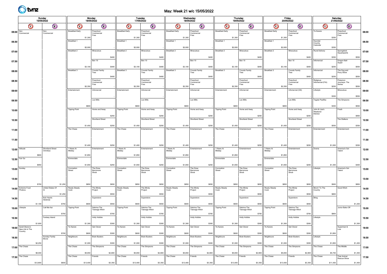# May: Week 21 w/c 15/05/2022

| Sunday<br>15/05/2022                  |                                           |          |                               |         | Monday<br>16/05/2022   |          |                                 |         | Tuesday<br>17/05/2022  |          |                                 | Wednesday   | 18/05/2022             |          |                                 |         | <b>Thursday</b><br>19/05/2022 |          |                                 | Friday<br>20/05/2022 |                        |          |                                 | Saturday<br>21/05/2022 |                                |          |                                   |         |       |
|---------------------------------------|-------------------------------------------|----------|-------------------------------|---------|------------------------|----------|---------------------------------|---------|------------------------|----------|---------------------------------|-------------|------------------------|----------|---------------------------------|---------|-------------------------------|----------|---------------------------------|----------------------|------------------------|----------|---------------------------------|------------------------|--------------------------------|----------|-----------------------------------|---------|-------|
|                                       | O                                         |          | $\odot$                       |         | $\bigcirc$             |          | $\odot$                         |         | O                      |          | $\bigcirc$                      |             | $\bm{\mathsf{O}}$      |          | $\odot$                         |         | $\bm{\mathsf{\odot}}$         |          | $\bm{\bm{\odot}}$               |                      | $\bigcirc$             |          | $\odot$                         |                        | $\bigcirc$                     |          | $\bigcirc$                        |         |       |
| 06:00 $\frac{\text{Non}}{\text{Com}}$ | Commercial                                |          | Non<br>Commercial             |         | <b>Breakfast Early</b> | \$1,300  | Preschool<br>Commercial<br>Free |         | <b>Breakfast Early</b> | \$1,300  | Preschool<br>Commercial<br>Free |             | <b>Breakfast Early</b> | \$1,300  | Preschool<br>Commercial<br>Free |         | <b>Breakfast Early</b>        | \$1,300  | Preschool<br>Commercial<br>Free |                      | <b>Breakfast Early</b> | \$1,300  | Preschool<br>Commercial<br>Free |                        | Te Karere                      | \$350    | Preschool<br>Commercial<br>Free   |         | 06:00 |
| 06:30                                 |                                           |          |                               |         | Breakfast 1            |          |                                 |         | Breakfast 1            |          |                                 |             | Breakfast 1            |          |                                 |         | Breakfast 1                   |          |                                 |                      | Breakfast 1            |          |                                 |                        | Hyundai<br>Country<br>Calendar |          |                                   |         | 06:30 |
| 07:00                                 |                                           |          |                               |         | Breakfast 2            | \$2,000  | Miraculous                      |         | Breakfast 2            | \$2,000  | Miraculous                      |             | Breakfast 2            | \$2,000  | Miraculous                      |         | Breakfast 2                   | \$2,000  | Miraculous                      |                      | Breakfast 2            | \$2,000  | Miraculous                      |                        | <b>Rural Delivery</b>          | \$350    | Spongebob<br>Squarepants          |         | 07:00 |
|                                       |                                           |          |                               |         |                        |          |                                 | \$400   |                        |          |                                 | \$400       |                        |          |                                 | \$400   |                               |          |                                 | \$400                |                        |          |                                 | \$400                  |                                | \$350    |                                   | \$550   |       |
| 07:30                                 |                                           |          |                               |         |                        | \$3,100  | Ben 10                          | \$400   |                        | \$3,100  | Ben 10                          | \$400       |                        | \$3,100  | Ben 10                          | \$400   |                               | \$3,100  | Ben 10                          | \$400                |                        | \$3,100  | Ben 10                          | \$400                  | Infomercial                    | \$250    | Dragon Ball<br>Super              | \$550   | 07:30 |
| 08:00                                 |                                           |          |                               |         | Breakfast 3            |          | Croods Family<br>Tree           |         | Breakfast 3            |          | Croods Family<br>Tree           |             | Breakfast 3            |          | Croods Family<br>Tree           |         | Breakfast 3                   |          | Croods Family<br>Tree           |                      | Breakfast 3            |          | Croods Family<br>Tree           |                        | Infomercial                    |          | The Dog and<br>Pony Show          |         | 08:00 |
| 08:30                                 |                                           |          |                               |         |                        |          | Preschool                       | \$400   |                        |          | Preschool                       | \$400       |                        |          | Preschool                       | \$400   |                               |          | Preschool                       | \$400                |                        |          | Preschool                       | \$400                  | Religious<br>Infomercial (FIA) | \$250    | Pokemon                           | \$550   | 08:30 |
|                                       |                                           |          |                               |         |                        | \$2,350  | Commercia<br>Free               |         |                        | \$2,350  | Commercial<br>Free              |             |                        | \$2,350  | Commercial<br>Free              |         |                               | \$2,350  | Commercial<br>Free              |                      |                        | \$2,350  | Commercia<br>Free               |                        |                                | \$250    | Journeys: The<br>Series           | \$550   |       |
| 09:00                                 |                                           |          |                               |         | Entertainment          |          | Infomercial                     |         | Entertainment          |          | Infomercial                     |             | Entertainment          |          | Infomercial                     |         | Entertainment                 |          | Infomercial                     |                      | Entertainment          |          | Infomercial (GS)                |                        | Lifestyle                      | \$300    | Miraculous                        | \$550   | 09:00 |
| 09:30                                 |                                           |          |                               |         |                        |          | Les Mills                       |         |                        |          | Les Mills                       |             |                        |          | Les Mills                       |         |                               |          | Les Mills                       |                      |                        |          | Les Mills                       |                        | Tagata Pasifika                |          | The Simpsons                      |         | 09:30 |
| 10:00                                 |                                           |          |                               |         | <b>Tipping Point</b>   | \$800    | Home and Away                   |         | <b>Tipping Point</b>   | \$800    | Home and Away                   |             | <b>Tipping Point</b>   | \$800    | Home and Away                   |         | <b>Tipping Point</b>          | \$800    | Home and Away                   |                      | <b>Tipping Point</b>   | \$800    | Home and Away                   |                        | John & Lisa's                  | \$300    | Fresh                             | \$550   | 10:00 |
|                                       |                                           |          |                               |         |                        |          |                                 | \$250   |                        |          |                                 | \$250       |                        |          |                                 | \$250   |                               |          |                                 | \$250                |                        |          |                                 | \$250                  | Weekend<br>Kitchen             |          |                                   | \$950   |       |
| 10:30                                 |                                           |          |                               |         |                        | \$1,450  | <b>Shortland Street</b>         | \$250   |                        | \$1,450  | Shortland Street                | \$250       |                        | \$1,450  | Shortland Street                | \$250   |                               | \$1,450  | Shortland Street                | \$250                |                        | \$1,450  | Shortland Street                | \$250                  |                                | \$550    | The Walkers                       | \$350   | 10:30 |
| 11:00                                 |                                           |          |                               |         | The Chase              |          | Entertainment                   |         | The Chase              |          | Entertainment                   |             | The Chase              |          | Entertainment                   |         | The Chase                     |          | Entertainment                   |                      | The Chase              |          | Entertainment                   |                        | Entertainment                  |          | Entertainment                     |         | 11:00 |
| 11:30                                 |                                           |          |                               |         |                        |          |                                 |         |                        |          |                                 |             |                        |          |                                 |         |                               |          |                                 |                      |                        |          |                                 |                        |                                |          |                                   |         | 11:30 |
|                                       |                                           |          |                               |         |                        | \$1,400  |                                 | \$250   |                        | \$1,400  |                                 | \$250       |                        | \$1,400  |                                 | \$250   |                               | \$1,400  |                                 | \$250                |                        | \$1,400  |                                 | \$250                  |                                | \$1,000  |                                   | \$350   |       |
|                                       | $12:00$ Attitude                          | \$800    | Shortland Street<br>Omnibus   |         | 1 News At<br>Midday    | \$1,850  | Entertainment                   |         | 1 News At<br>Midday    | \$1,850  | Entertainment                   |             | 1 News At<br>Midday    | \$1,850  | Entertainment                   |         | 1 News At<br>Midday           | \$1,850  | Entertainment                   |                      | 1 News At<br>Midday    | \$1,850  | Entertainment                   |                        | Drama                          |          | America's Got<br>Talent           |         | 12:00 |
|                                       | 12:30 Fair Go                             |          |                               |         | Emmerdale              |          |                                 |         | Emmerdale              |          |                                 |             | Emmerdale              |          |                                 |         | Emmerdale                     |          |                                 |                      | Emmerdale              |          |                                 |                        |                                |          |                                   |         | 12:30 |
|                                       | 13:00 Sunday                              | \$950    |                               |         | Coronation<br>Street   | \$1,650  | The Drew                        | \$250   | Coronation<br>Street   | \$1,650  | The Drew<br>Barrymore           | \$250       | Coronation<br>Street   | \$1,650  | The Drew<br>Barrymore           | \$250   | Coronation<br>Street          | \$1,650  | The Drew                        | \$250                | Coronation<br>Street   | \$1,650  | The Drew<br>Barrymore           | \$250                  | Lifestyle                      | \$1,300  | America's Got<br>Talent           | \$400   | 13:00 |
|                                       |                                           |          |                               |         |                        |          | Barrymore<br>Show               |         |                        |          | Show                            |             |                        |          | Show                            |         |                               |          | Barrymore<br>Show               |                      |                        |          | Show                            |                        |                                |          |                                   |         |       |
| 13:30                                 |                                           | \$750    |                               | \$1,250 |                        | \$850    |                                 | \$650   |                        | \$850    |                                 | \$650       |                        | \$850    |                                 | \$650   |                               | \$850    |                                 | \$650                |                        | \$850    |                                 | \$650                  |                                | \$900    |                                   | \$850   | 13:30 |
|                                       | 14:00 Extreme Food<br><sup>2</sup> hobics |          | United States Of              |         | Ready Steady<br>Cook   |          | The Mindy<br>Project            |         | Ready Steady<br>Cook   |          | The Mindy<br>Project            |             | Ready Steady<br>Cook   |          | The Mindy<br>Project            |         | Ready Steady<br>Cook          |          | The Mindy<br>Project            |                      | Ready Steady<br>Cook   |          | The Mindy<br>Project            |                        | Movin' To The<br>Country       |          | Good Witch                        |         | 14:00 |
| 14:30                                 |                                           |          | <b>Bob Hearts</b><br>Abishola | \$1,250 |                        |          | Superstore                      | \$550   |                        |          | Superstore                      | \$550       |                        |          | Superstore                      | \$550   |                               |          | Superstore                      | \$550                |                        |          | Superstore                      | \$550                  | Bling                          | \$800    |                                   |         | 14:30 |
|                                       | 15:00 Lifestyle                           | \$1,100  | Call Me Kat                   | \$750   | <b>Tipping Point</b>   | \$600    | Sabrina The                     | \$550   | <b>Tipping Point</b>   | \$600    | Sabrina The                     | \$550       | <b>Tipping Point</b>   | \$600    | Sabrina The                     | \$550   | <b>Tipping Point</b>          | \$600    | Sabrina The                     | \$550                | <b>Tipping Point</b>   | \$600    | Sabrina The                     | \$550                  |                                |          | Junior Bake Off                   | \$1,250 |       |
|                                       |                                           |          |                               | \$750   |                        |          | Teenage Witch                   | \$700   |                        |          | Teenage Witch                   | \$700       |                        |          | Teenage Witch                   | \$700   |                               |          | Teenage Witch                   | \$700                |                        |          | Teenage Witch                   | \$700                  |                                | \$800    |                                   |         | 15:00 |
| 15:30                                 |                                           |          | Fantasy Island                |         |                        |          | <b>Holly Hobbie</b>             |         |                        |          | Holly Hobbie                    |             |                        |          | <b>Holly Hobbie</b>             |         |                               |          | <b>Holly Hobbie</b>             |                      |                        |          | <b>Holly Hobbie</b>             |                        | Lifestyle                      |          |                                   |         | 15:30 |
|                                       | 16:00 Sarah Beeny's<br>New Life In The    | \$1,600  |                               |         | Te Karere              | \$1,300  | Get Clever                      | -5300   | Te Karere              | \$1,300  | Get Clever                      | <b>S300</b> | Te Karere              | \$1,300  | Get Clever                      | -5300   | Te Karere                     | \$1,300  | Get Clever                      | <b>S300</b>          | Te Karere              | \$1,300  | Get Clever                      | <b>S300</b>            |                                |          | Superman &<br>Lois                | \$1,300 | 16:00 |
|                                       | Country                                   |          | Sunday Family                 | \$700   | Neighbours             | \$600    | <b>Brain Busters</b>            | \$300   | Neighbours             | \$600    | <b>Brain Busters</b>            | \$300       | Neighbours             | \$600    | <b>Brain Busters</b>            | \$300   | Neighbours                    | \$600    | <b>Brain Busters</b>            | \$300                | Neighbours             | \$600    | <b>Brain Busters</b>            | \$300                  | Lifestyle                      | \$1,850  |                                   |         |       |
| 16:30                                 |                                           | \$2,250  | Movie                         |         |                        | \$1,000  |                                 | \$300   |                        | \$1,000  |                                 | \$300       |                        | \$1,000  |                                 | \$300   |                               | \$1,000  |                                 | \$300                |                        | \$1,000  |                                 | \$300                  |                                | \$1,850  |                                   | \$1,450 | 16:30 |
|                                       | 17:00 The Chase                           |          |                               |         | The Chase              |          | The Simpsons                    |         | The Chase              |          | The Simpsons                    |             | The Chase              |          | The Simpsons                    |         | The Chase                     |          | The Simpsons                    |                      | The Chase              |          | The Simpsons                    |                        | The Chase                      |          | The Middle                        |         | 17:00 |
|                                       | 17:30 The Chase                           | \$6,000  |                               |         | The Chase              | \$5,650  | Friends                         | \$2,800 | The Chase              | \$5,650  | Friends                         | \$2,800     | The Chase              | \$5,650  | Friends                         | \$2,800 | The Chase                     | \$5,650  | Friends                         | \$2,800              | The Chase              | \$5,650  | Friends                         | \$2,800                | The Chase                      | \$5,750  | <b>That Animal</b><br>Rescue Show | \$1,450 | 17:30 |
|                                       |                                           | \$12,800 |                               | \$600   |                        | \$13,400 |                                 | \$3,350 |                        | \$13,400 |                                 | \$3,350     |                        | \$13,400 |                                 | \$3,350 |                               | \$13,400 |                                 | \$3,350              |                        | \$13,400 |                                 | \$3,350                |                                | \$11,450 |                                   | \$1,450 |       |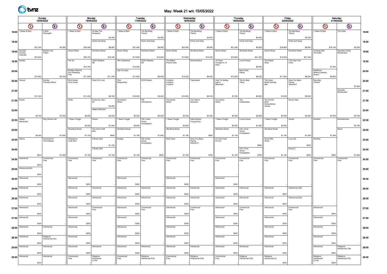

# May: Week 21 w/c 15/05/2022

|               | Sunday<br>15/05/2022         |                       |                               |                   |                                         | Monday   | 16/05/2022                        |            |                      |          | <b>Tuesday</b><br>17/05/2022         |           |                           |          | Wednesday<br>18/05/2022               |            |                                   |          | <b>Thursday</b><br>19/05/2022        |           |                                      | Friday<br>20/05/2022 |                        |            |                                                  | Saturday<br>21/05/2022 |                               |         |       |
|---------------|------------------------------|-----------------------|-------------------------------|-------------------|-----------------------------------------|----------|-----------------------------------|------------|----------------------|----------|--------------------------------------|-----------|---------------------------|----------|---------------------------------------|------------|-----------------------------------|----------|--------------------------------------|-----------|--------------------------------------|----------------------|------------------------|------------|--------------------------------------------------|------------------------|-------------------------------|---------|-------|
|               | $\odot$<br>$\bm{\mathsf{O}}$ |                       |                               | $\bm{\mathsf{O}}$ |                                         | $\odot$  |                                   | $\bigcirc$ |                      | $\odot$  |                                      | $\bullet$ |                           | $\odot$  |                                       | $\bigcirc$ |                                   | $\odot$  |                                      | $\bullet$ |                                      | $\odot$              |                        | $\bigcirc$ |                                                  | $\bigcirc$             |                               |         |       |
| 18:00         | 1 News At 6pm                | 2 Wild:<br>Serengetti |                               |                   | 1 News At 6pm                           |          | All New The<br>Simpsons           |            | 1 News At 6pm        |          | The Big Bang<br>Theory               |           | 1 News At 6pm             |          | The Big Bang<br>Theory                |            | 1 News At 6pm                     |          | The Big Bang<br>Theory               |           | 1 News At 6pm                        |                      | The Big Bang<br>Theory |            | 1 News At 6pm                                    |                        | The Cube                      |         | 18:00 |
| 18:30         |                              |                       |                               |                   |                                         |          | Home and Away                     | \$4,450    |                      |          | Home and Away                        | \$4,500   |                           |          | Home and Away                         | \$4,500    |                                   |          | Home and Away                        | \$4,500   |                                      |                      | Home and Away          | \$4,500    |                                                  |                        |                               |         | 18:30 |
|               | $19:00$ Hyundai              | \$21,200              | <b>Britain's Got</b>          | \$5,250           | Seven Sharp                             | \$24,300 | Shortland Street                  | \$8,950    | Seven Sharp          | \$21,400 | Shortland Street                     | \$8,950   | Seven Sharp               | \$22,450 | Shortland Street                      | \$8,950    | Seven Sharp                       | \$21,200 | Shortland Street                     | \$8,950   | Seven Sharp                          | \$18,850             | Shortland Street       | \$8,950    | Cooking With                                     | \$16,150               | Saturday Family               | \$2,500 | 19:00 |
|               | Country<br>Calendar          | \$21,800              | Talent                        |                   |                                         | \$20,150 |                                   | \$16,700   |                      | \$17,850 |                                      | \$15,050  |                           | \$17,850 |                                       | \$15,050   |                                   | \$16,950 |                                      | \$21,350  |                                      | \$15,000             |                        | \$21,350   | The Stars                                        |                        | Blockbuster                   |         |       |
| 19:30 Sunday  |                              |                       |                               |                   | Fair Go                                 | \$15,700 | <b>LEGO Masters</b><br>NZ         |            | The Casketeers       | \$12,250 | <b>LEGO Masters</b><br>NZ            |           | The Million<br>Pound Cube |          | Snackmasters                          |            | 10 Years<br>Younger In 10<br>Days |          | Local Factual                        | \$8,950   | The Repair<br>Shop                   |                      | Can See Your<br>Voice  |            |                                                  | \$7,300                |                               |         | 19:30 |
| 20:00         |                              |                       |                               |                   | Bradley Walsh &<br>Son: Breaking<br>Dad |          |                                   |            | Lap of Luxury        |          |                                      |           |                           |          |                                       |            |                                   |          | East Coast<br>Rising                 |           |                                      |                      |                        |            | Heathrow:<br><b>Britain's Busiest</b><br>Airport |                        |                               |         | 20:00 |
| 20:30 Factual |                              | \$13,950              | Sunday                        | \$9,150           | Rich House,                             | \$11,400 | Down For Love                     | \$11,750   | First                | \$11,950 | <b>NCIS Hawaii</b>                   | \$9,400   | Location                  | \$14,250 | Taskmaster                            | \$8,250    | How To Holiday                    | \$14,250 | The Ex Best                          | \$8,250   | The Great                            | \$11,400             | Have You Been          | \$8,250    | Saturday                                         | \$6,650                |                               |         | 20:30 |
|               |                              |                       | Premiere Movie                |                   | Poor House                              |          |                                   |            | Responders           |          |                                      |           | Location<br>Location      |          |                                       |            | Like A<br>Billionaire             |          | Thing                                |           | <b>British Sewing</b>                |                      | Paying<br>Attention?   |            | Theatre                                          |                        |                               | \$7,900 |       |
| 21:00         |                              | \$11,300              |                               |                   |                                         | \$11,400 |                                   | \$8,700    |                      | \$10,050 |                                      | \$9,450   |                           | \$10,050 |                                       | \$8,700    |                                   | \$7,550  |                                      | \$9,950   |                                      | \$7,050              |                        | \$9,950    |                                                  |                        | Saturday<br>Blockbuster       |         | 21:00 |
| 21:30 Drama   |                              |                       |                               |                   | 20/20                                   |          | Aroha Nui: Say I<br>Do            |            | Coronation<br>Street |          | FBI:<br>International                |           | Coronation<br>Street      |          | Tom Allen's<br>Quizness               |            | Coronation<br>Street              |          | The<br>Undateables                   |           | The World's<br>Most<br>Extraordinary |                      | Dinner Date            |            |                                                  |                        |                               |         | 21:30 |
| 22:00         |                              |                       |                               |                   |                                         |          | Naked Attraction                  | \$4,900    |                      |          |                                      |           |                           |          |                                       |            |                                   |          |                                      |           | Homes                                |                      |                        |            |                                                  |                        |                               |         | 22:00 |
| 22:30 Halifax |                              | \$4,750               | Why Women Kill                | \$7,450           | 1 News Tonight                          | \$6,050  | Drama                             | \$2,500    | 1 News Tonight       | \$5,350  | CSI: Crime                           | \$5,550   | 1 News Tonight            | \$5,350  | Hells Kitchen:                        | \$4,450    | 1 News Tonight                    | \$5,350  | Local Factual                        | \$4,900   | 1 News Tonight                       | \$3,550              | Unreal                 | \$4,450    | Smother                                          | \$7,550                | Entertainment                 | \$5,700 | 22:30 |
|               | Retribution                  |                       |                               |                   |                                         | \$2,500  |                                   | \$1,000    |                      | \$2,500  | Scene<br>Investigation               |           |                           | \$2,500  | Young Guns                            |            |                                   | \$2,500  |                                      | \$1,200   |                                      | \$2,500              |                        |            |                                                  |                        |                               | \$5,700 |       |
| 23:00         |                              | \$2,000               |                               | \$1,650           | Shortland Street                        | \$1,100  | Two And A Half                    | \$950      | Shortland Street     | \$1,100  |                                      | \$1,000   | Shortland Street          | \$1,100  |                                       | \$850      | Shortland Street                  | \$1,100  | CSI: Crime<br>Scene<br>Investigation |           | Shortland Street                     | \$1,100              |                        | \$1,200    |                                                  | \$1,200                | Movie                         |         | 23:00 |
| 23:30 Clarice |                              |                       | Homicide For<br>The Holidays  |                   | Ambulance:<br>Code Red                  |          | 2 Broke Girls                     |            | Sunday               |          | CSI: Crime<br>Scene<br>Investigation |           | Seal Team                 |          | Have You Been<br>Paying<br>Attention? |            | It's Your Fault<br>I'm Fat        |          |                                      |           | Good With<br>Wood                    |                      | Love Life              |            | Smother                                          |                        |                               |         | 23:30 |
| 24:00         |                              |                       |                               |                   |                                         |          | 2 Broke Girls                     | \$1,100    |                      |          |                                      |           |                           |          |                                       |            |                                   |          | CSI: Crime<br>Scene                  | \$850     |                                      |                      | Kung Fu                | \$450      |                                                  |                        |                               |         | 24:00 |
|               | 24:30   Informercial         | \$400                 | Commercial                    | \$1,000           | Commercial                              | \$1,100  | Commercial                        | \$1,100    | Commercial           | \$1,100  | Commercial                           | \$600     | Commercial                | \$1,100  | Commercial                            | \$750      | Commercial                        | \$1,100  | Investigation<br>Commercial          | \$700     | Commercial                           | \$1,100              | Commercial             | \$450      | Commercial                                       | \$500                  | Commercial                    | \$1,600 | 24:30 |
|               |                              | \$250                 | Free                          |                   | Free                                    |          | Free                              |            | Free                 |          | Free                                 |           | Free                      |          | Free                                  |            | Free                              |          | Free                                 |           | Free                                 |                      | Free                   |            | Free                                             |                        | Free                          |         |       |
|               | 25:00   Informercial (AH)    | \$250                 |                               |                   |                                         |          |                                   |            |                      |          |                                      |           |                           |          |                                       |            |                                   |          |                                      |           |                                      |                      |                        |            |                                                  |                        |                               |         | 25:00 |
|               | 25:30   Informercial         |                       |                               |                   | Infomercial                             |          |                                   |            | Infomercial          |          |                                      |           | Infomercial               |          |                                       |            | Infomercial                       |          |                                      |           |                                      |                      |                        |            |                                                  |                        |                               |         | 25:30 |
|               | 26:00   Informercial         | \$250                 |                               |                   | Infomercial                             | \$250    | Infomercial                       |            | Infomercial          | \$250    | Infomercial                          |           | Infomercial               | \$250    | Infomercial                           |            | Infomercial                       | \$250    | Infomercial                          |           | Infomercial                          |                      | Infomercial (GS)       |            |                                                  |                        |                               |         | 26:00 |
|               | 26:30   Informercial         | \$250                 |                               |                   | Infomercial                             | \$250    | Infomercial                       |            | Infomercial          | \$250    | Infomercial                          |           | Infomercial               | \$250    | Infomercial                           |            | Infomercial                       | \$250    | Infomercial                          |           | Infomercial                          | \$250                | Infomercial (GS)       |            |                                                  |                        |                               |         | 26:30 |
|               |                              | \$250                 |                               |                   | Infomercial                             | \$250    |                                   |            | Infomercial          | \$250    |                                      |           |                           | \$250    |                                       |            | Infomercial                       | \$250    |                                      |           |                                      | \$250                |                        |            | Infomercial                                      |                        |                               |         |       |
|               | 27:00   Informercial         | \$250                 |                               |                   |                                         | \$250    | Commercial<br>Free                |            |                      | \$250    | Commercial<br>Free                   |           | Infomercial               | \$250    | Commercial<br>Free                    |            |                                   | \$250    | Commercial<br>Free                   |           | Infomercial                          | \$250                | Commercial<br>Free     |            |                                                  | \$250                  |                               |         | 27:00 |
|               | 27:30   Informercial         |                       |                               |                   | Infomercial                             |          |                                   |            | Infomercial          |          |                                      |           | Infomercial               |          |                                       |            | Infomercial                       |          |                                      |           | Infomercial                          |                      |                        |            | Infomercial                                      |                        |                               |         | 27:30 |
|               | 28:00   Infomercial          | \$250                 | Infomercial                   |                   | Infomercial                             | \$250    |                                   |            | Infomercial          | \$250    |                                      |           | Infomercial               | \$250    |                                       |            | Infomercial                       | \$250    |                                      |           | Infomercial                          | \$250                |                        |            | Infomercial                                      | \$250                  |                               |         | 28:00 |
|               | 28:30   Informercial         | \$250                 | Religious<br>Infomercial (HC) |                   | Infomercial                             | \$250    |                                   |            | Infomercial          | \$250    |                                      |           | Infomercial               | \$250    |                                       |            | Infomercial                       | \$250    |                                      |           | Infomercial                          | \$250                |                        |            | Infomercial                                      | \$250                  |                               |         | 28:30 |
|               |                              | \$250                 | Infomercial                   |                   | Infomercial                             | \$250    | Infomercial                       |            | Infomercial          | \$250    | Infomercial                          |           | Infomercial               | \$250    | Infomercial                           |            | Infomercial                       | \$250    | Infomercial                          |           | Infomercial                          | \$250                |                        |            | Infomercial                                      | \$250                  | Religious                     |         |       |
|               | 29:00   Informercial         | \$250                 |                               |                   |                                         | \$250    |                                   |            |                      | \$250    |                                      |           |                           | \$250    |                                       |            |                                   | \$250    |                                      |           |                                      | \$250                |                        |            |                                                  | \$250                  | Infomercial (TM)              |         | 29:00 |
|               | 29:30 Informercial           | \$250                 | Infomercial                   |                   | Commercial<br>Free                      |          | Religious<br>Infomercial<br>(LTW) |            | Commercial<br>Free   |          | Religious<br>Infomercial (FIA)       |           | Commercial<br>Free        |          | Religious<br>Infomercial (FIA)        |            | Commercial<br>Free                |          | Religious<br>Infomercial (FIA)       |           | Religious<br>Infomercial (IJ)        | \$250                |                        |            | Religious<br>Infomercial<br>(LTW)                | \$250                  | Religious<br>Infomercial (HC) |         | 29:30 |
|               |                              |                       |                               |                   |                                         |          |                                   |            |                      |          |                                      |           |                           |          |                                       |            |                                   |          |                                      |           |                                      |                      |                        |            |                                                  |                        |                               |         |       |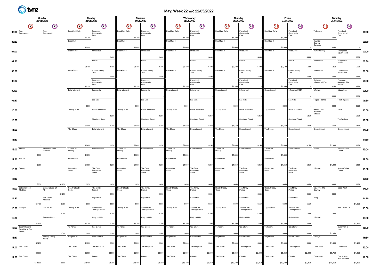# May: Week 22 w/c 22/05/2022

|                                  | Sunday<br>22/05/2022    |          |                              |             |                        | Monday<br>23/05/2022 |                                 |         |                        | Tuesday<br>24/05/2022 |                                 |         |                        |          | Wednesday<br>25/05/2022             |         |                        | <b>Thursday</b><br>26/05/2022 |                                 |         |                        | <b>Friday</b><br>27/05/2022 |                                 |         |                                | Saturday<br>28/05/2022 |                                 |         |       |
|----------------------------------|-------------------------|----------|------------------------------|-------------|------------------------|----------------------|---------------------------------|---------|------------------------|-----------------------|---------------------------------|---------|------------------------|----------|-------------------------------------|---------|------------------------|-------------------------------|---------------------------------|---------|------------------------|-----------------------------|---------------------------------|---------|--------------------------------|------------------------|---------------------------------|---------|-------|
|                                  | $\bm{\mathsf{O}}$       |          | $\odot$                      |             | $\bm{\mathsf{O}}$      |                      | $\bigcirc$                      |         | $\bm{\mathsf{O}}$      |                       | $\bigcirc$                      |         | $\bigcirc$             |          | $\odot$                             |         | $\bm{\mathsf{O}}$      |                               | $\bigcirc$                      |         | $\bm{\mathsf{O}}$      |                             | $\bigcirc$                      |         | $\bm{\mathsf{O}}$              |                        | $\bigcirc$                      |         |       |
| $06:00$ $\sqrt{\frac{Non}{Con}}$ | Commercial              |          | Non<br>Commercial            |             | <b>Breakfast Early</b> | \$1,300              | Preschool<br>Commercial<br>Free |         | <b>Breakfast Early</b> | \$1,300               | Preschool<br>Commercial<br>Free |         | <b>Breakfast Early</b> | \$1,300  | Preschool<br>Commercial<br>Free     |         | <b>Breakfast Early</b> | \$1,300                       | Preschool<br>Commercial<br>Free |         | <b>Breakfast Early</b> | \$1,300                     | Preschool<br>Commercial<br>Free |         | Te Karere                      | \$350                  | Preschool<br>Commercial<br>Free |         | 06:00 |
| 06:30                            |                         |          |                              | Breakfast 1 |                        |                      |                                 |         | Breakfast 1            |                       |                                 |         | Breakfast 1            |          |                                     |         | Breakfast 1            |                               |                                 |         | Breakfast 1            |                             |                                 |         | Hyundai<br>Country<br>Calendar |                        |                                 |         | 06:30 |
| 07:00                            |                         |          |                              |             | Breakfast 2            | \$2,000              | Miraculous                      |         | Breakfast 2            | \$2,000               | Miraculous                      |         | Breakfast 2            | \$2,000  | Miraculous                          |         | Breakfast 2            | \$2,000                       | Miraculous                      |         | Breakfast 2            | \$2,000                     | Miraculous                      |         | Rural Delivery                 | \$350                  | Spongebob<br>Squarepants        |         | 07:00 |
|                                  |                         |          |                              |             |                        |                      | Ben 10                          | \$400   |                        |                       | Ben 10                          | \$400   |                        |          | Ben 10                              | \$400   |                        |                               | Ben 10                          | \$400   |                        |                             | Ben 10                          | \$400   | Infomercial                    | \$350                  | Dragon Ball                     | \$550   |       |
| 07:30                            |                         |          |                              |             |                        | \$3,100              |                                 | \$400   |                        | \$3,100               |                                 | \$400   |                        | \$3,100  |                                     | \$400   |                        | \$3,100                       |                                 | \$400   |                        | \$3,100                     |                                 | \$400   |                                | \$250                  | Super                           | \$550   | 07:30 |
| 08:00                            |                         |          |                              |             | Breakfast 3            |                      | Croods Family<br>Tree           |         | Breakfast 3            |                       | Croods Family<br>Tree           |         | Breakfast 3            |          | Croods Family<br>Tree               |         | Breakfast 3            |                               | Croods Family<br>Tree           |         | Breakfast 3            |                             | Croods Family<br>Tree           |         | Infomercial                    |                        | The Dog and<br>Pony Show        |         | 08:00 |
| 08:30                            |                         |          |                              |             |                        |                      | Preschool<br>Commercial         | \$400   |                        |                       | Preschool<br>Commercial         | \$400   |                        |          | Preschool<br>Commercial             | \$400   |                        |                               | Preschool<br>Commercial         | \$400   |                        |                             | Preschool<br>Commercial         | \$400   | Religious<br>Infomercial (FIA) | \$250                  | Pokemon<br>Journeys: The        | \$550   | 08:30 |
|                                  |                         |          |                              |             |                        | \$2,350              | Free                            |         |                        | \$2,350               | Free                            |         |                        | \$2,350  | Free                                |         |                        | \$2,350                       | Free                            |         |                        | \$2,350                     | Free                            |         |                                | \$250                  | Series                          | \$550   |       |
| 09:00                            |                         |          |                              |             | Entertainment          |                      | Infomercial                     |         | Entertainment          |                       | Infomercial                     |         | Entertainment          |          | Infomercial                         |         | Entertainment          |                               | Infomercial                     |         | Entertainment          |                             | Infomercial (GS)                |         | Lifestyle                      | \$300                  | Miraculous                      | \$550   | 09:00 |
| 09:30                            |                         |          |                              |             |                        |                      | Les Mills                       |         |                        |                       | Les Mills                       |         |                        |          | Les Mills                           |         |                        |                               | Les Mills                       |         |                        |                             | Les Mills                       |         | Tagata Pasifika                |                        | The Simpsons                    |         | 09:30 |
| 10:00                            |                         |          |                              |             | <b>Tipping Point</b>   | \$800                | Home and Away                   |         | <b>Tipping Point</b>   | \$800                 | Home and Away                   |         | <b>Tipping Point</b>   | \$800    | Home and Away                       |         | <b>Tipping Point</b>   | \$800                         | Home and Away                   |         | <b>Tipping Point</b>   | \$800                       | Home and Away                   |         | John & Lisa's                  | \$300                  | Fresh                           | \$550   | 10:00 |
|                                  |                         |          |                              |             |                        |                      |                                 | \$250   |                        |                       |                                 | \$250   |                        |          |                                     | \$250   |                        |                               |                                 | \$250   |                        |                             |                                 | \$250   | Weekend<br>Kitchen             |                        |                                 | \$950   |       |
| 10:30                            |                         |          |                              |             |                        | \$1,450              | Shortland Street                | \$250   |                        | \$1,450               | Shortland Street                | \$250   |                        | \$1,450  | Shortland Street                    | \$250   |                        | \$1,450                       | Shortland Street                | \$250   |                        | \$1,450                     | Shortland Street                | \$250   |                                | \$550                  | The Walkers                     | \$350   | 10:30 |
| 11:00                            |                         |          |                              |             | The Chase              |                      | Entertainment                   |         | The Chase              |                       | Entertainment                   |         | The Chase              |          | Entertainment                       |         | The Chase              |                               | Entertainment                   |         | The Chase              |                             | Entertainment                   |         | Entertainment                  |                        | Entertainment                   |         | 11:00 |
| 11:30                            |                         |          |                              |             |                        |                      |                                 |         |                        |                       |                                 |         |                        |          |                                     |         |                        |                               |                                 |         |                        |                             |                                 |         |                                |                        |                                 |         | 11:30 |
|                                  |                         |          |                              |             |                        | \$1,400              |                                 | \$250   |                        | \$1,400               |                                 | \$250   |                        | \$1,400  |                                     | \$250   |                        | \$1,400                       |                                 | \$250   |                        | \$1,400                     |                                 | \$250   |                                | \$1,000                |                                 | \$350   |       |
| 12:00                            | Attitude                |          | Shortland Street<br>Omnibus  | Midday      | 1 News At              |                      | Entertainment                   |         | 1 News At<br>Midday    |                       | Entertainment                   |         | 1 News At<br>Midday    |          | Entertainment                       |         | 1 News At<br>Midday    |                               | Entertainment                   |         | 1 News At<br>Midday    |                             | Entertainment                   |         | Drama                          |                        | America's Got<br>Talent         |         | 12:00 |
| 12:30                            | Fair Go                 | \$800    |                              |             | Emmerdale              | \$1,850              |                                 |         | Emmerdale              | \$1,850               |                                 |         | Emmerdale              | \$1,850  |                                     |         | Emmerdale              | \$1,850                       |                                 |         | Emmerdale              | \$1,850                     |                                 |         |                                |                        |                                 |         | 12:30 |
| 13:00                            | Sunday                  | \$950    |                              |             | Coronation             | \$1,650              | The Drew                        | \$250   | Coronation             | \$1,650               | The Drew                        | \$250   | Coronation             | \$1,650  | The Drew                            | \$250   | Coronation             | \$1,650                       | The Drew                        | \$250   | Coronation             | \$1,650                     | The Drew                        | \$250   | Lifestyle                      | \$1,300                | America's Got                   | \$400   | 13:00 |
|                                  |                         |          |                              | Street      |                        |                      | Barrymore<br>Show               |         | Street                 |                       | Barrymore<br>Show               |         | Street                 |          | Barrymore<br>Show                   |         | Street                 |                               | Barrymore<br>Show               |         | Street                 |                             | Barrymore<br>Show               |         |                                |                        | Talent                          |         |       |
| 13:30                            |                         |          |                              |             |                        |                      |                                 |         |                        |                       |                                 |         |                        |          |                                     |         |                        |                               |                                 |         |                        |                             |                                 |         |                                |                        |                                 |         | 13:30 |
| 14:00                            | Extreme Food<br>Phobics | \$750    | \$1,250<br>United States Of  | Cook        | Ready Steady           | \$850                | The Mindy<br>Project            | \$650   | Ready Steady<br>Cook   | \$850                 | The Mindy<br>Project            | \$650   | Ready Steady<br>Cook   | \$850    | The Mindy<br>Project                | \$650   | Ready Steady<br>Cook   | \$850                         | The Mindy<br>Project            | \$650   | Ready Steady<br>Cook   | \$850                       | The Mindy<br>Project            | \$650   | Movin' To The<br>Country       | \$900                  | Good Witch                      | \$850   | 14:00 |
| 14:30                            |                         |          | \$1,250<br><b>Bob Hearts</b> |             |                        |                      | Superstore                      | \$550   |                        |                       | Superstore                      | \$550   |                        |          | Superstore                          | \$550   |                        |                               | Superstore                      | \$550   |                        |                             | Superstore                      | \$550   | Bling                          | \$800                  |                                 |         | 14:30 |
|                                  |                         | \$1,100  | Abishola                     | \$750       |                        | \$600                |                                 | \$550   |                        | \$600                 |                                 | \$550   |                        | \$600    |                                     | \$550   |                        | \$600                         |                                 | \$550   |                        | \$600                       |                                 | \$550   |                                |                        |                                 | \$1,250 |       |
| 15:00                            | Lifestyle               |          | Call Me Kat                  |             | <b>Tipping Point</b>   |                      | Sabrina The<br>Teenage Witch    |         | <b>Tipping Point</b>   |                       | Sabrina The<br>Teenage Witch    |         | <b>Tipping Point</b>   |          | Sabrina The<br><b>Teenage Witch</b> |         | <b>Tipping Point</b>   |                               | Sabrina The<br>Teenage Witch    |         | <b>Tipping Point</b>   |                             | Sabrina The<br>Teenage Witch    |         |                                |                        | Junior Bake Off                 |         | 15:00 |
| 15:30                            |                         |          | Fantasy Island               | \$750       |                        |                      | <b>Holly Hobbie</b>             | \$700   |                        |                       | <b>Holly Hobbie</b>             | \$700   |                        |          | <b>Holly Hobbie</b>                 | \$700   |                        |                               | <b>Holly Hobbie</b>             | \$700   |                        |                             | <b>Holly Hobbie</b>             | \$700   | Lifestyle                      | \$800                  |                                 |         | 15:30 |
|                                  | 16:00 Sarah Beeny's     | \$1,600  |                              | Te Karere   |                        | \$1,300              | Get Clever                      | \$300   | Te Karere              | \$1,300               | Get Clever                      | \$300   | Te Karere              | \$1,300  | Get Clever                          | \$300   | Te Karere              | \$1,300                       | Get Clever                      | \$300   | Te Karere              | \$1,300                     | Get Clever                      | \$300   |                                |                        | Superman &                      | \$1,300 | 16:00 |
|                                  | Country                 |          |                              | \$700       |                        | \$600                |                                 | \$300   |                        | \$600                 |                                 | \$300   |                        | \$600    |                                     | \$300   |                        | \$600                         |                                 | \$300   |                        | \$600                       |                                 | \$300   |                                | \$1,850                | Lois                            |         |       |
| 16:30                            |                         |          | Sunday Family<br>Movie       |             | Neighbours             |                      | <b>Brain Busters</b>            |         | Neighbours             |                       | <b>Brain Busters</b>            |         | Neighbours             |          | <b>Brain Busters</b>                |         | Neighbours             |                               | <b>Brain Busters</b>            |         | Neighbours             |                             | <b>Brain Busters</b>            |         | Lifestyle                      |                        |                                 |         | 16:30 |
|                                  | 17:00 The Chase         | \$2,250  |                              |             | The Chase              | \$1,000              | The Simpsons                    | \$300   | The Chase              | \$1,000               | The Simpsons                    | \$300   | The Chase              | \$1,000  | The Simpsons                        | \$300   | The Chase              | \$1,000                       | The Simpsons                    | \$300   | The Chase              | \$1,000                     | The Simpsons                    | \$300   | The Chase                      | \$1,850                | The Middle                      | \$1,450 | 17:00 |
|                                  | 17:30 The Chase         | \$6,000  |                              |             | The Chase              | \$5,650              | Friends                         | \$2,800 | The Chase              | \$5,650               | Friends                         | \$2,800 | The Chase              | \$5,650  | Friends                             | \$2,800 | The Chase              | \$5,650                       | Friends                         | \$2,800 | The Chase              | \$5,650                     | Friends                         | \$2,800 | The Chase                      | \$5,750                | <b>That Animal</b>              | \$1,450 | 17:30 |
|                                  |                         | \$12,800 |                              | \$600       |                        | \$13,400             |                                 | \$3,350 |                        | \$13,400              |                                 | \$3,350 |                        | \$13,400 |                                     | \$3,350 |                        | \$13,400                      |                                 | \$3,350 |                        | \$13,400                    |                                 | \$3,350 |                                | \$11,450               | Rescue Show                     | \$1,450 |       |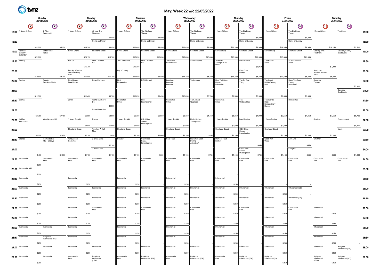# May: Week 22 w/c 22/05/2022

|                 |                                        | Sunday<br>22/05/2022 |                                |         | Monday<br>23/05/2022                    |          |                                   |          |                    | Tuesday<br>24/05/2022 |                                |          |                       | Wednesday<br>25/05/2022 |                                |          | Thursday<br>26/05/2022 |          |                                      |          | Friday<br>27/05/2022           |          |                        |          | Saturday<br>28/05/2022                           |          |                                |         |       |
|-----------------|----------------------------------------|----------------------|--------------------------------|---------|-----------------------------------------|----------|-----------------------------------|----------|--------------------|-----------------------|--------------------------------|----------|-----------------------|-------------------------|--------------------------------|----------|------------------------|----------|--------------------------------------|----------|--------------------------------|----------|------------------------|----------|--------------------------------------------------|----------|--------------------------------|---------|-------|
|                 | $\odot$<br>O                           |                      | $\bullet$                      |         | $\odot$                                 |          | $\bullet$                         |          | $\odot$            |                       | $\bm{\mathsf{O}}$              |          | $\odot$               |                         | $\bm{\mathsf{O}}$              |          | $\odot$                |          | $\bm{\mathsf{O}}$                    |          | $\bm{\mathsf{\odot}}$          |          | $\bm{\mathsf{O}}$      |          | $\odot$                                          |          |                                |         |       |
|                 | 18:00 <sup>1</sup> News At 6pm         |                      | 2 Wild:<br>Serengetti          |         | 1 News At 6pm                           |          | All New The<br>Simpsons           |          | 1 News At 6pm      |                       | The Big Bang<br>Theory         |          | 1 News At 6pm         |                         | The Big Bang<br>Theory         |          | 1 News At 6pm          |          | The Big Bang<br>Theory               |          | 1 News At 6pm                  |          | The Big Bang<br>Theory |          | 1 News At 6pm                                    |          | The Cube                       |         | 18:00 |
| 18:30           |                                        |                      |                                |         |                                         |          | Home and Away                     | \$4,450  |                    |                       | Home and Away                  | \$4,500  |                       |                         | Home and Away                  | \$4,500  |                        |          | Home and Away                        | \$4,500  |                                |          | Home and Away          | \$4,500  |                                                  |          |                                |         | 18:30 |
|                 |                                        | \$21,200             |                                | \$5,250 |                                         | \$24,300 |                                   | \$8,950  |                    | \$21,400              |                                | \$8,950  |                       | \$22,450                |                                | \$8,950  |                        | \$21,200 |                                      | \$8,950  |                                | \$18,850 |                        | \$8,950  |                                                  | \$16,150 |                                | \$2,500 |       |
|                 | $19:00$ Hyundai<br>Country<br>Calendar |                      | <b>Britain's Got</b><br>Talent |         | Seven Sharp                             |          | Shortland Street                  |          | Seven Sharp        |                       | Shortland Street               |          | Seven Sharp           |                         | Shortland Street               |          | Seven Sharp            |          | Shortland Street                     |          | Seven Sharp                    |          | Shortland Street       |          | Cooking With<br>The Stars                        |          | Saturday Family<br>Blockbuster |         | 19:00 |
| 19:30   Sunday  |                                        | \$21,800             |                                |         | Fair Go                                 | \$20,150 | <b>LEGO Masters</b>               | \$16,700 | The Casketeers     | \$17,850              | <b>LEGO Masters</b>            | \$15,050 | The Million           | \$17,850                | Snackmasters                   | \$15,050 | 10 Years               | \$16,950 | Local Factual                        | \$21,350 | The Repair                     | \$15,000 | I Can See Your         | \$21,350 |                                                  |          |                                |         | 19:30 |
|                 |                                        |                      |                                |         |                                         | \$15,700 | <b>NZ</b>                         |          |                    | \$12,250              | NZ                             |          | Pound Cube            |                         |                                |          | Younger In 10<br>Days  |          |                                      | \$8,950  | Shop                           |          | Voice                  |          |                                                  | \$7,300  |                                |         |       |
| 20:00           |                                        |                      |                                |         | Bradley Walsh &<br>Son: Breaking<br>Dad |          |                                   |          | Lap of Luxury      |                       |                                |          |                       |                         |                                |          |                        |          | East Coast<br>Rising                 |          |                                |          |                        |          | Heathrow:<br><b>Britain's Busiest</b><br>Airport |          |                                |         | 20:00 |
| 20:30 Factual   |                                        | \$13,950             | Sunday                         | \$9,150 | Rich House,                             | \$11,400 | Down For Love                     | \$11,750 | First              | \$11,950              | <b>NCIS Hawaii</b>             | \$9,400  | Location,             | \$14,250                | Taskmaster                     | \$8,250  | How To Holiday         | \$14,250 | The Ex Best                          | \$8,250  | The Great                      | \$11,400 | Have You Been          | \$8,250  | Saturday                                         | \$6,650  |                                |         | 20:30 |
|                 |                                        |                      | Premiere Movie                 |         | Poor House                              |          |                                   |          | Responders         |                       |                                |          | Location,<br>Location |                         |                                |          | Like A<br>Billionaire  |          | Thing                                |          | <b>British Sewing</b>          |          | Paying<br>Attention?   |          | Theatre <sup>®</sup>                             |          |                                | \$7,900 |       |
| 21:00           |                                        |                      |                                |         |                                         |          |                                   |          |                    |                       |                                |          |                       |                         |                                |          |                        |          |                                      |          |                                |          |                        |          |                                                  |          | Saturday<br>Blockbuster        |         | 21:00 |
| 21:30 Drama     |                                        | \$11,300             |                                |         | 20/20                                   | \$11,400 | Aroha Nui: Say I                  | \$8,700  | Coronation         | \$10,050              | FBI:                           | \$9,450  | Coronation            | \$10,050                | Tom Allen's                    | \$8,700  | Coronation             | \$7,550  | The                                  | \$9,950  | The World's                    | \$7,050  | Dinner Date            | \$9,950  |                                                  |          |                                |         | 21:30 |
|                 |                                        |                      |                                |         |                                         |          | Do                                | \$4,900  | Street             |                       | International                  |          | Street                |                         | Quizness                       |          | Street                 |          | Undateables                          |          | Most<br>Extraordinary<br>Homes |          |                        |          |                                                  |          |                                |         |       |
| 22:00           |                                        |                      |                                |         |                                         |          | Naked Attraction                  |          |                    |                       |                                |          |                       |                         |                                |          |                        |          |                                      |          |                                |          |                        |          |                                                  |          |                                |         | 22:00 |
| $22:30$ Halifax |                                        | \$4,750              | Why Women Kill                 | \$7,450 | 1 News Tonight                          | \$6,050  | Drama                             | \$2,500  | 1 News Tonight     | \$5,350               | CSI: Crime                     | \$5,550  | 1 News Tonight        | \$5,350                 | Hells Kitchen:                 | \$4,450  | 1 News Tonight         | \$5,350  | Local Factual                        | \$4,900  | 1 News Tonight                 | \$3,550  | Unreal                 | \$4,450  | Smother                                          | \$7,550  | Entertainment                  | \$5,700 | 22:30 |
|                 | Retribution                            |                      |                                |         |                                         | \$2,500  |                                   | \$1,000  |                    | \$2,500               | Scene<br>Investigation         |          |                       | \$2,500                 | Young Guns                     |          |                        | \$2,500  |                                      | \$1,200  |                                | \$2,500  |                        |          |                                                  |          |                                | \$5,700 |       |
| 23:00           |                                        |                      |                                |         | Shortland Street                        |          | Two And A Half                    |          | Shortland Street   |                       |                                |          | Shortland Street      |                         |                                |          | Shortland Street       |          | CSI: Crime<br>Scene<br>Investigation |          | Shortland Street               |          |                        |          |                                                  |          | Movie                          |         | 23:00 |
| 23:30 Clarice   |                                        | \$2,000              | Homicide For                   | \$1,650 | Ambulance:                              | \$1,100  | 2 Broke Girls                     | \$950    | Sunday             | \$1,100               | CSI: Crime                     | \$1,000  | Seal Team             | \$1,100                 | Have You Been                  | \$850    | It's Your Fault        | \$1,100  |                                      |          | Good With                      | \$1,100  | Love Life              | \$1,200  | Smother                                          | \$1,200  |                                |         | 23:30 |
|                 |                                        |                      | The Holidays                   |         | Code Red                                |          |                                   | \$1,100  |                    |                       | Scene<br>Investigation         |          |                       |                         | Paying<br>Attention?           |          | I'm Fat                |          |                                      | \$850    | Wood                           |          |                        | \$450    |                                                  |          |                                |         |       |
| 24:00           |                                        |                      |                                |         |                                         |          | 2 Broke Girls                     |          |                    |                       |                                |          |                       |                         |                                |          |                        |          | CSI: Crime<br>Scene<br>Investigation |          |                                |          | Kung Fu                |          |                                                  |          |                                |         | 24:00 |
|                 | 24:30   Informercial                   | \$400                | Commercial                     | \$1,000 | Commercial                              | \$1,100  | Commercial                        | \$1,100  | Commercial         | \$1,100               | Commercial                     | \$600    | Commercial            | \$1,100                 | Commercial                     | \$750    | Commercial             | \$1,100  | Commercial                           | \$700    | Commercial                     | \$1,100  | Commercial<br>Free     | \$450    | Commercial                                       | \$500    | Commercial                     | \$1,600 | 24:30 |
|                 |                                        | \$250                | Free                           |         | Free                                    |          | Free                              |          | Free               |                       | Free                           |          | Free                  |                         | Free                           |          | Free                   |          | Free                                 |          | Free                           |          |                        |          | Free                                             |          | Free                           |         |       |
|                 | 25:00 Infomercial (AH)                 |                      |                                |         |                                         |          |                                   |          |                    |                       |                                |          |                       |                         |                                |          |                        |          |                                      |          |                                |          |                        |          |                                                  |          |                                |         | 25:00 |
|                 | 25:30 Informercial                     | \$250                |                                |         | Infomercial                             |          |                                   |          | Infomercial        |                       |                                |          | Infomercial           |                         |                                |          | Infomercial            |          |                                      |          |                                |          |                        |          |                                                  |          |                                |         | 25:30 |
|                 |                                        | \$250                |                                |         |                                         | \$250    |                                   |          |                    | \$250                 |                                |          |                       | \$250                   |                                |          |                        | \$250    |                                      |          |                                |          |                        |          |                                                  |          |                                |         |       |
|                 | 26:00   Infomercial                    | \$250                |                                |         | Infomercial                             | \$250    | Infomercial                       |          | Infomercial        | \$250                 | Infomercial                    |          | Infomercial           | \$250                   | Infomercial                    |          | Infomercial            | \$250    | Infomercial                          |          | Infomercial                    | \$250    | Infomercial (GS)       |          |                                                  |          |                                |         | 26:00 |
|                 | 26:30   Informercial                   |                      |                                |         | Infomercial                             |          | Infomercial                       |          | Infomercial        |                       | Infomercial                    |          | Infomercial           |                         | Infomercial                    |          | Infomercial            |          | Infomercial                          |          | Infomercial                    |          | Infomercial (GS)       |          |                                                  |          |                                |         | 26:30 |
|                 |                                        | \$250                |                                |         | Infomercial                             | \$250    | Commercia                         |          | Infomercial        | \$250                 | Commercial                     |          | Infomercial           | \$250                   | Commercial                     |          | Infomercial            | \$250    | Commercia                            |          | Infomercial                    | \$250    | Commercia              |          | Infomercial                                      |          |                                |         |       |
|                 | 27:00   Infomercial                    | \$250                |                                |         |                                         | \$250    | Free                              |          |                    | \$250                 | Free                           |          |                       | \$250                   | Free                           |          |                        | \$250    | Free                                 |          |                                | \$250    | Free                   |          |                                                  | \$250    |                                |         | 27:00 |
|                 | $27:30$ Informercial                   |                      |                                |         | Infomercial                             |          |                                   |          | Infomercial        |                       |                                |          | Infomercial           |                         |                                |          | Infomercial            |          |                                      |          | Infomercial                    |          |                        |          | Infomercial                                      |          |                                |         | 27:30 |
|                 | $28:00$ Infomercial                    | \$250                | Infomercial                    |         | Infomercial                             | \$250    |                                   |          | Infomercial        | \$250                 |                                |          | Infomercial           | \$250                   |                                |          | Infomercial            | \$250    |                                      |          | Infomercial                    | \$250    |                        |          | Infomercial                                      | \$250    |                                |         | 28:00 |
|                 |                                        | \$250                |                                |         |                                         | \$250    |                                   |          |                    | \$250                 |                                |          |                       | \$250                   |                                |          |                        | \$250    |                                      |          |                                | \$250    |                        |          |                                                  | \$250    |                                |         |       |
|                 | 28:30   Informercial                   |                      | Religious<br>Infomercial (HC)  |         | Infomercial                             |          |                                   |          | Infomercial        |                       |                                |          | Infomercial           |                         |                                |          | Infomercial            |          |                                      |          | Infomercial                    |          |                        |          | Infomercial                                      |          |                                |         | 28:30 |
|                 | $29:00$ Infomercial                    | \$250                | Infomercial                    |         | Infomercial                             | \$250    | Infomercial                       |          | Infomercial        | \$250                 | Infomercial                    |          | Infomercial           | \$250                   | Infomercial                    |          | Infomercial            | \$250    | Infomercial                          |          | Infomercial                    | \$250    |                        |          | Infomercial                                      | \$250    | Religious<br>Infomercial (TM)  |         | 29:00 |
|                 |                                        | \$250                |                                |         |                                         | \$250    |                                   |          |                    | \$250                 |                                |          |                       | \$250                   |                                |          |                        | \$250    |                                      |          |                                | \$250    |                        |          |                                                  | \$250    |                                |         |       |
|                 | 29:30   Informercial                   |                      | Infomercial                    |         | Commercial<br>Free                      |          | Religious<br>Infomercial<br>(LTW) |          | Commercial<br>Free |                       | Religious<br>Infomercial (FIA) |          | Commercial<br>Free    |                         | Religious<br>Infomercial (FIA) |          | Commercial<br>Free     |          | Religious<br>Infomercial (FIA)       |          | Religious<br>Infomercial (IJ)  |          |                        |          | Religious<br>Infomercial<br>(LTW)                |          | Religious<br>Infomercial (HC)  |         | 29:30 |
|                 |                                        | \$250                |                                |         |                                         |          |                                   |          |                    |                       |                                |          |                       |                         |                                |          |                        |          |                                      |          |                                | \$250    |                        |          |                                                  | \$250    |                                |         |       |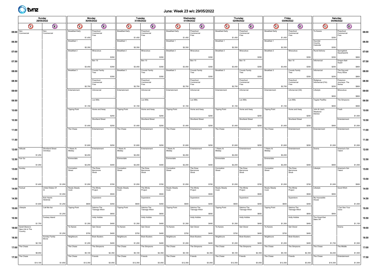# June: Week 23 w/c 29/05/2022

| Sunday<br>29/05/2022             |                                        |          |                                          |                        | Monday<br>30/05/2022 |                                 |         | Tuesday                | 31/05/2022 |                                 |         | Wednesday<br>01/06/2022 |          |                                 |         |                        | Thursday<br>02/06/2022 |                                 |         | Friday<br>03/06/2022   |          |                                 |         | Saturday                            | 04/06/2022 |                                    |         |       |
|----------------------------------|----------------------------------------|----------|------------------------------------------|------------------------|----------------------|---------------------------------|---------|------------------------|------------|---------------------------------|---------|-------------------------|----------|---------------------------------|---------|------------------------|------------------------|---------------------------------|---------|------------------------|----------|---------------------------------|---------|-------------------------------------|------------|------------------------------------|---------|-------|
|                                  | $\bm{\mathsf{O}}$                      |          | $\bigcirc$                               | $\bm{\mathsf{O}}$      |                      | $\circledcirc$                  |         | $\bm{\mathsf{O}}$      |            | $\odot$                         |         | $\bullet$               |          | $\odot$                         |         | $\bm{\mathsf{O}}$      |                        | $\odot$                         |         | $\bullet$              |          | $\odot$                         |         | $\bullet$                           |            | $\odot$                            |         |       |
| $06:00$ $\sqrt{\frac{Non}{Con}}$ | Commercial                             |          | Non<br>Commercial                        | <b>Breakfast Early</b> | \$1,450              | Preschool<br>Commercial<br>Free |         | <b>Breakfast Early</b> | \$1,450    | Preschool<br>Commercial<br>Free |         | <b>Breakfast Early</b>  | \$1,450  | Preschool<br>Commercial<br>Free |         | <b>Breakfast Early</b> | \$1,450                | Preschool<br>Commercial<br>Free |         | <b>Breakfast Early</b> | \$1,450  | Preschool<br>Commercial<br>Free |         | Te Karere                           | \$350      | Preschool<br>Commercial<br>Free    |         | 06:00 |
| 06:30                            |                                        |          |                                          | Breakfast 1            | \$2,350              |                                 |         | Breakfast 1            | \$2,350    |                                 |         | Breakfast 1             | \$2,350  |                                 |         | Breakfast 1            | \$2,350                |                                 |         | Breakfast 1            | \$2,350  |                                 |         | Hyundai<br>Country<br>Calendar      | \$350      |                                    |         | 06:30 |
| 07:00                            |                                        |          |                                          | Breakfast 2            |                      | Miraculous                      |         | Breakfast 2            |            | Miraculous                      |         | Breakfast 2             |          | Miraculous                      |         | Breakfast 2            |                        | Miraculous                      |         | Breakfast 2            |          | Miraculous                      |         | Rural Delivery                      |            | Spongebob<br>Squarepants           |         | 07:00 |
|                                  |                                        |          |                                          |                        |                      |                                 | \$350   |                        |            |                                 | \$350   |                         |          |                                 | \$350   |                        |                        |                                 | \$350   |                        |          |                                 | \$350   |                                     | \$350      |                                    | \$800   |       |
| 07:30                            |                                        |          |                                          |                        |                      | Ben 10                          |         |                        |            | Ben 10                          |         |                         |          | Ben 10                          |         |                        |                        | Ben 10                          |         |                        |          | Ben 10                          |         | Infomercial                         |            | Dragon Ball<br>Super               |         | 07:30 |
| 08:00                            |                                        |          |                                          | Breakfast 3            | \$3,450              | Croods Family                   | \$350   | Breakfast 3            | \$3,450    | Croods Family                   | \$350   | Breakfast 3             | \$3,450  | Croods Family                   | \$350   | Breakfast 3            | \$3,450                | Croods Family                   | \$350   | Breakfast 3            | \$3,450  | Croods Family                   | \$350   | Infomercial                         | \$250      | The Dog and                        | \$800   | 08:00 |
|                                  |                                        |          |                                          |                        |                      | Tree                            | \$350   |                        |            | Tree                            | \$350   |                         |          | Tree                            | \$350   |                        |                        | Tree                            | \$350   |                        |          | Tree                            | \$350   |                                     | \$250      | Pony Show                          | \$800   |       |
| 08:30                            |                                        |          |                                          |                        |                      | Preschool<br>Commercia<br>Free  |         |                        |            | Preschool<br>Commercial<br>Free |         |                         |          | Preschool<br>Commercial<br>Free |         |                        |                        | Preschool<br>Commercial<br>Free |         |                        |          | Preschool<br>Commercia<br>Free  |         | Religious<br>Infomercial (FIA)      |            | Pokemon<br>Journeys: The<br>Series |         | 08:30 |
|                                  |                                        |          |                                          | Entertainment          | \$2,750              | Infomercial                     |         | Entertainment          | \$2,750    | Infomercial                     |         | Entertainment           | \$2,750  | Infomercial                     |         | Entertainment          | \$2,750                | Infomercial                     |         | Entertainment          | \$2,750  | Infomercial (GS)                |         | Lifestyle                           | \$250      | Miraculous                         | \$800   |       |
| 09:00                            |                                        |          |                                          |                        |                      |                                 |         |                        |            |                                 |         |                         |          |                                 |         |                        |                        |                                 |         |                        |          |                                 |         |                                     | \$650      |                                    | \$800   | 09:00 |
| 09:30                            |                                        |          |                                          |                        |                      | Les Mills                       |         |                        |            | Les Mills                       |         |                         |          | Les Mills                       |         |                        |                        | Les Mills                       |         |                        |          | Les Mills                       |         | Tagata Pasifika                     |            | The Simpsons                       |         | 09:30 |
|                                  |                                        |          |                                          |                        | \$1,150              |                                 |         |                        | \$1,150    |                                 |         |                         | \$1,150  |                                 |         |                        | \$1,150                |                                 |         |                        | \$1,150  |                                 |         |                                     | \$650      |                                    | \$900   |       |
| 10:00                            |                                        |          |                                          | <b>Tipping Point</b>   |                      | Home and Away                   |         | <b>Tipping Point</b>   |            | Home and Away                   |         | <b>Tipping Point</b>    |          | Home and Away                   |         | <b>Tipping Point</b>   |                        | Home and Away                   |         | <b>Tipping Point</b>   |          | Home and Away                   |         | John & Lisa's<br>Weekend<br>Kitchen |            | Fresh                              |         | 10:00 |
| 10:30                            |                                        |          |                                          |                        |                      | <b>Shortland Street</b>         | \$250   |                        |            | Shortland Street                | \$250   |                         |          | Shortland Street                | \$250   |                        |                        | Shortland Street                | \$250   |                        |          | Shortland Street                | \$250   |                                     |            | Entertainment                      | \$1,500 | 10:30 |
|                                  |                                        |          |                                          |                        | \$1,400              |                                 | \$250   |                        | \$1,400    |                                 | \$250   |                         | \$1,400  |                                 | \$250   |                        | \$1,400                |                                 | \$250   |                        | \$1,400  |                                 | \$250   |                                     | \$900      |                                    | \$1,000 |       |
| 11:00                            |                                        |          |                                          | The Chase              |                      | Entertainment                   |         | The Chase              |            | Entertainment                   |         | The Chase               |          | Entertainment                   |         | The Chase              |                        | Entertainment                   |         | The Chase              |          | Entertainment                   |         | Entertainment                       |            | Entertainment                      |         | 11:00 |
|                                  |                                        |          |                                          |                        |                      |                                 |         |                        |            |                                 |         |                         |          |                                 |         |                        |                        |                                 |         |                        |          |                                 |         |                                     |            |                                    |         |       |
| 11:30                            |                                        |          |                                          |                        | \$1,600              |                                 | \$250   |                        | \$1,600    |                                 | \$250   |                         | \$1,600  |                                 | \$250   |                        | \$1,600                |                                 | \$250   |                        | \$1,600  |                                 | \$250   |                                     | \$1,000    |                                    | \$1,000 | 11:30 |
| 12:00                            | Attitude                               |          | Shortland Street<br>Omnibus              | 1 News At<br>Midday    |                      | Entertainment                   |         | 1 News At<br>Midday    |            | Entertainment                   |         | 1 News At<br>Midday     |          | Entertainment                   |         | 1 News At<br>Midday    |                        | Entertainment                   |         | 1 News At<br>Midday    |          | Entertainment                   |         | Drama                               |            | America's Got<br>Talent            |         | 12:00 |
|                                  |                                        | \$1,250  |                                          |                        | \$2,450              |                                 |         |                        | \$2,450    |                                 |         |                         | \$2,450  |                                 |         |                        | \$2,450                |                                 |         |                        | \$2,450  |                                 |         |                                     |            |                                    |         |       |
| 12:30                            | Fair Go                                |          |                                          | Emmerdale              |                      |                                 |         | Emmerdale              |            |                                 |         | Emmerdale               |          |                                 |         | Emmerdale              |                        |                                 |         | Emmerdale              |          |                                 |         |                                     |            |                                    |         | 12:30 |
| 13:00                            | Sunday                                 | \$1,050  |                                          | Coronation             | \$2,200              | The Drew                        | \$400   | Coronation             | \$2,200    | The Drew                        | \$400   | Coronation              | \$2,200  | The Drew                        | \$400   | Coronation             | \$2,200                | The Drew                        | \$400   | Coronation             | \$2,200  | The Drew                        | \$400   | Lifestyle                           | \$900      | America's Got                      | \$1,050 | 13:00 |
|                                  |                                        |          |                                          | Street                 |                      | Barrymore<br>Show               |         | Street                 |            | Barrymore<br>Show               |         | Street                  |          | Barrymore<br>Show               |         | Street                 |                        | Barrymore<br>Show               |         | Street                 |          | Barrymore<br>Show               |         |                                     |            | Talent                             |         |       |
| 13:30                            |                                        |          |                                          |                        |                      |                                 |         |                        |            |                                 |         |                         |          |                                 |         |                        |                        |                                 |         |                        |          |                                 |         |                                     |            |                                    |         | 13:30 |
|                                  |                                        | \$1,400  | \$1,050                                  |                        | \$1,050              |                                 | \$700   |                        | \$1,050    |                                 | \$700   |                         | \$1,050  |                                 | \$700   |                        | \$1,050                |                                 | \$700   |                        | \$1,050  |                                 | \$700   |                                     | \$1,000    |                                    | \$900   |       |
| 14:00                            | Factual                                |          | United States Of                         | Ready Steady<br>Cook   |                      | The Mindy<br>Project            |         | Ready Steady<br>Cook   |            | The Mindy<br>Project            |         | Ready Steady<br>Cook    |          | The Mindy<br>Project            |         | Ready Steady<br>Cook   |                        | The Mindy<br>Project            | \$500   | Ready Steady<br>Cook   |          | The Mindy<br>Project            | \$500   | Lifestyle                           |            | Good Witch                         |         | 14:00 |
| 14:30                            |                                        |          | \$1,050<br><b>Bob Hearts</b><br>Abishola |                        |                      | Superstore                      | \$500   |                        |            | Superstore                      | \$500   |                         |          | Superstore                      | \$500   |                        |                        | Superstore                      |         |                        |          | Superstore                      |         | My Impossible<br>House              | \$950      |                                    |         | 14:30 |
|                                  |                                        | \$1,600  | \$1,250                                  |                        | \$600                |                                 | \$450   |                        | \$600      |                                 | \$450   |                         | \$600    |                                 | \$450   |                        | \$600                  |                                 | \$450   |                        | \$600    |                                 | \$450   |                                     |            |                                    | \$1,000 |       |
| 15:00                            | Lifestyle                              |          | Call Me Kat                              | <b>Tipping Point</b>   |                      | Sabrina The<br>Teenage Witch    |         | <b>Tipping Point</b>   |            | Sabrina The<br>Teenage Witch    |         | <b>Tipping Point</b>    |          | Sabrina The<br>Teenage Witch    |         | <b>Tipping Point</b>   |                        | Sabrina The<br>Teenage Witch    |         | <b>Tipping Point</b>   |          | Sabrina The<br>Teenage Witch    |         |                                     |            | I Can See Your<br>Voice            |         | 15:00 |
| 15:30                            |                                        |          | \$1,250<br>Fantasy Island                |                        |                      | <b>Holly Hobbie</b>             | \$650   |                        |            | <b>Holly Hobbie</b>             | \$650   |                         |          | <b>Holly Hobbie</b>             | \$650   |                        |                        | <b>Holly Hobbie</b>             | \$650   |                        |          | <b>Holly Hobbie</b>             | \$650   | The Great Kiwi                      | \$950      |                                    |         | 15:30 |
|                                  |                                        | \$1,750  |                                          |                        | \$1,350              |                                 | \$400   |                        | \$1,350    |                                 | \$400   |                         | \$1,350  |                                 | \$400   |                        | \$1,350                |                                 | \$400   |                        | \$1,350  |                                 | \$400   | Bake Off                            |            |                                    | \$1,150 |       |
|                                  | 16:00 Sarah Beeny's<br>New Life In The |          |                                          | Te Karere              |                      | Get Clever                      |         | Te Karere              |            | Get Clever                      |         | Te Karere               |          | Get Clever                      |         | Te Karere              |                        | Get Clever                      |         | Te Karere              |          | Get Clever                      |         |                                     |            | Drama                              |         | 16:00 |
|                                  | Country                                |          | \$1,250                                  |                        | \$750                |                                 | \$400   |                        | \$750      |                                 | \$400   |                         | \$750    |                                 | \$400   |                        | \$750                  |                                 | \$400   |                        | \$750    |                                 | \$400   |                                     |            |                                    |         |       |
| 16:30                            |                                        |          | Sunday Family<br>Movie                   | Neighbours             |                      | <b>Brain Busters</b>            |         | Neighbours             |            | <b>Brain Busters</b>            |         | Neighbours              |          | <b>Brain Busters</b>            |         | Neighbours             |                        | <b>Brain Busters</b>            |         | Neighbours             |          | <b>Brain Busters</b>            |         |                                     |            |                                    |         | 16:30 |
|                                  | $17:00$ The Chase                      | \$2,150  |                                          | The Chase              | \$1,200              | The Simpsons                    | \$400   | The Chase              | \$1,200    | The Simpsons                    | \$400   | The Chase               | \$1,200  | The Simpsons                    | \$400   | The Chase              | \$1,200                | The Simpsons                    | \$400   | The Chase              | \$1,200  | The Simpsons                    | \$400   | The Chase                           | \$1,750    | The Middle                         | \$1,500 | 17:00 |
|                                  |                                        | \$6,950  |                                          |                        | \$5,100              |                                 | \$2,350 |                        | \$5,100    |                                 | \$2,350 |                         | \$5,100  |                                 | \$2,350 |                        | \$5,100                |                                 | \$2,350 |                        | \$5,100  |                                 | \$2,350 |                                     | \$4,450    |                                    | \$1,500 |       |
|                                  | 17:30 The Chase                        |          |                                          | The Chase              |                      | Friends                         |         | The Chase              |            | Friends                         |         | The Chase               |          | Friends                         |         | The Chase              |                        | Friends                         |         | The Chase              |          | Friends                         |         | The Chase                           |            | Entertainment                      |         | 17:30 |
|                                  |                                        | \$14,100 | \$1,650                                  |                        | \$12,350             |                                 | \$3,050 |                        | \$12,350   |                                 | \$3,050 |                         | \$12,350 |                                 | \$3,050 |                        | \$12,350               |                                 | \$3,050 |                        | \$12,350 |                                 | \$3,050 |                                     | \$10,300   |                                    | \$1,500 |       |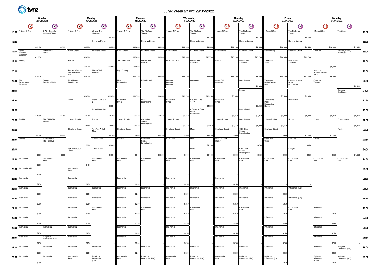

## June: Week 23 w/c 29/05/2022

|                  | Sunday<br>29/05/2022              |                                   |                               |            |                                  | Monday<br>30/05/2022 |                         |            |                    |            | Tuesday<br>31/05/2022                |            |                      | Wednesday<br>01/06/2022 |                                       |            |                              |          | Thursday<br>02/06/2022  |            |                                | Friday<br>03/06/2022 |                         |            |                                       | Saturday<br>04/06/2022 |                               |         |       |
|------------------|-----------------------------------|-----------------------------------|-------------------------------|------------|----------------------------------|----------------------|-------------------------|------------|--------------------|------------|--------------------------------------|------------|----------------------|-------------------------|---------------------------------------|------------|------------------------------|----------|-------------------------|------------|--------------------------------|----------------------|-------------------------|------------|---------------------------------------|------------------------|-------------------------------|---------|-------|
|                  | $\odot$<br>$\bigcirc$             |                                   |                               | $\bigcirc$ |                                  | $\odot$              |                         | $\bigcirc$ |                    | $\bigcirc$ |                                      | $\bigcirc$ |                      | $\bigcirc$              |                                       | $\bigcirc$ |                              | $\odot$  |                         | $\bigcirc$ |                                | $\odot$              |                         | $\bigcirc$ |                                       | $\odot$                |                               |         |       |
|                  | 18:00 <sup>1</sup> News At 6pm    | 2 Wild: Eden-An<br>Untamed Planet |                               |            | 1 News At 6pm                    |                      | All New The<br>Simpsons |            | 1 News At 6pm      |            | The Big Bang<br>Theory               |            | 1 News At 6pm        |                         | The Big Bang<br>Theory                |            | 1 News At 6pm                |          | The Big Bang<br>Theory  |            | 1 News At 6pm                  |                      | The Big Bang<br>Theory  |            | 1 News At 6pm                         |                        | The Cube                      |         | 18:00 |
| 18:30            |                                   |                                   |                               |            |                                  |                      | Home and Away           | \$4,250    |                    |            | Home and Away                        | \$4,100    |                      |                         | Home and Away                         | \$4,100    |                              |          | Home and Away           | \$4,100    |                                |                      | Home and Away           | \$4,100    |                                       |                        |                               |         | 18:30 |
| 19:00 Hyundai    |                                   | \$24,150                          | Britain's Got                 | \$2,300    | Seven Sharp                      | \$24,550             | Shortland Street        | \$8,550    | Seven Sharp        | \$21,600   | Shortland Street                     | \$8,550    | Seven Sharp          | \$22,650                | Shortland Street                      | \$8,550    | Seven Sharp                  | \$21,400 | Shortland Street        | \$8,550    | Seven Sharp                    | \$19,000             | Shortland Street        | \$8,550    | The Wall                              | \$16,300               | Saturday Family               | \$2,350 | 19:00 |
|                  | Country<br>Calendar               | \$21,650                          | Talent                        |            |                                  | \$19,300             |                         |            |                    | \$17,050   |                                      | \$9,500    |                      | \$17,050                |                                       | \$13,700   |                              | \$16,200 |                         | \$13,700   |                                | \$14,350             |                         | \$13,700   |                                       |                        | Blockbuster                   |         |       |
| 19:30 Sunday     |                                   |                                   |                               |            | Fair Go                          |                      |                         |            | The Casketeers     |            | MasterChef<br>Australia              |            | Give Us A Clue       |                         | MasterChef<br>Australia               |            | Factual                      |          | MasterChef<br>Australia |            | The Repair<br>Shop             |                      | MasterChef<br>Australia |            |                                       |                        |                               |         | 19:30 |
| 20:00            |                                   |                                   |                               |            | Bradley Walsh &<br>Son: Breaking | \$14,700             | MasterChef<br>Australia | \$11,850   | Lap of Luxury      | \$11,500   |                                      |            |                      |                         |                                       |            |                              |          |                         |            |                                |                      |                         |            | Heathrow:<br><b>Britain's Busiest</b> | \$9,400                |                               |         | 20:00 |
|                  |                                   | \$13,400                          |                               | \$8,300    | Dad<br>Rich House,               | \$10,700             |                         |            | First              | \$11,250   | <b>NCIS Hawaii</b>                   | \$9,500    | Location             | \$13,400                | Guessable                             | \$7,600    |                              | \$13,400 |                         | \$8,300    | The Great                      | \$10,700             | 8 Out of 10 Cats        | \$13,700   | Airport<br>Saturday                   | \$6,350                |                               |         |       |
|                  | 20:30 The Brokenwood<br>Mysteries |                                   | Sunday<br>Premiere Movie      |            | Poor House                       |                      |                         |            | Responders         |            |                                      |            | Location<br>Location |                         |                                       |            | Super Rich<br>Sleepover      |          | Local Factual           | \$9,950    | <b>British Sewing</b><br>Bee   |                      | Does<br>Countdown       |            | Theatre                               |                        |                               | \$5,500 | 20:30 |
| 21:00            |                                   |                                   |                               |            |                                  |                      |                         |            |                    |            |                                      |            |                      |                         |                                       |            |                              |          | Factual                 |            |                                |                      |                         |            |                                       |                        | Saturday<br>Blockbuster       |         | 21:00 |
| 21:30            |                                   |                                   |                               |            | 20/20                            | \$10,700             | Aroha Nui: Say I        | \$11,850   | Coronation         | \$10,700   | FBI:                                 | \$9,450    | Coronation           | \$10,700                | Would I Lie To                        | \$10,250   | Coronation                   | \$8,050  |                         |            | The World's                    | \$7,500              | Dinner Date             | \$9,950    |                                       |                        |                               |         | 21:30 |
|                  |                                   |                                   |                               |            |                                  |                      | Do                      | \$4,950    | Street             |            | International                        |            | Street               |                         | You?                                  | \$4,500    | Street                       |          |                         | \$9,950    | Most<br>Extraordinary<br>Homes |                      |                         |            |                                       |                        |                               |         |       |
| 22:00            |                                   |                                   |                               |            |                                  |                      | Naked Attraction        |            |                    |            |                                      |            |                      |                         | 8 Out of 10 Cats<br>Does<br>Countdown |            |                              |          | Booze Patrol            |            |                                |                      |                         |            |                                       |                        |                               |         | 22:00 |
| 22:30   For Life |                                   | \$12,050                          | The Girl In The<br>Woods      | \$6,750    | 1 News Tonight                   | \$4,750              | Drama                   | \$2,700    | 1 News Tonight     | \$6,350    | CSI: Crime<br>Scene                  | \$5,650    | 1 News Tonight       | \$6,350                 |                                       |            | 1 News Tonight               | \$6,350  | Local Factual           | \$9,950    | 1 News Tonight                 | \$4,000              | Unreal                  | \$5,000    | Drama                                 | \$8,050                | Entertainment                 | \$5,750 | 22:30 |
|                  |                                   |                                   |                               |            | Shortland Street                 | \$2,450              | Two And A Half          | \$2,650    | Shortland Street   | \$2,450    | nvestigation                         |            | Shortland Street     | \$2,450                 | Mom                                   | \$2,250    | Shortland Street             | \$2,450  | CSI: Crime              | \$1,000    | Shortland Street               | \$2,450              |                         |            |                                       |                        | Movie                         | \$5,750 |       |
| 23:00            |                                   | \$2,750                           |                               | \$2,000    |                                  |                      |                         | \$2,250    |                    | \$900      |                                      | \$1,850    |                      | \$900                   |                                       | \$1,450    |                              | \$900    | Scene<br>Investigation  |            |                                | \$900                |                         | \$1,700    |                                       | \$1,100                |                               |         | 23:00 |
| 23:30 Clarice    |                                   |                                   | Homicide For<br>The Holidays  |            |                                  |                      | 2 Broke Girls           |            | Sunday             |            | CSI: Crime<br>Scene<br>Investigation |            | Seal Team            |                         | Mom                                   |            | It's Your Fault<br>l I'm Fat |          |                         |            | Good With<br>Wood              |                      | Love Life               |            | Drama                                 |                        |                               |         | 23:30 |
| 24:00            |                                   |                                   |                               |            | Q + A with Jack                  | \$900                | 2 Broke Girls           | \$1,000    |                    |            |                                      |            |                      |                         | Mom                                   | \$1,100    |                              |          | CSI: Crime              | \$700      |                                |                      | Kung Fu                 | \$650      |                                       |                        |                               |         | 24:00 |
|                  |                                   | \$600                             |                               | \$900      | Tame                             |                      |                         | \$1,000    |                    | \$900      |                                      | \$1,850    |                      | \$900                   |                                       | \$1,100    |                              | \$900    | Scene<br>nvestigation   | \$450      |                                | \$900                |                         | \$650      |                                       | \$450                  |                               | \$1,550 |       |
|                  | 24:30 Informercial                |                                   | Commercial<br>Free            |            |                                  |                      | Commercial<br>Free      |            | Commercial<br>Free |            | Commercial<br>Free                   |            | Commercial<br>Free   |                         | Commercial<br>Free                    |            | Commercial<br>Free           |          | Commercial<br>Free      |            | Commercial<br>Free             |                      | Commercial<br>Free      |            | Commercial<br>Free                    |                        | Commercial<br>Free            |         | 24:30 |
|                  | 25:00 Infomercial (AH)            | \$250                             |                               |            | Commercial<br>Free               | \$400                |                         |            |                    |            |                                      |            |                      |                         |                                       |            |                              |          |                         |            |                                |                      |                         |            |                                       |                        |                               |         | 25:00 |
|                  | 25:30   Infomercial               | \$250                             |                               |            | Infomercial                      |                      |                         |            | Infomercial        |            |                                      |            | Infomercial          |                         |                                       |            | Infomercial                  |          |                         |            |                                |                      |                         |            |                                       |                        |                               |         |       |
|                  |                                   | \$250                             |                               |            |                                  | \$250                |                         |            |                    | \$250      |                                      |            |                      | \$250                   |                                       |            |                              | \$250    |                         |            |                                |                      |                         |            |                                       |                        |                               |         | 25:30 |
|                  | 26:00   Infomercial               |                                   |                               |            | Infomercial                      |                      | Infomercial             |            | Infomercial        |            | nfomercial                           |            | Infomercial          |                         | Infomercial                           |            | Infomercial                  |          | Infomercial             |            | Infomercial                    |                      | Infomercial (GS)        |            |                                       |                        |                               |         | 26:00 |
|                  | 26:30   Informercial              | \$250                             |                               |            | Infomercial                      | \$250                | Infomercial             |            | Infomercial        | \$250      | nfomercial                           |            | Infomercial          | \$250                   | Infomercial                           |            | Infomercial                  | \$250    | nfomercial              |            | Infomercial                    | \$250                | Infomercial (GS)        |            |                                       |                        |                               |         | 26:30 |
|                  |                                   | \$250                             |                               |            |                                  | \$250                |                         |            |                    | \$250      |                                      |            |                      | \$250                   |                                       |            |                              | \$250    |                         |            |                                | \$250                |                         |            |                                       |                        |                               |         |       |
|                  | 27:00   Informercial              | \$250                             |                               |            | Infomercial                      | \$250                | Commercial<br>Free      |            | Infomercial        | \$250      | Commercial<br>Free                   |            | Infomercial          | \$250                   | Commercial<br>Free                    |            | Infomercial                  | \$250    | Commercial<br>Free      |            | Infomercial                    | \$250                | Commercial<br>Free      |            | Infomercial                           | \$250                  |                               |         | 27:00 |
|                  | 27:30   Informercial              |                                   |                               |            | Infomercial                      |                      |                         |            | Infomercial        |            |                                      |            | Infomercial          |                         |                                       |            | Infomercial                  |          |                         |            | Infomercial                    |                      |                         |            | Infomercial                           |                        |                               |         | 27:30 |
|                  | $28:00$ Infomercial               | \$250                             | Infomercial                   |            | Infomercial                      | \$250                |                         |            | Infomercial        | \$250      |                                      |            | Infomercial          | \$250                   |                                       |            | Infomercial                  | \$250    |                         |            | Infomercial                    | \$250                |                         |            | Infomercial                           | \$250                  |                               |         | 28:00 |
|                  |                                   | \$250                             |                               |            |                                  | \$250                |                         |            |                    | \$250      |                                      |            |                      | \$250                   |                                       |            |                              | \$250    |                         |            |                                | \$250                |                         |            |                                       | \$250                  |                               |         |       |
|                  | 28:30 Infomercial                 |                                   | Religious<br>Infomercial (HC) |            | Infomercial                      |                      |                         |            | Infomercial        |            |                                      |            | Infomercial          |                         |                                       |            | Infomercial                  |          |                         |            | Infomercial                    |                      |                         |            | Infomercial                           |                        |                               |         | 28:30 |
|                  | 29:00   Infomercial               | \$250                             | Infomercial                   |            | Infomercial                      | \$250                | Infomercial             |            | Infomercial        | \$250      | Infomercial                          |            | Infomercial          | \$250                   | Infomercial                           |            | Infomercial                  | \$250    | Infomercial             |            | Infomercial                    | \$250                |                         |            | Infomercial                           | \$250                  | Religious<br>Infomercial (TM) |         | 29:00 |
|                  |                                   | \$250                             | Infomercial                   |            | Commercial                       | \$250                | Religious               |            | Commercial         | \$250      | Religious                            |            | Commercial           | \$250                   | Religious                             |            | Commercial                   | \$250    | Religious               |            | Religious                      | \$250                |                         |            |                                       | \$250                  | Religious                     |         |       |
|                  | 29:30   Informercial              | \$250                             |                               |            | Free                             |                      | Infomercial<br>(LTW)    |            | Free               |            | Infomercial (FIA)                    |            | Free                 |                         | Infomercial (FIA)                     |            | Free                         |          | Infomercial (FIA)       |            | Infomercial (IJ)               | \$250                |                         |            | Religious<br>Infomercial<br>(LTW)     | \$250                  | Infomercial (HC)              |         | 29:30 |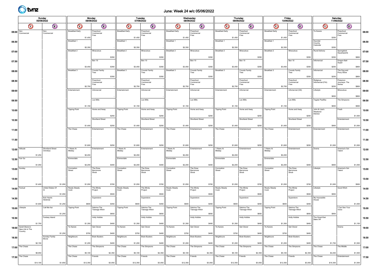# June: Week 24 w/c 05/06/2022

| Sunday<br>05/06/2022      |                                        |          |                               |         |                        |          | Monday<br>06/06/2022            |         |                                   | <b>Tuesday</b> | 07/06/2022                      |             |                        | Wednesday | 08/06/2022                      |         |                        | <b>Thursday</b><br>09/06/2022 |                                 |         |                        | Friday<br>10/06/2022 |                                 |         |                                | Saturday<br>11/06/2022 |                                 |         |       |
|---------------------------|----------------------------------------|----------|-------------------------------|---------|------------------------|----------|---------------------------------|---------|-----------------------------------|----------------|---------------------------------|-------------|------------------------|-----------|---------------------------------|---------|------------------------|-------------------------------|---------------------------------|---------|------------------------|----------------------|---------------------------------|---------|--------------------------------|------------------------|---------------------------------|---------|-------|
|                           | Q                                      |          | $\odot$                       |         | $\bullet$              |          | $\odot$                         |         | $\bm{\mathsf{O}}$                 |                | $\odot$                         |             | $\bm{\mathsf{O}}$      |           | $\odot$                         |         | $\bm{\mathsf{O}}$      |                               | $\odot$                         |         | $\bm{\mathsf{O}}$      |                      | $\odot$                         |         | $\bm{\mathsf{O}}$              |                        | $\bigcirc$                      |         |       |
| 06:00 $\sqrt{\frac{Non}}$ | Commercial                             |          | Non<br>Commercial             |         | <b>Breakfast Early</b> | \$1,450  | Preschool<br>Commercial<br>Free |         | <b>Breakfast Early</b>            | \$1,450        | Preschool<br>Commercial<br>Free |             | <b>Breakfast Early</b> | \$1,450   | Preschool<br>Commercial<br>Free |         | <b>Breakfast Early</b> | \$1,450                       | Preschool<br>Commercial<br>Free |         | <b>Breakfast Early</b> | \$1,450              | Preschool<br>Commercial<br>Free |         | Te Karere                      | \$350                  | Preschool<br>Commercial<br>Free |         | 06:00 |
| 06:30                     |                                        |          |                               |         | Breakfast 1            | \$2,350  |                                 |         | Breakfast 1                       | \$2,350        |                                 |             | Breakfast 1            | \$2,350   |                                 |         | Breakfast 1            | \$2,350                       |                                 |         | Breakfast 1            | \$2,350              |                                 |         | Hyundai<br>Country<br>Calendar | \$350                  |                                 |         | 06:30 |
| 07:00                     |                                        |          |                               |         | Breakfast 2            |          | Miraculous                      |         | Breakfast 2                       |                | Miraculous                      |             | Breakfast 2            |           | Miraculous                      |         | Breakfast 2            |                               | Miraculous                      |         | Breakfast 2            |                      | Miraculous                      |         | <b>Rural Delivery</b>          |                        | Spongebob<br>Squarepants        |         | 07:00 |
| 07:30                     |                                        |          |                               |         |                        |          | Ben 10                          | \$350   |                                   |                | Ben 10                          | \$350       |                        |           | Ben 10                          | \$350   |                        |                               | Ben 10                          | \$350   |                        |                      | Ben 10                          | \$350   | Infomercial                    | \$350                  | Dragon Ball                     | \$800   | 07:30 |
|                           |                                        |          |                               |         |                        | \$3,450  |                                 | \$350   |                                   | \$3,450        |                                 | \$350       |                        | \$3,450   |                                 | \$350   |                        | \$3,450                       |                                 | \$350   |                        | \$3,450              |                                 | \$350   |                                | \$250                  | Super                           | \$800   |       |
| 08:00                     |                                        |          |                               |         | Breakfast 3            |          | Croods Family<br>Tree           |         | Breakfast 3                       |                | Croods Family<br>Tree           |             | Breakfast 3            |           | Croods Family<br>Tree           |         | Breakfast 3            |                               | Croods Family<br>Tree           |         | Breakfast 3            |                      | Croods Family<br>Tree           |         | Infomercial                    |                        | The Dog and<br>Pony Show        |         | 08:00 |
| 08:30                     |                                        |          |                               |         |                        |          | Preschool<br>Commercial         | \$350   |                                   |                | Preschool<br>Commercial         | \$350       |                        |           | Preschool<br>Commercial         | \$350   |                        |                               | Preschool<br>Commercial         | \$350   |                        |                      | Preschool<br>Commercial         | \$350   | Religious<br>Infomercial (FIA) | \$250                  | Pokemon<br>Journeys: The        | \$800   | 08:30 |
|                           |                                        |          |                               |         | Entertainment          | \$2,750  | Free<br>Infomercial             |         | Entertainment                     | \$2,750        | Free<br>Infomercial             |             | Entertainment          | \$2,750   | Free<br>Infomercial             |         | Entertainment          | \$2,750                       | Free<br>Infomercial             |         | Entertainment          | \$2,750              | Free<br>Infomercial (GS)        |         | Lifestyle                      | \$250                  | Series<br>Miraculous            | \$800   |       |
| 09:00                     |                                        |          |                               |         |                        |          |                                 |         |                                   |                |                                 |             |                        |           |                                 |         |                        |                               |                                 |         |                        |                      |                                 |         |                                | \$650                  |                                 | \$800   | 09:00 |
| 09:30                     |                                        |          |                               |         |                        |          | Les Mills                       |         |                                   |                | Les Mills                       |             |                        |           | Les Mills                       |         |                        |                               | Les Mills                       |         |                        |                      | Les Mills                       |         | Tagata Pasifika                |                        | The Simpsons                    |         | 09:30 |
| 10:00                     |                                        |          |                               |         | <b>Tipping Point</b>   | \$1,150  | Home and Away                   |         | <b>Tipping Point</b>              | \$1,150        | Home and Away                   |             | <b>Tipping Point</b>   | \$1,150   | Home and Away                   |         | <b>Tipping Point</b>   | \$1,150                       | Home and Away                   |         | <b>Tipping Point</b>   | \$1,150              | Home and Away                   |         | John & Lisa's                  | \$650                  | Fresh                           | \$900   | 10:00 |
|                           |                                        |          |                               |         |                        |          |                                 | \$250   |                                   |                |                                 | \$250       |                        |           |                                 | \$250   |                        |                               |                                 | \$250   |                        |                      |                                 | \$250   | Weekend<br>Kitchen             |                        |                                 | \$1,500 |       |
| 10:30                     |                                        |          |                               |         |                        |          | Shortland Street                |         |                                   |                | Shortland Street                |             |                        |           | Shortland Street                |         |                        |                               | Shortland Street                |         |                        |                      | Shortland Street                |         |                                |                        | Entertainment                   |         | 10:30 |
| 11:00                     |                                        |          |                               |         | The Chase              | \$1,400  | Entertainment                   | \$250   | The Chase                         | \$1,400        | Entertainment                   | \$250       | The Chase              | \$1,400   | Entertainment                   | \$250   | The Chase              | \$1,400                       | Entertainment                   | \$250   | The Chase              | \$1,400              | Entertainment                   | \$250   | Entertainment                  | \$900                  | Entertainment                   | \$1,000 | 11:00 |
|                           |                                        |          |                               |         |                        |          |                                 |         |                                   |                |                                 |             |                        |           |                                 |         |                        |                               |                                 |         |                        |                      |                                 |         |                                |                        |                                 |         |       |
| 11:30                     |                                        |          |                               |         |                        | \$1,600  |                                 | \$250   |                                   | \$1,600        |                                 | \$250       |                        | \$1,600   |                                 | \$250   |                        | \$1,600                       |                                 | \$250   |                        | \$1,600              |                                 | \$250   |                                | \$1,000                |                                 | \$1,000 | 11:30 |
| 12:00                     | Attitude                               |          | Shortland Street<br>Omnibus   |         | 1 News At<br>Midday    |          | Entertainment                   |         | 1 News At<br>Midday               |                | Entertainment                   |             | 1 News At<br>Midday    |           | Entertainment                   |         | 1 News At<br>Midday    |                               | Entertainment                   |         | 1 News At<br>Midday    |                      | Entertainment                   |         | Drama                          |                        | America's Got<br>Talent         |         | 12:00 |
|                           | 12:30 Fair Go                          | \$1,250  |                               |         | Emmerdale              | \$2,450  |                                 |         | Emmerdale                         | \$2,450        |                                 |             | Emmerdale              | \$2,450   |                                 |         | Emmerdale              | \$2,450                       |                                 |         | Emmerdale              | \$2,450              |                                 |         |                                |                        |                                 |         | 12:30 |
|                           |                                        | \$1,050  |                               |         |                        | \$2,200  |                                 | \$400   |                                   | \$2,200        |                                 | \$400       |                        | \$2,200   |                                 | \$400   |                        | \$2,200                       |                                 | \$400   |                        | \$2,200              |                                 | \$400   |                                | \$900                  |                                 | \$1,050 |       |
| 13:00                     | Sunday                                 |          |                               |         | Coronation<br>Street   |          | The Drew<br>Barrymore<br>Show   |         | Coronation<br>Street              |                | The Drew<br>Barrymore<br>Show   |             | Coronation<br>Street   |           | The Drew<br>Barrymore<br>Show   |         | Coronation<br>Street   |                               | The Drew<br>Barrymore<br>Show   |         | Coronation<br>Street   |                      | The Drew<br>Barrymore<br>Show   |         | Lifestyle                      |                        | America's Got<br>Talent         |         | 13:00 |
| 13:30                     |                                        |          |                               |         |                        |          |                                 |         |                                   |                |                                 |             |                        |           |                                 |         |                        |                               |                                 |         |                        |                      |                                 |         |                                |                        |                                 |         | 13:30 |
|                           |                                        | \$1,400  |                               | \$1,050 |                        | \$1,050  |                                 | \$700   |                                   | \$1,050        |                                 | \$700       |                        | \$1,050   |                                 | \$700   |                        | \$1,050                       |                                 | \$700   |                        | \$1,050              |                                 | \$700   |                                | \$1,000                |                                 | \$900   |       |
| 14:00                     | Factual                                |          | United States Of              | \$1,050 | Ready Steady<br>Cook   |          | The Mindy<br>Project            | \$500   | Ready Steady<br>Cook <sup>"</sup> |                | The Mindy<br>Project            | \$500       | Ready Steady<br>Cook   |           | The Mindy<br>Project            | \$500   | Ready Steady<br>Cook   |                               | The Mindy<br>Project            | \$500   | Ready Steady<br>Cook   |                      | The Mindy<br>roject             | \$500   | Lifestyle                      | \$950                  | Good Witch                      |         | 14:00 |
| 14:30                     |                                        |          | <b>Bob Hearts</b><br>Abishola |         |                        |          | Superstore                      |         |                                   |                | Superstore                      |             |                        |           | Superstore                      |         |                        |                               | Superstore                      |         |                        |                      | Superstore                      |         | My Impossible<br>House         |                        |                                 |         | 14:30 |
|                           | 15:00 Lifestyle                        | \$1,600  | Call Me Kat                   | \$1,250 | <b>Tipping Point</b>   | \$600    | Sabrina The                     | \$450   | <b>Tipping Point</b>              | \$600          | Sabrina The                     | \$450       | <b>Tipping Point</b>   | \$600     | Sabrina The                     | \$450   | <b>Tipping Point</b>   | \$600                         | Sabrina The                     | \$450   | <b>Tipping Point</b>   | \$600                | Sabrina The                     | \$450   |                                |                        | I Can See Your                  | \$1,000 | 15:00 |
|                           |                                        |          |                               | \$1,250 |                        |          | Teenage Witch                   | \$650   |                                   |                | Teenage Witch                   | \$650       |                        |           | Teenage Witch                   | \$650   |                        |                               | Teenage Witch                   | \$650   |                        |                      | Teenage Witch                   | \$650   |                                | \$950                  | Voice                           |         |       |
| 15:30                     |                                        |          | Fantasy Island                |         |                        |          | <b>Holly Hobbie</b>             |         |                                   |                | Holly Hobbie                    |             |                        |           | <b>Holly Hobbie</b>             |         |                        |                               | <b>Holly Hobbie</b>             |         |                        |                      | <b>Holly Hobbie</b>             |         | The Great Kiwi<br>Bake Off     |                        |                                 |         | 15:30 |
|                           | 16:00 Sarah Beeny's<br>New Life In The | \$1,750  |                               |         | Te Karere              | \$1,350  | Get Clever                      | \$400   | Te Karere                         | \$1,350        | Get Clever                      | <b>S400</b> | Te Karere              | \$1,350   | Get Clever                      | \$400   | Te Karere              | \$1,350                       | Get Clever                      | \$400   | Te Karere              | \$1,350              | Get Clever                      | \$40    |                                |                        | Drama                           | \$1,150 | 16:00 |
|                           | Country                                |          |                               | \$1,250 |                        | \$750    |                                 | \$400   |                                   | \$750          |                                 | \$400       |                        | \$750     |                                 | \$400   |                        | \$750                         |                                 | \$400   |                        | \$750                |                                 | \$400   |                                |                        |                                 |         |       |
| 16:30                     |                                        |          | Sunday Family<br>Movie        |         | Neighbours             |          | <b>Brain Busters</b>            |         | Neighbours                        |                | <b>Brain Busters</b>            |             | Neighbours             |           | <b>Brain Busters</b>            |         | Neighbours             |                               | <b>Brain Busters</b>            |         | Neighbours             |                      | <b>Brain Busters</b>            |         |                                |                        |                                 |         | 16:30 |
|                           | 17:00 The Chase                        | \$2,150  |                               |         | The Chase              | \$1,200  | The Simpsons                    | \$400   | The Chase                         | \$1,200        | The Simpsons                    | \$400       | The Chase              | \$1,200   | The Simpsons                    | \$400   | The Chase              | \$1,200                       | The Simpsons                    | \$400   | The Chase              | \$1,200              | The Simpsons                    | \$400   | The Chase                      | \$1,750                | The Middle                      | \$1,500 | 17:00 |
|                           | 17:30 The Chase                        | \$6,950  |                               |         | The Chase              | \$5,100  | Friends                         | \$2,350 | The Chase                         | \$5,100        | Friends                         | \$2,350     | The Chase              | \$5,100   | Friends                         | \$2,350 | The Chase              | \$5,100                       | Friends                         | \$2,350 | The Chase              | \$5,100              | Friends                         | \$2,350 | The Chase                      | \$4,450                | Entertainment                   | \$1,500 |       |
|                           |                                        | \$14,100 |                               | \$1,650 |                        | \$12,350 |                                 | \$3,050 |                                   | \$12,350       |                                 | \$3,050     |                        | \$12,350  |                                 | \$3,050 |                        | \$12,350                      |                                 | \$3,050 |                        | \$12,350             |                                 | \$3,050 |                                | \$10,300               |                                 | \$1,500 | 17:30 |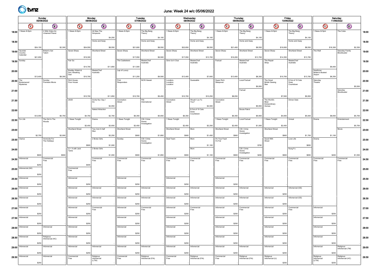

# June: Week 24 w/c 05/06/2022

|                  | Sunday<br>05/06/2022           |                                   |                               |            |                                  | Monday   | 06/06/2022                        |            |                      |            | Tuesday<br>07/06/2022                |            |                      |            | Wednesday<br>08/06/2022               |            |                              |          | Thursday<br>09/06/2022               |            |                                | Friday<br>10/06/2022 |                         |            |                                       | Saturday<br>11/06/2022 |                                |         |       |
|------------------|--------------------------------|-----------------------------------|-------------------------------|------------|----------------------------------|----------|-----------------------------------|------------|----------------------|------------|--------------------------------------|------------|----------------------|------------|---------------------------------------|------------|------------------------------|----------|--------------------------------------|------------|--------------------------------|----------------------|-------------------------|------------|---------------------------------------|------------------------|--------------------------------|---------|-------|
|                  | $\odot$<br>$\bigcirc$          |                                   |                               | $\bigcirc$ |                                  | $\odot$  |                                   | $\bigcirc$ |                      | $\bigcirc$ |                                      | $\bigcirc$ |                      | $\bigcirc$ |                                       | $\bigcirc$ |                              | $\odot$  |                                      | $\bigcirc$ |                                | $\odot$              |                         | $\bigcirc$ |                                       | $\odot$                |                                |         |       |
|                  | 18:00 <sup>1</sup> News At 6pm | 2 Wild: Eden-An<br>Untamed Planet |                               |            | 1 News At 6pm                    |          | All New The<br>Simpsons           |            | 1 News At 6pm        |            | The Big Bang<br>Theory               |            | 1 News At 6pm        |            | The Big Bang<br>Theory                |            | 1 News At 6pm                |          | The Big Bang<br>Theory               |            | 1 News At 6pm                  |                      | The Big Bang<br>Theory  |            | 1 News At 6pm                         |                        | The Cube                       |         | 18:00 |
| 18:30            |                                |                                   |                               |            |                                  |          | Home and Away                     | \$4,250    |                      |            | Home and Away                        | \$4,100    |                      |            | Home and Away                         | \$4,100    |                              |          | Home and Away                        | \$4,100    |                                |                      | Home and Away           | \$4,100    |                                       |                        |                                |         | 18:30 |
| 19:00 Hyundai    | Country                        | \$24,150                          | Britain's Got<br>Talent       | \$2,300    | Seven Sharp                      | \$24,550 | Shortland Street                  | \$8,550    | Seven Sharp          | \$21,600   | Shortland Street                     | \$8,550    | Seven Sharp          | \$22,650   | Shortland Street                      | \$8,550    | Seven Sharp                  | \$21,400 | Shortland Street                     | \$8,550    | Seven Sharp                    | \$19,000             | Shortland Street        | \$8,550    | The Wall                              | \$16,300               | Saturday Family<br>Blockbuster | \$2,350 | 19:00 |
| 19:30 Sunday     | Calendar                       | \$21,650                          |                               |            | Fair Go                          | \$19,300 |                                   |            | The Casketeers       | \$17,050   | MasterChef<br>Australia              | \$9,500    | Give Us A Clue       | \$17,050   | MasterChef<br>Australia               | \$13,700   | Factual                      | \$16,200 | MasterChef<br>Australia              | \$13,700   | The Repair<br>Shop             | \$14,350             | MasterChef<br>Australia | \$13,700   |                                       |                        |                                |         | 19:30 |
| 20:00            |                                |                                   |                               |            | Bradley Walsh &<br>Son: Breaking | \$14,700 | MasterChef<br>Australia           | \$11,850   | Lap of Luxury        | \$11,500   |                                      |            |                      |            |                                       |            |                              |          |                                      |            |                                |                      |                         |            | Heathrow:<br><b>Britain's Busiest</b> | \$9,400                |                                |         | 20:00 |
|                  | 20:30 The Brokenwood           | \$13,400                          | Sunday                        | \$8,300    | Dad<br>Rich House,               | \$10,700 |                                   |            | First                | \$11,250   | <b>NCIS Hawaii</b>                   | \$9,500    | Location             | \$13,400   | Guessable                             | \$7,600    | Super Rich                   | \$13,400 | Local Factual                        | \$8,300    | The Great                      | \$10,700             | 8 Out of 10 Cats        | \$13,700   | Airport<br>Saturday                   | \$6,350                |                                |         | 20:30 |
|                  | Mysteries                      |                                   | Premiere Movie                |            | Poor House                       |          |                                   |            | Responders           |            |                                      |            | Location<br>Location |            |                                       |            | Sleepover                    |          | Factual                              | \$9,950    | <b>British Sewing</b><br>Bee   |                      | Does<br>Countdown       |            | Theatre                               |                        | Saturday                       | \$5,500 |       |
| 21:00            |                                |                                   |                               |            | 20/20                            | \$10,700 |                                   | \$11,850   |                      | \$10,700   | FBI:                                 | \$9,450    |                      | \$10,700   | Would I Lie To                        | \$10,250   |                              | \$8,050  |                                      |            | The World's                    | \$7,500              |                         | \$9,950    |                                       |                        | Blockbuster                    |         | 21:00 |
| 21:30            |                                |                                   |                               |            |                                  |          | Aroha Nui: Say I<br>Do            | \$4,950    | Coronation<br>Street |            | International                        |            | Coronation<br>Street |            | You?                                  | \$4,500    | Coronation<br>Street         |          |                                      | \$9,950    | Most<br>Extraordinary<br>Homes |                      | Dinner Date             |            |                                       |                        |                                |         | 21:30 |
| 22:00            |                                | \$12,050                          |                               | \$6,750    |                                  | \$4,750  | Naked Attraction                  | \$2,700    |                      | \$6,350    |                                      | \$5,650    |                      | \$6,350    | 8 Out of 10 Cats<br>Does<br>Countdown |            |                              | \$6,350  | Booze Patrol                         | \$9,950    |                                | \$4,000              |                         | \$5,000    |                                       | \$8,050                |                                | \$5,750 | 22:00 |
| 22:30   For Life |                                |                                   | The Girl In The<br>Woods      |            | 1 News Tonight                   | \$2,450  | Drama                             | \$2,650    | 1 News Tonight       | \$2,450    | CSI: Crime<br>Scene<br>nvestigation  |            | 1 News Tonight       | \$2,450    |                                       | \$2,250    | 1 News Tonight               | \$2,450  | Local Factual                        | \$1,000    | 1 News Tonight                 | \$2,450              | Unreal                  |            | Drama                                 |                        | Entertainment                  | \$5,750 | 22:30 |
| 23:00            |                                | \$2,750                           |                               | \$2,000    | Shortland Street                 |          | Two And A Half                    | \$2,250    | Shortland Street     | \$900      |                                      | \$1,850    | Shortland Street     | \$900      | Mom                                   | \$1,450    | Shortland Street             | \$900    | CSI: Crime<br>Scene<br>Investigation |            | Shortland Street               | \$900                |                         | \$1,700    |                                       | \$1,100                | Movie                          |         | 23:00 |
| 23:30 Clarice    |                                |                                   | Homicide For<br>The Holidays  |            |                                  | \$900    | 2 Broke Girls                     |            | Sunday               |            | CSI: Crime<br>Scene<br>Investigation |            | Seal Team            |            | Mom                                   | \$1,100    | It's Your Fault<br>I I'm Fat |          |                                      | \$700      | Good With<br>Wood              |                      | Love Life               | \$650      | Drama                                 |                        |                                |         | 23:30 |
| 24:00            |                                |                                   |                               |            | Q + A with Jack<br>Tame          |          | 2 Broke Girls                     | \$1,000    |                      |            |                                      |            |                      |            | Mom                                   |            |                              |          | CSI: Crime<br>Scene<br>nvestigation  |            |                                |                      | Kung Fu                 |            |                                       |                        |                                |         | 24:00 |
|                  | 24:30 Informercial             | \$600                             | Commercial<br>Free            | \$900      |                                  |          | Commercial<br>Free                | \$1,000    | Commercial<br>Free   | \$900      | Commercial<br>Free                   | \$1,850    | Commercial<br>Free   | \$900      | Commercial<br>Free                    | \$1,100    | Commercial<br>Free           | \$900    | Commercial<br>Free                   | \$450      | Commercial<br>Free             | \$900                | Commercial<br>Free      | \$650      | Commercial<br>Free                    | \$450                  | Commercial<br>Free             | \$1,550 | 24:30 |
|                  | 25:00 Infomercial (AH)         | \$250                             |                               |            | Commercial<br>Free               | \$400    |                                   |            |                      |            |                                      |            |                      |            |                                       |            |                              |          |                                      |            |                                |                      |                         |            |                                       |                        |                                |         | 25:00 |
|                  | 25:30   Infomercial            | \$250                             |                               |            | Infomercial                      |          |                                   |            | Infomercial          |            |                                      |            | Infomercial          |            |                                       |            | Infomercial                  |          |                                      |            |                                |                      |                         |            |                                       |                        |                                |         | 25:30 |
|                  | 26:00   Infomercial            | \$250                             |                               |            | Infomercial                      | \$250    | Infomercial                       |            | Infomercial          | \$250      | nfomercial                           |            | Infomercial          | \$250      | Infomercial                           |            | Infomercial                  | \$250    | Infomercial                          |            | Infomercial                    |                      | Infomercial (GS)        |            |                                       |                        |                                |         | 26:00 |
|                  | 26:30   Informercial           | \$250                             |                               |            | Infomercial                      | \$250    | Infomercial                       |            | Infomercial          | \$250      | nfomercial                           |            | Infomercial          | \$250      | Infomercial                           |            | Infomercial                  | \$250    | nfomercial                           |            | Infomercial                    | \$250                | Infomercial (GS)        |            |                                       |                        |                                |         | 26:30 |
|                  | 27:00   Informercial           | \$250                             |                               |            | Infomercial                      | \$250    | Commercial                        |            | Infomercial          | \$250      | Commercial                           |            | Infomercial          | \$250      | Commercial                            |            | Infomercial                  | \$250    | Commercial                           |            | Infomercial                    | \$250                | Commercial              |            | Infomercial                           |                        |                                |         | 27:00 |
|                  | 27:30   Informercial           | \$250                             |                               |            | Infomercial                      | \$250    | Free                              |            | Infomercial          | \$250      | Free                                 |            | Infomercial          | \$250      | Free                                  |            | Infomercial                  | \$250    | Free                                 |            | Infomercial                    | \$250                | Free                    |            | Infomercial                           | \$250                  |                                |         | 27:30 |
|                  | $28:00$ Infomercial            | \$250                             | Infomercial                   |            | Infomercial                      | \$250    |                                   |            | Infomercial          | \$250      |                                      |            | Infomercial          | \$250      |                                       |            | Infomercial                  | \$250    |                                      |            | Infomercial                    | \$250                |                         |            | Infomercial                           | \$250                  |                                |         |       |
|                  |                                | \$250                             |                               |            | Infomercial                      | \$250    |                                   |            | Infomercial          | \$250      |                                      |            | Infomercial          | \$250      |                                       |            | Infomercial                  | \$250    |                                      |            | Infomercial                    | \$250                |                         |            | Infomercial                           | \$250                  |                                |         | 28:00 |
|                  | 28:30 Infomercial              | \$250                             | Religious<br>Infomercial (HC) |            |                                  | \$250    |                                   |            |                      | \$250      |                                      |            |                      | \$250      |                                       |            |                              | \$250    |                                      |            |                                | \$250                |                         |            |                                       | \$250                  |                                |         | 28:30 |
|                  | 29:00   Infomercial            | \$250                             | Infomercial                   |            | Infomercial                      | \$250    | Infomercial                       |            | Infomercial          | \$250      | Infomercial                          |            | Infomercial          | \$250      | Infomercial                           |            | Infomercial                  | \$250    | Infomercial                          |            | Infomercial                    | \$250                |                         |            | Infomercial                           | \$250                  | Religious<br>Infomercial (TM)  |         | 29:00 |
|                  | 29:30   Informercial           | \$250                             | Infomercial                   |            | Commercial<br>Free               |          | Religious<br>Infomercial<br>(LTW) |            | Commercial<br>Free   |            | Religious<br>Infomercial (FIA)       |            | Commercial<br>Free   |            | Religious<br>Infomercial (FIA)        |            | Commercial<br>Free           |          | Religious<br>Infomercial (FIA)       |            | Religious<br>Infomercial (IJ)  | \$250                |                         |            | Religious<br>Infomercial<br>(LTW)     | \$250                  | Religious<br>Infomercial (HC)  |         | 29:30 |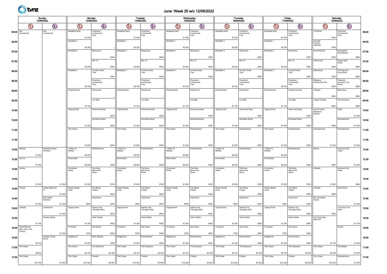# June: Week 25 w/c 12/06/2022

| Sunday<br>12/06/2022             |                                                   |          |                               |                        |          | Monday<br>13/06/2022            |         |                        | Tuesday  | 14/06/2022                      |         |                        | Wednesday<br>15/06/2022 |                                 |         |                        | <b>Thursday</b> | 16/06/2022                      |         |                        | Friday<br>17/06/2022 |                                 |         |                                     |          | Saturday<br>18/06/2022             |         |       |
|----------------------------------|---------------------------------------------------|----------|-------------------------------|------------------------|----------|---------------------------------|---------|------------------------|----------|---------------------------------|---------|------------------------|-------------------------|---------------------------------|---------|------------------------|-----------------|---------------------------------|---------|------------------------|----------------------|---------------------------------|---------|-------------------------------------|----------|------------------------------------|---------|-------|
|                                  | $\bm{\mathsf{O}}$                                 |          | $\bigcirc$                    | $\bm{\mathsf{O}}$      |          | $\circledcirc$                  |         | $\bm{\mathsf{O}}$      |          | $\odot$                         |         | $\bullet$              |                         | $\odot$                         |         | $\bm{\mathsf{O}}$      |                 | $\odot$                         |         | $\bullet$              |                      | $\odot$                         |         | $\bigcirc$                          |          | $\odot$                            |         |       |
| $06:00$ $\sqrt{\frac{Non}{Con}}$ | Commercial                                        |          | Non<br>Commercial             | <b>Breakfast Early</b> | \$1,450  | Preschool<br>Commercial<br>Free |         | <b>Breakfast Early</b> | \$1,450  | Preschool<br>Commercial<br>Free |         | <b>Breakfast Early</b> | \$1,450                 | Preschool<br>Commercial<br>Free |         | <b>Breakfast Early</b> | \$1,450         | Preschool<br>Commercial<br>Free |         | <b>Breakfast Early</b> | \$1,450              | Preschool<br>Commercial<br>Free |         | Te Karere                           | \$350    | Preschool<br>Commercial<br>Free    |         | 06:00 |
| 06:30                            |                                                   |          |                               | Breakfast 1            | \$2,350  |                                 |         | Breakfast 1            | \$2,350  |                                 |         | Breakfast 1            | \$2,350                 |                                 |         | Breakfast 1            | \$2,350         |                                 |         | Breakfast 1            | \$2,350              |                                 |         | Hyundai<br>Country<br>Calendar      | \$350    |                                    |         | 06:30 |
| 07:00                            |                                                   |          |                               | Breakfast 2            |          | Miraculous                      |         | Breakfast 2            |          | Miraculous                      |         | Breakfast 2            |                         | Miraculous                      |         | Breakfast 2            |                 | Miraculous                      |         | Breakfast 2            |                      | Miraculous                      |         | Rural Delivery                      |          | Spongebob<br>Squarepants           |         | 07:00 |
|                                  |                                                   |          |                               |                        |          |                                 | \$350   |                        |          |                                 | \$350   |                        |                         |                                 | \$350   |                        |                 |                                 | \$350   |                        |                      |                                 | \$350   |                                     | \$350    |                                    | \$800   |       |
| 07:30                            |                                                   |          |                               |                        |          | Ben 10                          |         |                        |          | Ben 10                          |         |                        |                         | Ben 10                          |         |                        |                 | Ben 10                          |         |                        |                      | Ben 10                          |         | Infomercial                         |          | Dragon Ball<br>Super               |         | 07:30 |
| 08:00                            |                                                   |          |                               | Breakfast 3            | \$3,450  | Croods Family                   | \$350   | Breakfast 3            | \$3,450  | Croods Family                   | \$350   | Breakfast 3            | \$3,450                 | Croods Family                   | \$350   | Breakfast 3            | \$3,450         | Croods Family                   | \$350   | Breakfast 3            | \$3,450              | Croods Family                   | \$350   | Infomercial                         | \$250    | The Dog and                        | \$800   | 08:00 |
|                                  |                                                   |          |                               |                        |          | Tree                            | \$350   |                        |          | Tree                            | \$350   |                        |                         | Tree                            | \$350   |                        |                 | Tree                            | \$350   |                        |                      | Tree                            | \$350   |                                     | \$250    | Pony Show                          | \$800   |       |
| 08:30                            |                                                   |          |                               |                        |          | Preschool<br>Commercial<br>Free |         |                        |          | Preschool<br>Commercial<br>Free |         |                        |                         | Preschool<br>Commercial<br>Free |         |                        |                 | Preschool<br>Commercial<br>Free |         |                        |                      | Preschool<br>Commercia<br>Free  |         | Religious<br>Infomercial (FIA)      |          | Pokemon<br>Journeys: The<br>Series |         | 08:30 |
| 09:00                            |                                                   |          |                               | Entertainment          | \$2,750  | Infomercial                     |         | Entertainment          | \$2,750  | Infomercial                     |         | Entertainment          | \$2,750                 | Infomercial                     |         | Entertainment          | \$2,750         | Infomercial                     |         | Entertainment          | \$2,750              | Infomercial (GS)                |         | Lifestyle                           | \$250    | Miraculous                         | \$800   | 09:00 |
|                                  |                                                   |          |                               |                        |          |                                 |         |                        |          |                                 |         |                        |                         |                                 |         |                        |                 |                                 |         |                        |                      |                                 |         |                                     | \$650    |                                    | \$800   |       |
| 09:30                            |                                                   |          |                               |                        |          | Les Mills                       |         |                        |          | Les Mills                       |         |                        |                         | Les Mills                       |         |                        |                 | Les Mills                       |         |                        |                      | Les Mills                       |         | Tagata Pasifika                     |          | The Simpsons                       |         | 09:30 |
|                                  |                                                   |          |                               |                        | \$1,150  |                                 |         |                        | \$1,150  |                                 |         |                        | \$1,150                 |                                 |         |                        | \$1,150         |                                 |         |                        | \$1,150              |                                 |         |                                     | \$650    |                                    | \$900   |       |
| 10:00                            |                                                   |          |                               | <b>Tipping Point</b>   |          | Home and Away                   |         | <b>Tipping Point</b>   |          | Home and Away                   |         | <b>Tipping Point</b>   |                         | Home and Away                   |         | <b>Tipping Point</b>   |                 | Home and Away                   |         | <b>Tipping Point</b>   |                      | Home and Away                   |         | John & Lisa's<br>Weekend<br>Kitchen |          | Fresh                              |         | 10:00 |
| 10:30                            |                                                   |          |                               |                        |          | <b>Shortland Street</b>         | \$250   |                        |          | Shortland Street                | \$250   |                        |                         | Shortland Street                | \$250   |                        |                 | Shortland Street                | \$250   |                        |                      | Shortland Street                | \$250   |                                     |          | Entertainment                      | \$1,500 | 10:30 |
|                                  |                                                   |          |                               |                        | \$1,400  |                                 | \$250   |                        | \$1,400  |                                 | \$250   |                        | \$1,400                 |                                 | \$250   |                        | \$1,400         |                                 | \$250   |                        | \$1,400              |                                 | \$250   |                                     | \$900    |                                    | \$1,000 |       |
| 11:00                            |                                                   |          |                               | The Chase              |          | Entertainment                   |         | The Chase              |          | Entertainment                   |         | The Chase              |                         | Entertainment                   |         | The Chase              |                 | Entertainment                   |         | The Chase              |                      | Entertainment                   |         | Entertainment                       |          | Entertainment                      |         | 11:00 |
| 11:30                            |                                                   |          |                               |                        |          |                                 |         |                        |          |                                 |         |                        |                         |                                 |         |                        |                 |                                 |         |                        |                      |                                 |         |                                     |          |                                    |         | 11:30 |
|                                  |                                                   |          |                               |                        | \$1,600  |                                 | \$250   |                        | \$1,600  |                                 | \$250   |                        | \$1,600                 |                                 | \$250   |                        | \$1,600         |                                 | \$250   |                        | \$1,600              |                                 | \$250   |                                     | \$1,000  |                                    | \$1,000 |       |
| 12:00                            | Attitude                                          |          | Shortland Street<br>Omnibus   | 1 News At<br>Midday    |          | Entertainment                   |         | 1 News At<br>Midday    |          | Entertainment                   |         | 1 News At<br>Midday    |                         | Entertainment                   |         | 1 News At<br>Midday    |                 | Entertainment                   |         | 1 News At<br>Midday    |                      | Entertainment                   |         | Drama                               |          | America's Got<br>Talent            |         | 12:00 |
|                                  |                                                   | \$1,250  |                               |                        | \$2,450  |                                 |         |                        | \$2,450  |                                 |         |                        | \$2,450                 |                                 |         |                        | \$2,450         |                                 |         |                        | \$2,450              |                                 |         |                                     |          |                                    |         |       |
| 12:30                            | Fair Go                                           |          |                               | Emmerdale              |          |                                 |         | Emmerdale              |          |                                 |         | Emmerdale              |                         |                                 |         | Emmerdale              |                 |                                 |         | Emmerdale              |                      |                                 |         |                                     |          |                                    |         | 12:30 |
| 13:00                            | Sunday                                            | \$1,050  |                               | Coronation<br>Street   | \$2,200  | The Drew                        | \$400   | Coronation<br>Street   | \$2,200  | The Drew                        | \$400   | Coronation<br>Street   | \$2,200                 | The Drew                        | \$400   | Coronation<br>Street   | \$2,200         | The Drew                        | \$400   | Coronation<br>Street   | \$2,200              | The Drew                        | \$400   | Lifestyle                           | \$900    | America's Got<br>Talent            | \$1,050 | 13:00 |
|                                  |                                                   |          |                               |                        |          | Barrymore<br>Show               |         |                        |          | Barrymore<br>Show               |         |                        |                         | Barrymore<br>Show               |         |                        |                 | Barrymore<br>Show               |         |                        |                      | Barrymore<br>Show               |         |                                     |          |                                    |         |       |
| 13:30                            |                                                   |          |                               |                        |          |                                 |         |                        |          |                                 |         |                        |                         |                                 |         |                        |                 |                                 |         |                        |                      |                                 |         |                                     |          |                                    |         | 13:30 |
| 14:00                            | Factual                                           | \$1,400  | \$1,050<br>United States Of   | Ready Steady           | \$1,050  | The Mindy                       | \$700   | Ready Steady           | \$1,050  | The Mindy                       | \$700   | Ready Steady           | \$1,050                 | The Mindy                       | \$700   | Ready Steady           | \$1,050         | The Mindy                       | \$700   | Ready Steady           | \$1,050              | The Mindy                       | \$700   | Lifestyle                           | \$1,000  | Good Witch                         | \$900   | 14:00 |
|                                  |                                                   |          | \$1,050                       | Cook                   |          | Project                         | \$500   | Cook                   |          | Project                         | \$500   | Cook                   |                         | Project                         | \$500   | Cook                   |                 | Project                         | \$500   | Cook                   |                      | Project                         | \$500   |                                     | \$950    |                                    |         |       |
| 14:30                            |                                                   |          | <b>Bob Hearts</b><br>Abishola |                        |          | Superstore                      |         |                        |          | Superstore                      |         |                        |                         | Superstore                      |         |                        |                 | Superstore                      |         |                        |                      | Superstore                      |         | My Impossible<br>House              |          |                                    |         | 14:30 |
|                                  |                                                   | \$1,600  | \$1,250                       |                        | \$600    |                                 | \$450   |                        | \$600    |                                 | \$450   |                        | \$600                   |                                 | \$450   |                        | \$600           |                                 | \$450   |                        | \$600                |                                 | \$450   |                                     |          |                                    | \$1,000 |       |
| 15:00                            | Lifestyle                                         |          | Call Me Kat                   | <b>Tipping Point</b>   |          | Sabrina The<br>Teenage Witch    |         | <b>Tipping Point</b>   |          | Sabrina The<br>Teenage Witch    |         | <b>Tipping Point</b>   |                         | Sabrina The<br>Teenage Witch    |         | <b>Tipping Point</b>   |                 | Sabrina The<br>Teenage Witch    |         | <b>Tipping Point</b>   |                      | Sabrina The<br>Teenage Witch    |         |                                     |          | I Can See Your<br>Voice            |         | 15:00 |
| 15:30                            |                                                   |          | \$1,250<br>Fantasy Island     |                        |          | <b>Holly Hobbie</b>             | \$650   |                        |          | <b>Holly Hobbie</b>             | \$650   |                        |                         | <b>Holly Hobbie</b>             | \$650   |                        |                 | <b>Holly Hobbie</b>             | \$650   |                        |                      | <b>Holly Hobbie</b>             | \$650   | The Great Kiwi<br>Bake Off          | \$950    |                                    |         | 15:30 |
|                                  |                                                   | \$1,750  |                               |                        | \$1,350  |                                 | \$400   |                        | \$1,350  |                                 | \$400   |                        | \$1,350                 |                                 | \$400   |                        | \$1,350         |                                 | \$400   |                        | \$1,350              |                                 | \$400   |                                     |          |                                    | \$1,150 |       |
|                                  | 16:00 Sarah Beeny's<br>New Life In The<br>Country |          |                               | Te Karere              |          | Get Clever                      |         | Te Karere              |          | Get Clever                      |         | Te Karere              |                         | Get Clever                      |         | Te Karere              |                 | Get Clever                      |         | Te Karere              |                      | Get Clever                      |         |                                     |          | Drama                              |         | 16:00 |
| 16:30                            |                                                   |          | \$1,250<br>Sunday Family      | Neighbours             | \$750    | <b>Brain Busters</b>            | \$400   | Neighbours             | \$750    | <b>Brain Busters</b>            | \$400   | Neighbours             | \$750                   | <b>Brain Busters</b>            | \$400   | Neighbours             | \$750           | <b>Brain Busters</b>            | \$400   | Neighbours             | \$750                | <b>Brain Busters</b>            | \$400   |                                     |          |                                    |         | 16:30 |
|                                  |                                                   | \$2,150  | Movie                         |                        | \$1,200  |                                 | \$400   |                        | \$1,200  |                                 | \$400   |                        | \$1,200                 |                                 | \$400   |                        | \$1,200         |                                 | \$400   |                        | \$1,200              |                                 | \$400   |                                     | \$1,750  |                                    | \$1,500 |       |
|                                  | $17:00$ The Chase                                 |          |                               | The Chase              |          | The Simpsons                    |         | The Chase              |          | The Simpsons                    |         | The Chase              |                         | The Simpsons                    |         | The Chase              |                 | The Simpsons                    |         | The Chase              |                      | The Simpsons                    |         | The Chase                           |          | The Middle                         |         | 17:00 |
|                                  |                                                   | \$6,950  |                               |                        | \$5,100  |                                 | \$2,350 |                        | \$5,100  |                                 | \$2,350 |                        | \$5,100                 |                                 | \$2,350 |                        | \$5,100         |                                 | \$2,350 |                        | \$5,100              |                                 | \$2,350 |                                     | \$4,450  |                                    | \$1,500 |       |
|                                  | 17:30 The Chase                                   |          |                               | The Chase              |          | Friends                         |         | The Chase              |          | Friends                         |         | The Chase              |                         | Friends                         |         | The Chase              |                 | Friends                         |         | The Chase              |                      | Friends                         |         | The Chase                           |          | Entertainment                      |         | 17:30 |
|                                  |                                                   | \$14,100 | \$1,650                       |                        | \$12,350 |                                 | \$3,050 |                        | \$12,350 |                                 | \$3,050 |                        | \$12,350                |                                 | \$3,050 |                        | \$12,350        |                                 | \$3,050 |                        | \$12,350             |                                 | \$3,050 |                                     | \$10,300 |                                    | \$1,500 |       |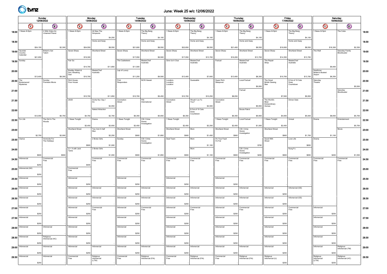

# June: Week 25 w/c 12/06/2022

|                  |                                        | Sunday<br>12/06/2022              |                                |            | Monday<br>13/06/2022      |            |                               |                         | Tuesday<br>14/06/2022 |                                |            |                                    | Wednesday<br>15/06/2022 |                                |            |                         | Thursday<br>16/06/2022 |                                      |                   | Friday<br>17/06/2022                      |          |                                       |            | Saturday<br>18/06/2022              |          |                                |         |       |
|------------------|----------------------------------------|-----------------------------------|--------------------------------|------------|---------------------------|------------|-------------------------------|-------------------------|-----------------------|--------------------------------|------------|------------------------------------|-------------------------|--------------------------------|------------|-------------------------|------------------------|--------------------------------------|-------------------|-------------------------------------------|----------|---------------------------------------|------------|-------------------------------------|----------|--------------------------------|---------|-------|
|                  | $\bm{\bm{\circ}}$<br>$\bm{\mathsf{O}}$ |                                   |                                | $\bigcirc$ |                           | $\bigcirc$ | $\bigcirc$                    |                         | $\bigcirc$            |                                | $\bigcirc$ |                                    | $\odot$                 |                                | $\bigcirc$ |                         | $\bigcirc$             |                                      | $\bm{\mathsf{O}}$ |                                           | $\odot$  |                                       | $\bigcirc$ |                                     | $\odot$  |                                |         |       |
|                  | 18:00 <sup>1</sup> News At 6pm         | 2 Wild: Eden-An<br>Untamed Planet |                                |            | 1 News At 6pm             |            | All New The<br>Simpsons       | 1 News At 6pm           |                       | The Big Bang<br>Theory         |            | 1 News At 6pm                      |                         | The Big Bang<br>Theory         |            | 1 News At 6pm           |                        | The Big Bang<br>Theory               |                   | 1 News At 6pm                             |          | The Big Bang<br>Theory                |            | 1 News At 6pm                       |          | The Cube                       |         | 18:00 |
| 18:30            |                                        |                                   |                                |            |                           |            | \$4,250<br>Home and Away      |                         |                       | Home and Away                  | \$4,100    |                                    |                         | Home and Away                  | \$4,100    |                         |                        | Home and Away                        | \$4,100           |                                           |          | Home and Away                         | \$4,100    |                                     |          |                                |         | 18:30 |
|                  |                                        | \$24,150                          |                                | \$2,300    |                           | \$24,550   | \$8,550                       |                         | \$21,600              |                                | \$8,550    |                                    | \$22,650                |                                | \$8,550    |                         | \$21,400               |                                      | \$8,550           |                                           | \$19,000 |                                       | \$8,550    |                                     | \$16,300 |                                | \$2,350 |       |
|                  | 19:00 Nyundai<br>Country<br>Calendar   | \$21,650                          | <b>Britain's Got</b><br>Talent |            | Seven Sharp               | \$19,300   | Shortland Street              | Seven Sharp             | \$17,050              | Shortland Street               | \$9,500    | Seven Sharp                        | \$17,050                | Shortland Street               | \$13,700   | Seven Sharp             | \$16,200               | Shortland Street                     | \$13,700          | Seven Sharp                               | \$14,350 | Shortland Street                      | \$13,700   | The Wall                            |          | Saturday Family<br>Blockbuster |         | 19:00 |
| 19:30            | Sunday                                 |                                   |                                |            | Fair Go                   |            |                               | The Casketeers          |                       | MasterChef<br>Australia        |            | Give Us A Clue                     |                         | MasterChef<br>Australia        |            | Factual                 |                        | MasterChef<br>Australia              |                   | The Repair<br>Shop                        |          | MasterChef<br>Australia               |            |                                     |          |                                |         | 19:30 |
|                  |                                        |                                   |                                |            | Bradley Walsh &           | \$14,700   | \$11,850<br>MasterChef        | Lap of Luxury           | \$11,500              |                                |            |                                    |                         |                                |            |                         |                        |                                      |                   |                                           |          |                                       |            | Heathrow:                           | \$9,400  |                                |         |       |
| 20:00            |                                        | \$13,400                          |                                | \$8,300    | Son: Breaking<br>Dad      | \$10,700   | Australia                     |                         | \$11,250              |                                | \$9,500    |                                    | \$13,400                |                                | \$7,600    |                         | \$13,400               |                                      | \$8,300           |                                           | \$10,700 |                                       | \$13,700   | <b>Britain's Busiest</b><br>Airport | \$6,350  |                                |         | 20:00 |
| $20:30$ The      | Brokenwood<br>Mysteries                |                                   | Sunday<br>Premiere Movie       |            | Rich House.<br>Poor House |            |                               | First<br>Responders     |                       | <b>NCIS Hawaii</b>             |            | Location.<br>Location.<br>Location |                         | Guessable                      |            | Super Rich<br>Sleepover |                        | Local Factual                        |                   | The Great<br><b>British Sewing</b><br>Bee |          | 8 Out of 10 Cats<br>Does<br>Countdown |            | Saturday<br>Theatre <sup>®</sup>    |          |                                |         | 20:30 |
| 21:00            |                                        |                                   |                                |            |                           |            |                               |                         |                       |                                |            |                                    |                         |                                |            |                         |                        | Factual                              | \$9,950           |                                           |          |                                       |            |                                     |          | Saturday                       | \$5,500 | 21:00 |
|                  |                                        |                                   |                                |            |                           | \$10,700   | \$11,850                      |                         | \$10,700              |                                | \$9,450    |                                    | \$10,700                |                                | \$10,250   |                         | \$8,050                |                                      |                   |                                           | \$7,500  |                                       | \$9,950    |                                     |          | Blockbuster                    |         |       |
| 21:30            |                                        |                                   |                                |            | 20/20                     |            | Aroha Nui: Say I              | Coronation<br>Street    |                       | FBI:<br>International          |            | Coronation<br>Street               |                         | Would I Lie To<br>You?         |            | Coronation<br>Street    |                        |                                      |                   | The World's<br>Most<br>Extraordinary      |          | Dinner Date                           |            |                                     |          |                                |         | 21:30 |
| 22:00            |                                        |                                   |                                |            |                           |            | \$4,950<br>Naked Attraction   |                         |                       |                                |            |                                    |                         | 8 Out of 10 Cats<br>Does       | \$4,500    |                         |                        | Booze Patrol                         | \$9,950           | Homes                                     |          |                                       |            |                                     |          |                                |         | 22:00 |
| 22:30   For Life |                                        | \$12,050                          | The Girl In The                | \$6,750    | 1 News Tonight            | \$4,750    | \$2,700<br>Drama              | 1 News Tonight          | \$6,350               | CSI: Crime                     | \$5,650    | 1 News Tonight                     | \$6,350                 | Countdown                      |            | 1 News Tonight          | \$6,350                | Local Factual                        | \$9,950           | 1 News Tonight                            | \$4,000  | Unreal                                | \$5,000    | Drama                               | \$8,050  | Entertainment                  | \$5,750 |       |
|                  |                                        |                                   | Woods                          |            |                           | \$2,450    | \$2,650                       |                         | \$2,450               | Scene<br>nvestigation          |            |                                    | \$2,450                 |                                | \$2,250    |                         | \$2,450                |                                      | \$1,000           |                                           | \$2,450  |                                       |            |                                     |          |                                | \$5,750 | 22:30 |
| 23:00            |                                        |                                   |                                |            | <b>Shortland Street</b>   |            | Two And A Half                | <b>Shortland Street</b> |                       |                                |            | Shortland Street                   |                         | Mom                            |            | Shortland Street        |                        | CSI: Crime<br>Scene<br>Investigation |                   | Shortland Street                          |          |                                       |            |                                     |          | Movie                          |         | 23:00 |
| 23:30            | Clarice                                | \$2,750                           | Homicide For                   | \$2,000    |                           |            | \$2,250<br>2 Broke Girls      | Sunday                  | \$900                 | CSI: Crime                     | \$1,850    | Seal Team                          | \$900                   | Mom                            | \$1,450    | It's Your Fault         | \$900                  |                                      |                   | Good With                                 | \$900    | Love Life                             | \$1,700    | Drama                               | \$1,100  |                                |         | 23:30 |
|                  |                                        |                                   | The Holidays                   |            |                           | \$900      | \$1,000                       |                         |                       | Scene<br>Investigation         |            |                                    |                         |                                | \$1,100    | I'm Fat                 |                        |                                      | \$700             | Wood                                      |          |                                       | \$650      |                                     |          |                                |         |       |
| 24:00            |                                        |                                   |                                |            | Q + A with Jack<br>Tame   |            | 2 Broke Girls                 |                         |                       |                                |            |                                    |                         | Mom                            |            |                         |                        | CSI: Crime<br>Scene<br>Investigation |                   |                                           |          | Kung Fu                               |            |                                     |          |                                |         | 24:00 |
| 24:30            | Infomercial                            | \$600                             | Commercial<br>Free             | \$900      |                           |            | \$1,000<br>Commercial<br>Free | Commercial<br>Free      | \$900                 | Commercial<br>Free             | \$1,850    | Commercial<br>Free                 | \$900                   | Commercial<br>Free             | \$1,100    | Commercial<br>Free      | \$900                  | Commercial<br>Free                   | \$450             | Commercial<br>Free                        | \$900    | Commercial<br>Free                    | \$650      | Commercial<br>Free                  | \$450    | Commercial<br>Free             | \$1,550 | 24:30 |
|                  | Infomercial (AH)                       | \$250                             |                                |            | Commercial                | \$400      |                               |                         |                       |                                |            |                                    |                         |                                |            |                         |                        |                                      |                   |                                           |          |                                       |            |                                     |          |                                |         |       |
| 25:00            |                                        | \$250                             |                                |            | Free                      |            |                               |                         |                       |                                |            |                                    |                         |                                |            |                         |                        |                                      |                   |                                           |          |                                       |            |                                     |          |                                |         | 25:00 |
| 25:30            | Infomercial                            |                                   |                                |            | Infomercial               |            |                               | Infomercial             |                       |                                |            | Infomercial                        |                         |                                |            | Infomercial             |                        |                                      |                   |                                           |          |                                       |            |                                     |          |                                |         | 25:30 |
|                  | 26:00   Infomercial                    | \$250                             |                                |            | Infomercial               | \$250      | Infomercial                   | Infomercial             | \$250                 | Infomercial                    |            | Infomercial                        | \$250                   | Infomercial                    |            | Infomercial             | \$250                  | Infomercial                          |                   | Infomercial                               |          | Infomercial (GS)                      |            |                                     |          |                                |         | 26:00 |
|                  |                                        | \$250                             |                                |            |                           | \$250      |                               |                         | \$250                 |                                |            |                                    | \$250                   |                                |            |                         | \$250                  |                                      |                   |                                           | \$250    |                                       |            |                                     |          |                                |         |       |
| 26:30            | Infomercial                            | \$250                             |                                |            | Infomercial               | \$250      | Infomercial                   | Infomercial             | \$250                 | Infomercial                    |            | Infomercial                        | \$250                   | Infomercial                    |            | Infomercial             | \$250                  | Infomercial                          |                   | Infomercial                               | \$250    | Infomercial (GS)                      |            |                                     |          |                                |         | 26:30 |
|                  | 27:00 Informercial                     |                                   |                                |            | Infomercial               |            | Commercial<br>Free            | Infomercial             |                       | Commercial<br>Free             |            | Infomercial                        |                         | Commercial<br>Free             |            | Infomercial             |                        | Commercial<br>Free                   |                   | Infomercial                               |          | Commercial<br>Free                    |            | Infomercial                         |          |                                |         | 27:00 |
| 27:30            | Infomercial                            | \$250                             |                                |            | Infomercial               | \$250      |                               | Infomercial             | \$250                 |                                |            | Infomercial                        | \$250                   |                                |            | Infomercial             | \$250                  |                                      |                   | Infomercial                               | \$250    |                                       |            | Infomercial                         | \$250    |                                |         | 27:30 |
|                  |                                        | \$250                             |                                |            |                           | \$250      |                               |                         | \$250                 |                                |            |                                    | \$250                   |                                |            |                         | \$250                  |                                      |                   |                                           | \$250    |                                       |            |                                     | \$250    |                                |         |       |
|                  | $28:00$   Informercial                 |                                   | Infomercial                    |            | Infomercial               |            |                               | Infomercial             |                       |                                |            | Infomercial                        |                         |                                |            | Infomercial             |                        |                                      |                   | Infomercial                               |          |                                       |            | Infomercial                         |          |                                |         | 28:00 |
| 28:30            | Infomercial                            | \$250                             | Religious<br>Infomercial (HC)  |            | Infomercial               | \$250      |                               | Infomercial             | \$250                 |                                |            | Infomercial                        | \$250                   |                                |            | Infomercial             | \$250                  |                                      |                   | Infomercial                               | \$250    |                                       |            | Infomercial                         | \$250    |                                |         | 28:30 |
|                  |                                        | \$250                             |                                |            |                           | \$250      |                               |                         | \$250                 |                                |            |                                    | \$250                   |                                |            |                         | \$250                  |                                      |                   |                                           | \$250    |                                       |            |                                     | \$250    |                                |         |       |
|                  | 29:00   Infomercial                    |                                   | Infomercial                    |            | Infomercial               |            | Infomercial                   | Infomercial             |                       | Infomercial                    |            | Infomercial                        |                         | Infomercial                    |            | Infomercial             |                        | Infomercial                          |                   | Infomercial                               |          |                                       |            | Infomercial                         |          | Religious<br>Infomercial (TM)  |         | 29:00 |
|                  | 29:30 Infomercial                      | \$250                             | Infomercial                    |            | Commercial<br>Free        | \$250      | Religious<br>Infomercial      | Commercial<br>Free      | \$250                 | Religious<br>Infomercial (FIA) |            | Commercial<br>Free                 | \$250                   | Religious<br>Infomercial (FIA) |            | Commercial<br>Free      | \$250                  | Religious<br>Infomercial (FIA)       |                   | Religious<br>Infomercial (IJ)             | \$250    |                                       |            | Religious<br>Infomercial<br>(LTW)   | \$250    | Religious<br>Infomercial (HC)  |         | 29:30 |
|                  |                                        | \$250                             |                                |            |                           |            | (LTW)                         |                         |                       |                                |            |                                    |                         |                                |            |                         |                        |                                      |                   |                                           | \$250    |                                       |            |                                     | \$250    |                                |         |       |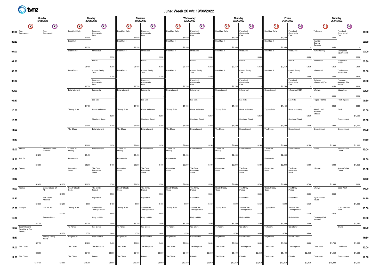# June: Week 26 w/c 19/06/2022

|                                  | Sunday<br>19/06/2022           |          |                                          |                        |                   | Monday<br>20/06/2022            |         |                        | Tuesday<br>21/06/2022 |                                 |         |                        | Wednesday<br>22/06/2022 |                                 |         |                        |          | Thursday<br>23/06/2022          |         |                        | Friday<br>24/06/2022 |                                 |         |                                     | Saturday<br>25/06/2022 |                                    |         |       |
|----------------------------------|--------------------------------|----------|------------------------------------------|------------------------|-------------------|---------------------------------|---------|------------------------|-----------------------|---------------------------------|---------|------------------------|-------------------------|---------------------------------|---------|------------------------|----------|---------------------------------|---------|------------------------|----------------------|---------------------------------|---------|-------------------------------------|------------------------|------------------------------------|---------|-------|
|                                  | $\bm{\mathsf{O}}$              | $\odot$  |                                          |                        | $\bm{\mathsf{O}}$ | $\circledcirc$                  |         | $\bm{\mathsf{O}}$      |                       | $\odot$                         |         | $\bigcirc$             |                         | $\odot$                         |         | $\bm{\mathsf{O}}$      |          | $\bm{\mathsf{\odot}}$           |         | $\bullet$              |                      | $\odot$                         |         | $\bigcirc$                          |                        | $\bigcirc$                         |         |       |
| $06:00$ $\sqrt{\frac{Non}{Con}}$ | Commercial                     |          | Non<br>Commercial                        | <b>Breakfast Early</b> | \$1,450           | Preschool<br>Commercial<br>Free |         | <b>Breakfast Early</b> | \$1,450               | Preschool<br>Commercial<br>Free |         | <b>Breakfast Early</b> | \$1,450                 | Preschool<br>Commercial<br>Free |         | <b>Breakfast Early</b> | \$1,450  | Preschool<br>Commercial<br>Free |         | <b>Breakfast Early</b> | \$1,450              | Preschool<br>Commercial<br>Free |         | Te Karere                           | \$350                  | Preschool<br>Commercial<br>Free    |         | 06:00 |
| 06:30                            |                                |          |                                          | Breakfast 1            | \$2,350           |                                 |         | Breakfast 1            | \$2,350               |                                 |         | Breakfast 1            | \$2,350                 |                                 |         | Breakfast 1            | \$2,350  |                                 |         | Breakfast 1            | \$2,350              |                                 |         | Hyundai<br>Country<br>Calendar      | \$350                  |                                    |         | 06:30 |
| 07:00                            |                                |          |                                          | Breakfast 2            |                   | Miraculous                      |         | Breakfast 2            |                       | Miraculous                      |         | Breakfast 2            |                         | Miraculous                      |         | Breakfast 2            |          | Miraculous                      |         | Breakfast 2            |                      | Miraculous                      |         | <b>Rural Delivery</b>               |                        | Spongebob<br>Squarepants           |         | 07:00 |
| 07:30                            |                                |          |                                          |                        |                   | Ben 10                          | \$350   |                        |                       | Ben 10                          | \$350   |                        |                         | Ben 10                          | \$350   |                        |          | Ben 10                          | \$350   |                        |                      | Ben 10                          | \$350   | Infomercial                         | \$350                  | Dragon Ball<br>Super               | \$800   | 07:30 |
| 08:00                            |                                |          |                                          | Breakfast 3            | \$3,450           | Croods Family                   | \$350   | Breakfast 3            | \$3,450               | Croods Family                   | \$350   | Breakfast 3            | \$3,450                 | Croods Family                   | \$350   | Breakfast 3            | \$3,450  | Croods Family                   | \$350   | Breakfast 3            | \$3,450              | Croods Family                   | \$350   | Infomercial                         | \$250                  | The Dog and                        | \$800   | 08:00 |
|                                  |                                |          |                                          |                        |                   | Tree                            | \$350   |                        |                       | Tree                            | \$350   |                        |                         | Tree                            | \$350   |                        |          | Tree                            | \$350   |                        |                      | Tree                            | \$350   |                                     | \$250                  | Pony Show                          | \$800   |       |
| 08:30                            |                                |          |                                          |                        |                   | Preschool<br>Commercial<br>Free |         |                        |                       | Preschool<br>Commercial<br>Free |         |                        |                         | Preschool<br>Commercial<br>Free |         |                        |          | Preschool<br>Commercial<br>Free |         |                        |                      | Preschool<br>Commercia<br>Free  |         | Religious<br>Infomercial (FIA)      |                        | Pokemon<br>Journeys: The<br>Series |         | 08:30 |
| 09:00                            |                                |          |                                          | Entertainment          | \$2,750           | Infomercial                     |         | Entertainment          | \$2,750               | Infomercial                     |         | Entertainment          | \$2,750                 | Infomercial                     |         | Entertainment          | \$2,750  | Infomercial                     |         | Entertainment          | \$2,750              | Infomercial (GS)                |         | Lifestyle                           | \$250                  | Miraculous                         | \$800   | 09:00 |
| 09:30                            |                                |          |                                          |                        |                   | Les Mills                       |         |                        |                       | Les Mills                       |         |                        |                         | Les Mills                       |         |                        |          | Les Mills                       |         |                        |                      | Les Mills                       |         | Tagata Pasifika                     | \$650                  | The Simpsons                       | \$800   | 09:30 |
|                                  |                                |          |                                          |                        | \$1,150           |                                 |         |                        | \$1,150               |                                 |         |                        | \$1,150                 |                                 |         |                        | \$1,150  |                                 |         |                        | \$1,150              |                                 |         |                                     | \$650                  |                                    | \$900   |       |
| 10:00                            |                                |          |                                          | <b>Tipping Point</b>   |                   | Home and Away                   | \$250   | <b>Tipping Point</b>   |                       | Home and Away                   | \$250   | <b>Tipping Point</b>   |                         | Home and Away                   | \$250   | <b>Tipping Point</b>   |          | Home and Away                   | \$250   | <b>Tipping Point</b>   |                      | Home and Away                   | \$250   | John & Lisa's<br>Weekend<br>Kitchen |                        | Fresh                              | \$1,500 | 10:00 |
| 10:30                            |                                |          |                                          |                        |                   | Shortland Street                |         |                        |                       | Shortland Street                |         |                        |                         | Shortland Street                |         |                        |          | Shortland Street                |         |                        |                      | Shortland Street                |         |                                     |                        | Entertainment                      |         | 10:30 |
| 11:00                            |                                |          |                                          | The Chase              | \$1,400           | Entertainment                   | \$250   | The Chase              | \$1,400               | Entertainment                   | \$250   | The Chase              | \$1,400                 | Entertainment                   | \$250   | The Chase              | \$1,400  | Entertainment                   | \$250   | The Chase              | \$1,400              | Entertainment                   | \$250   | Entertainment                       | \$900                  | Entertainment                      | \$1,000 | 11:00 |
| 11:30                            |                                |          |                                          |                        |                   |                                 |         |                        |                       |                                 |         |                        |                         |                                 |         |                        |          |                                 |         |                        |                      |                                 |         |                                     |                        |                                    |         | 11:30 |
|                                  |                                |          |                                          |                        | \$1,600           |                                 | \$250   |                        | \$1,600               |                                 | \$250   |                        | \$1,600                 |                                 | \$250   |                        | \$1,600  |                                 | \$250   |                        | \$1,600              |                                 | \$250   |                                     | \$1,000                |                                    | \$1,000 |       |
| 12:00                            | Attitude                       | \$1,250  | Shortland Street<br>Omnibus              | 1 News At<br>Midday    | \$2,450           | Entertainment                   |         | 1 News At<br>Midday    | \$2,450               | Entertainment                   |         | 1 News At<br>Midday    | \$2,450                 | Entertainment                   |         | 1 News At<br>Midday    | \$2,450  | Entertainment                   |         | 1 News At<br>Midday    | \$2,450              | Entertainment                   |         | Drama                               |                        | America's Got<br>Talent            |         | 12:00 |
| 12:30                            | Fair Go                        |          |                                          | Emmerdale              |                   |                                 |         | Emmerdale              |                       |                                 |         | Emmerdale              |                         |                                 |         | Emmerdale              |          |                                 |         | Emmerdale              |                      |                                 |         |                                     |                        |                                    |         | 12:30 |
| 13:00                            | Sunday                         | \$1,050  |                                          | Coronation<br>Street   | \$2,200           | The Drew<br>Barrymore           | \$400   | Coronation<br>Street   | \$2,200               | The Drew<br>Barrymore           | \$400   | Coronation<br>Street   | \$2,200                 | The Drew<br>Barrymore           | \$400   | Coronation<br>Street   | \$2,200  | The Drew<br>Barrymore           | \$400   | Coronation<br>Street   | \$2,200              | The Drew<br>Barrymore           | \$400   | Lifestyle                           | \$900                  | America's Got<br>Talent            | \$1,050 | 13:00 |
|                                  |                                |          |                                          |                        |                   | Show                            |         |                        |                       | Show                            |         |                        |                         | Show                            |         |                        |          | Show                            |         |                        |                      | Show                            |         |                                     |                        |                                    |         |       |
| 13:30                            |                                | \$1,400  | \$1,050                                  |                        | \$1,050           |                                 | \$700   |                        | \$1,050               |                                 | \$700   |                        | \$1,050                 |                                 | \$700   |                        | \$1,050  |                                 | \$700   |                        | \$1,050              |                                 | \$700   |                                     | \$1,000                |                                    | \$900   | 13:30 |
| 14:00                            | Factual                        |          | United States Of                         | Ready Steady<br>Cook   |                   | The Mindy<br>Project            |         | Ready Steady<br>Cook   |                       | The Mindy<br>Project            |         | Ready Steady<br>Cook   |                         | The Mindy<br>Project            |         | Ready Steady<br>Cook   |          | The Mindy<br>Project            |         | Ready Steady<br>Cook   |                      | The Mindy<br>Project            |         | Lifestyle                           |                        | Good Witch                         |         | 14:00 |
| 14:30                            |                                |          | \$1,050<br><b>Bob Hearts</b><br>Abishola |                        |                   | Superstore                      | \$500   |                        |                       | Superstore                      | \$500   |                        |                         | Superstore                      | \$500   |                        |          | Superstore                      | \$500   |                        |                      | Superstore                      | \$500   | My Impossible<br>House              | \$950                  |                                    |         | 14:30 |
| 15:00                            | Lifestyle                      | \$1,600  | \$1,250<br>Call Me Kat                   | <b>Tipping Point</b>   | \$600             | Sabrina The                     | \$450   | <b>Tipping Point</b>   | \$600                 | Sabrina The                     | \$450   | <b>Tipping Point</b>   | \$600                   | Sabrina The                     | \$450   | <b>Tipping Point</b>   | \$600    | Sabrina The                     | \$450   | <b>Tipping Point</b>   | \$600                | Sabrina The                     | \$450   |                                     |                        | I Can See Your                     | \$1,000 | 15:00 |
|                                  |                                |          | \$1,250                                  |                        |                   | Teenage Witch                   | \$650   |                        |                       | Teenage Witch                   | \$650   |                        |                         | Teenage Witch                   | \$650   |                        |          | Teenage Witch                   | \$650   |                        |                      | Teenage Witch                   | \$650   |                                     | \$950                  | Voice                              |         |       |
| 15:30                            |                                | \$1,750  | Fantasy Island                           |                        | \$1,350           | <b>Holly Hobbie</b>             | \$400   |                        | \$1,350               | <b>Holly Hobbie</b>             | \$400   |                        | \$1,350                 | <b>Holly Hobbie</b>             | \$400   |                        | \$1,350  | <b>Holly Hobbie</b>             | \$400   |                        | \$1,350              | <b>Holly Hobbie</b>             | \$400   | The Great Kiwi<br>Bake Off          |                        |                                    | \$1,150 | 15:30 |
|                                  | 16:00 Sarah Beeny's<br>Country |          |                                          | Te Karere              |                   | Get Clever                      |         | Te Karere              |                       | Get Clever                      |         | Te Karere              |                         | Get Clever                      |         | Te Karere              |          | Get Clever                      |         | Te Karere              |                      | Get Clever                      |         |                                     |                        | Drama                              |         | 16:00 |
| 16:30                            |                                |          | \$1,250<br>Sunday Family<br>Movie        | Neighbours             | \$750             | <b>Brain Busters</b>            | \$400   | Neighbours             | \$750                 | <b>Brain Busters</b>            | \$400   | Neighbours             | \$750                   | <b>Brain Busters</b>            | \$400   | Neighbours             | \$750    | <b>Brain Busters</b>            | \$400   | Neighbours             | \$750                | <b>Brain Busters</b>            | \$400   |                                     |                        |                                    |         | 16:30 |
|                                  | $17:00$ The Chase              | \$2,150  |                                          | The Chase              | \$1,200           | The Simpsons                    | \$400   | The Chase              | \$1,200               | The Simpsons                    | \$400   | The Chase              | \$1,200                 | The Simpsons                    | \$400   | The Chase              | \$1,200  | The Simpsons                    | \$400   | The Chase              | \$1,200              | The Simpsons                    | \$400   | The Chase                           | \$1,750                | The Middle                         | \$1,500 | 17:00 |
|                                  |                                | \$6,950  |                                          |                        | \$5,100           |                                 | \$2,350 |                        | \$5,100               |                                 | \$2,350 |                        | \$5,100                 |                                 | \$2,350 |                        | \$5,100  |                                 | \$2,350 |                        | \$5,100              |                                 | \$2,350 |                                     | \$4,450                |                                    | \$1,500 |       |
|                                  | 17:30 The Chase                | \$14,100 | \$1,650                                  | The Chase              | \$12,350          | Friends                         | \$3,050 | The Chase              | \$12,350              | Friends                         | \$3,050 | The Chase              | \$12,350                | Friends                         | \$3,050 | The Chase              | \$12,350 | Friends                         | \$3,050 | The Chase              | \$12,350             | Friends                         | \$3,050 | The Chase                           | \$10,300               | Entertainment                      | \$1,500 | 17:30 |
|                                  |                                |          |                                          |                        |                   |                                 |         |                        |                       |                                 |         |                        |                         |                                 |         |                        |          |                                 |         |                        |                      |                                 |         |                                     |                        |                                    |         |       |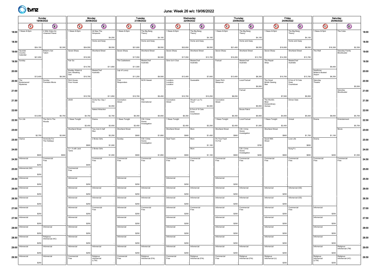

## June: Week 26 w/c 19/06/2022

|                  |                                            | Sunday<br>19/06/2022              |                                |            | Monday<br>20/06/2022                    |            |                              |                         | Tuesday<br>21/06/2022 |                                      |            |                        | Wednesday<br>22/06/2022 |                                |            | Thursday<br>23/06/2022     |                   |                                |                   | Friday<br>24/06/2022               |          |                          |            | Saturday<br>25/06/2022                           |          |                                |         |       |
|------------------|--------------------------------------------|-----------------------------------|--------------------------------|------------|-----------------------------------------|------------|------------------------------|-------------------------|-----------------------|--------------------------------------|------------|------------------------|-------------------------|--------------------------------|------------|----------------------------|-------------------|--------------------------------|-------------------|------------------------------------|----------|--------------------------|------------|--------------------------------------------------|----------|--------------------------------|---------|-------|
|                  | $\bm{\mathsf{\odot}}$<br>$\bm{\mathsf{O}}$ |                                   |                                | $\bigcirc$ |                                         | $\bigcirc$ | $\bigcirc$                   |                         | $\bigcirc$            |                                      | $\bigcirc$ |                        | $\odot$                 |                                | $\bigcirc$ |                            | $\bm{\bm{\odot}}$ |                                | $\bm{\mathsf{O}}$ |                                    | $\odot$  |                          | $\bigcirc$ |                                                  | $\odot$  |                                |         |       |
|                  | 18:00 <sup>1</sup> News At 6pm             | 2 Wild: Eden-An<br>Untamed Planet |                                |            | 1 News At 6pm                           |            | All New The<br>Simpsons      | 1 News At 6pm           |                       | The Big Bang<br>Theory               |            | 1 News At 6pm          |                         | The Big Bang<br>Theory         |            | 1 News At 6pm              |                   | The Big Bang<br>Theory         |                   | 1 News At 6pm                      |          | The Big Bang<br>Theory   |            | 1 News At 6pm                                    |          | The Cube                       |         | 18:00 |
| 18:30            |                                            |                                   |                                |            |                                         |            | \$4,250<br>Home and Away     |                         |                       | Home and Away                        | \$4,100    |                        |                         | Home and Away                  | \$4,100    |                            |                   | Home and Away                  | \$4,100           |                                    |          | Home and Away            | \$4,100    |                                                  |          |                                |         | 18:30 |
|                  |                                            | \$24,150                          |                                | \$2,300    |                                         | \$24,550   | \$8,550                      |                         | \$21,600              |                                      | \$8,550    |                        | \$22,650                |                                | \$8,550    |                            | \$21,400          |                                | \$8,550           |                                    | \$19,000 |                          | \$8,550    |                                                  | \$16,300 |                                | \$2,350 |       |
|                  | 19:00 Nyundai<br>Country<br>Calendar       |                                   | <b>Britain's Got</b><br>Talent |            | Seven Sharp                             |            | Shortland Street             | Seven Sharp             |                       | Shortland Street                     |            | Seven Sharp            |                         | Shortland Street               |            | Seven Sharp                |                   | Shortland Street               |                   | Seven Sharp                        |          | Shortland Street         |            | The Wall                                         |          | Saturday Family<br>Blockbuster |         | 19:00 |
| 19:30            | Sunday                                     | \$21,650                          |                                |            | Fair Go                                 | \$19,300   |                              | The Casketeers          | \$17,050              | MasterChef                           | \$9,500    | Give Us A Clue         | \$17,050                | MasterChef                     | \$13,700   | Factual                    | \$16,200          | MasterChef                     | \$13,700          | The Repair                         | \$14,350 | MasterChef               | \$13,700   |                                                  |          |                                |         | 19:30 |
|                  |                                            |                                   |                                |            |                                         | \$14,700   | \$11,850                     |                         | \$11,500              | Australia                            |            |                        |                         | Australia                      |            |                            |                   | Australia                      |                   | Shop                               |          | Australia                |            |                                                  | \$9,400  |                                |         |       |
| 20:00            |                                            |                                   |                                |            | Bradley Walsh &<br>Son: Breaking<br>Dad |            | MasterChef<br>Australia      | Lap of Luxury           |                       |                                      |            |                        |                         |                                |            |                            |                   |                                |                   |                                    |          |                          |            | Heathrow:<br><b>Britain's Busiest</b><br>Airport |          |                                |         | 20:00 |
| $20:30$ The      | Brokenwood                                 | \$13,400                          | Sunday<br>Premiere Movie       | \$8,300    | Rich House.<br>Poor House               | \$10,700   |                              | First<br>Responders     | \$11,250              | <b>NCIS Hawaii</b>                   | \$9,500    | Location.<br>Location. | \$13,400                | Guessable                      | \$7,600    | Super Rich<br>Sleepover    | \$13,400          | Local Factual                  | \$8,300           | The Great<br><b>British Sewing</b> | \$10,700 | 8 Out of 10 Cats<br>Does | \$13,700   | Saturday<br>Theatre <sup>®</sup>                 | \$6,350  |                                |         | 20:30 |
|                  | Mysteries                                  |                                   |                                |            |                                         |            |                              |                         |                       |                                      |            | Location               |                         |                                |            |                            |                   |                                | \$9,950           | Bee                                |          | Countdown                |            |                                                  |          |                                | \$5,500 |       |
| 21:00            |                                            |                                   |                                |            |                                         | \$10,700   |                              |                         | \$10,700              |                                      |            |                        | \$10,700                |                                |            |                            |                   | Factual                        |                   |                                    | \$7,500  |                          |            |                                                  |          | Saturday<br>Blockbuster        |         | 21:00 |
| 21:30            |                                            |                                   |                                |            | 20/20                                   |            | \$11,850<br>Aroha Nui: Say I | Coronation<br>Street    |                       | FBI:<br>International                | \$9,450    | Coronation<br>Street   |                         | Would I Lie To<br>You?         | \$10,250   | Coronation<br>Street       | \$8,050           |                                |                   | The World's<br>Most                |          | Dinner Date              | \$9,950    |                                                  |          |                                |         | 21:30 |
|                  |                                            |                                   |                                |            |                                         |            | \$4,950<br>Naked Attraction  |                         |                       |                                      |            |                        |                         | 8 Out of 10 Cats               | \$4,500    |                            |                   |                                | \$9,950           | Extraordinary<br>Homes             |          |                          |            |                                                  |          |                                |         |       |
| 22:00            |                                            | \$12,050                          |                                | \$6,750    |                                         | \$4,750    | \$2,700                      |                         | \$6,350               |                                      | \$5,650    |                        | \$6,350                 | Does<br>Countdown              |            |                            | \$6,350           | Booze Patrol                   | \$9,950           |                                    | \$4,000  |                          | \$5,000    |                                                  | \$8,050  |                                | \$5,750 | 22:00 |
| 22:30   For Life |                                            |                                   | The Girl In The<br>Woods       |            | 1 News Tonight                          |            | Drama                        | 1 News Tonight          |                       | CSI: Crime<br>Scene                  |            | 1 News Tonight         |                         |                                |            | 1 News Tonight             |                   | Local Factual                  |                   | 1 News Tonight                     |          | Unreal                   |            | Drama                                            |          | Entertainment                  |         | 22:30 |
|                  |                                            |                                   |                                |            | <b>Shortland Street</b>                 | \$2,450    | \$2,650<br>Two And A Half    | <b>Shortland Street</b> | \$2,450               | nvestigation                         |            | Shortland Street       | \$2,450                 | Mom                            | \$2,250    | Shortland Street           | \$2,450           | CSI: Crime                     | \$1,000           | Shortland Street                   | \$2,450  |                          |            |                                                  |          | Movie                          | \$5,750 |       |
| 23:00            |                                            | \$2,750                           |                                | \$2,000    |                                         |            | \$2,250                      |                         | \$900                 |                                      | \$1,850    |                        | \$900                   |                                | \$1,450    |                            | \$900             | Scene<br>Investigation         |                   |                                    | \$900    |                          | \$1,700    |                                                  | \$1,100  |                                |         | 23:00 |
| 23:30            | Clarice                                    |                                   | Homicide For<br>The Holidays   |            |                                         |            | 2 Broke Girls                | Sunday                  |                       | CSI: Crime<br>Scene<br>Investigation |            | Seal Team              |                         | Mom                            |            | It's Your Fault<br>I'm Fat |                   |                                |                   | Good With<br>Wood                  |          | Love Life                |            | Drama                                            |          |                                |         | 23:30 |
| 24:00            |                                            |                                   |                                |            | $Q + A$ with Jack                       | \$900      | \$1,000<br>2 Broke Girls     |                         |                       |                                      |            |                        |                         | Mom                            | \$1,100    |                            |                   | CSI: Crime                     | \$700             |                                    |          | Kung Fu                  | \$650      |                                                  |          |                                |         | 24:00 |
|                  |                                            | \$600                             |                                | \$900      | Tame                                    |            | \$1,000                      |                         | \$900                 |                                      | \$1,850    |                        | \$900                   |                                | \$1,100    |                            | \$900             | Scene<br>Investigation         | \$450             |                                    | \$900    |                          | \$650      |                                                  | \$450    |                                | \$1,550 |       |
| 24:30            | Infomercial                                |                                   | Commercial<br>Free             |            |                                         |            | Commercial<br>Free           | Commercial<br>Free      |                       | Commercial<br>Free                   |            | Commercial<br>Free     |                         | Commercial<br>Free             |            | Commercial<br>Free         |                   | Commercial<br>Free             |                   | Commercial<br>Free                 |          | Commercial<br>Free       |            | Commercial<br>Free                               |          | Commercial<br>Free             |         | 24:30 |
| 25:00            | Infomercial (AH)                           | \$250                             |                                |            | Commercial<br>Free                      | \$400      |                              |                         |                       |                                      |            |                        |                         |                                |            |                            |                   |                                |                   |                                    |          |                          |            |                                                  |          |                                |         | 25:00 |
|                  |                                            | \$250                             |                                |            |                                         |            |                              |                         |                       |                                      |            |                        |                         |                                |            |                            |                   |                                |                   |                                    |          |                          |            |                                                  |          |                                |         |       |
| 25:30            | Infomercial                                |                                   |                                |            | Infomercial                             | \$250      |                              | Infomercial             | \$250                 |                                      |            | Infomercial            | \$250                   |                                |            | Infomercial                |                   |                                |                   |                                    |          |                          |            |                                                  |          |                                |         | 25:30 |
|                  | 26:00   Infomercial                        | \$250                             |                                |            | Infomercial                             |            | Infomercial                  | Infomercial             |                       | Infomercial                          |            | Infomercial            |                         | Infomercial                    |            | Infomercial                | \$250             | Infomercial                    |                   | Infomercial                        |          | Infomercial (GS)         |            |                                                  |          |                                |         | 26:00 |
|                  | Infomercial                                | \$250                             |                                |            | Infomercial                             | \$250      | Infomercial                  | Infomercial             | \$250                 | Infomercial                          |            | Infomercial            | \$250                   | Infomercial                    |            | Infomercial                | \$250             | Infomercial                    |                   | Infomercial                        | \$250    | Infomercial (GS)         |            |                                                  |          |                                |         |       |
| 26:30            |                                            | \$250                             |                                |            |                                         | \$250      |                              |                         | \$250                 |                                      |            |                        | \$250                   |                                |            |                            | \$250             |                                |                   |                                    | \$250    |                          |            |                                                  |          |                                |         | 26:30 |
|                  | 27:00 Informercial                         |                                   |                                |            | Infomercial                             |            | Commercial<br>Free           | Infomercial             |                       | Commercial<br>Free                   |            | Infomercial            |                         | Commercial<br>Free             |            | Infomercial                |                   | Commercial<br>Free             |                   | Infomercial                        |          | Commercial<br>Free       |            | Infomercial                                      |          |                                |         | 27:00 |
| 27:30            | Infomercial                                | \$250                             |                                |            | Infomercial                             | \$250      |                              | Infomercial             | \$250                 |                                      |            | Infomercial            | \$250                   |                                |            | Infomercial                | \$250             |                                |                   | Infomercial                        | \$250    |                          |            | Infomercial                                      | \$250    |                                |         | 27:30 |
|                  |                                            | \$250                             |                                |            |                                         | \$250      |                              |                         | \$250                 |                                      |            |                        | \$250                   |                                |            |                            | \$250             |                                |                   |                                    | \$250    |                          |            |                                                  | \$250    |                                |         |       |
|                  | $28:00$   Informercial                     |                                   | Infomercial                    |            | Infomercial                             |            |                              | Infomercial             |                       |                                      |            | Infomercial            |                         |                                |            | Infomercial                |                   |                                |                   | Infomercial                        |          |                          |            | Infomercial                                      |          |                                |         | 28:00 |
| 28:30            | Infomercial                                | \$250                             | Religious<br>Infomercial (HC)  |            | Infomercial                             | \$250      |                              | Infomercial             | \$250                 |                                      |            | Infomercial            | \$250                   |                                |            | Infomercial                | \$250             |                                |                   | Infomercial                        | \$250    |                          |            | Infomercial                                      | \$250    |                                |         | 28:30 |
|                  |                                            | \$250                             |                                |            |                                         | \$250      |                              |                         | \$250                 |                                      |            |                        | \$250                   |                                |            |                            | \$250             |                                |                   |                                    | \$250    |                          |            |                                                  | \$250    |                                |         |       |
|                  | 29:00   Infomercial                        |                                   | Infomercial                    |            | Infomercial                             |            | Infomercial                  | Infomercial             |                       | Infomercial                          |            | Infomercial            |                         | Infomercial                    |            | Infomercial                |                   | Infomercial                    |                   | Infomercial                        |          |                          |            | Infomercial                                      |          | Religious<br>Infomercial (TM)  |         | 29:00 |
|                  | 29:30 Infomercial                          | \$250                             | Infomercial                    |            | Commercial<br>Free                      | \$250      | Religious<br>Infomercial     | Commercial<br>Free      | \$250                 | Religious<br>Infomercial (FIA)       |            | Commercial<br>Free     | \$250                   | Religious<br>Infomercial (FIA) |            | Commercial<br>Free         | \$250             | Religious<br>Infomercial (FIA) |                   | Religious<br>Infomercial (IJ)      | \$250    |                          |            | Religious<br>Infomercial<br>(LTW)                | \$250    | Religious<br>Infomercial (HC)  |         | 29:30 |
|                  |                                            | \$250                             |                                |            |                                         |            | (LTW)                        |                         |                       |                                      |            |                        |                         |                                |            |                            |                   |                                |                   |                                    | \$250    |                          |            |                                                  | \$250    |                                |         |       |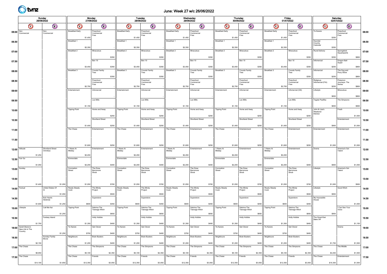# June: Week 27 w/c 26/06/2022

|                                  | Sunday<br>26/06/2022                              |          |                               | Monday<br>27/06/2022   |          |                                 |         | <b>Tuesday</b><br>28/06/2022 |          |                                 |         | Wednesday<br>29/06/2022 |          |                                 |         | Thursday<br>30/06/2022 |          |                                 |         | Friday<br>01/07/2022   |          |                                 |         | Saturday<br>02/07/2022              |          |                                    |         |       |
|----------------------------------|---------------------------------------------------|----------|-------------------------------|------------------------|----------|---------------------------------|---------|------------------------------|----------|---------------------------------|---------|-------------------------|----------|---------------------------------|---------|------------------------|----------|---------------------------------|---------|------------------------|----------|---------------------------------|---------|-------------------------------------|----------|------------------------------------|---------|-------|
|                                  | $\bm{\mathsf{O}}$                                 |          | $\bigcirc$                    | $\bm{\mathsf{O}}$      |          | $\circledcirc$                  |         | $\bm{\mathsf{O}}$            |          | $\odot$                         |         | $\bullet$               |          | $\odot$                         |         | $\bm{\mathsf{O}}$      |          | $\odot$                         |         | $\bullet$              |          | $\odot$                         |         | $\bigcirc$                          |          | $\odot$                            |         |       |
| $06:00$ $\sqrt{\frac{Non}{Con}}$ | Commercial                                        |          | Non<br>Commercial             | <b>Breakfast Early</b> | \$1,450  | Preschool<br>Commercial<br>Free |         | <b>Breakfast Early</b>       | \$1,450  | Preschool<br>Commercial<br>Free |         | <b>Breakfast Early</b>  | \$1,450  | Preschool<br>Commercial<br>Free |         | <b>Breakfast Early</b> | \$1,450  | Preschool<br>Commercial<br>Free |         | <b>Breakfast Early</b> | \$1,450  | Preschool<br>Commercial<br>Free |         | Te Karere                           | \$350    | Preschool<br>Commercial<br>Free    |         | 06:00 |
| 06:30                            |                                                   |          |                               | Breakfast 1            | \$2,350  |                                 |         | Breakfast 1                  | \$2,350  |                                 |         | Breakfast 1             | \$2,350  |                                 |         | Breakfast 1            | \$2,350  |                                 |         | Breakfast 1            | \$2,350  |                                 |         | Hyundai<br>Country<br>Calendar      | \$350    |                                    |         | 06:30 |
| 07:00                            |                                                   |          |                               | Breakfast 2            |          | Miraculous                      |         | Breakfast 2                  |          | Miraculous                      |         | Breakfast 2             |          | Miraculous                      |         | Breakfast 2            |          | Miraculous                      |         | Breakfast 2            |          | Miraculous                      |         | Rural Delivery                      |          | Spongebob<br>Squarepants           |         | 07:00 |
|                                  |                                                   |          |                               |                        |          |                                 | \$350   |                              |          |                                 | \$350   |                         |          |                                 | \$350   |                        |          |                                 | \$350   |                        |          |                                 | \$350   |                                     | \$350    |                                    | \$800   |       |
| 07:30                            |                                                   |          |                               |                        |          | Ben 10                          |         |                              |          | Ben 10                          |         |                         |          | Ben 10                          |         |                        |          | Ben 10                          |         |                        |          | Ben 10                          |         | Infomercial                         |          | Dragon Ball<br>Super               |         | 07:30 |
| 08:00                            |                                                   |          |                               | Breakfast 3            | \$3,450  | Croods Family                   | \$350   | Breakfast 3                  | \$3,450  | Croods Family                   | \$350   | Breakfast 3             | \$3,450  | Croods Family                   | \$350   | Breakfast 3            | \$3,450  | Croods Family                   | \$350   | Breakfast 3            | \$3,450  | Croods Family                   | \$350   | Infomercial                         | \$250    | The Dog and                        | \$800   | 08:00 |
|                                  |                                                   |          |                               |                        |          | Tree                            | \$350   |                              |          | Tree                            | \$350   |                         |          | Tree                            | \$350   |                        |          | Tree                            | \$350   |                        |          | Tree                            | \$350   |                                     | \$250    | Pony Show                          | \$800   |       |
| 08:30                            |                                                   |          |                               |                        |          | Preschool<br>Commercial<br>Free |         |                              |          | Preschool<br>Commercial<br>Free |         |                         |          | Preschool<br>Commercial<br>Free |         |                        |          | Preschool<br>Commercial<br>Free |         |                        |          | Preschool<br>Commercial<br>Free |         | Religious<br>Infomercial (FIA)      |          | Pokemon<br>Journeys: The<br>Series |         | 08:30 |
| 09:00                            |                                                   |          |                               | Entertainment          | \$2,750  | Infomercial                     |         | Entertainment                | \$2,750  | Infomercial                     |         | Entertainment           | \$2,750  | Infomercial                     |         | Entertainment          | \$2,750  | Infomercial                     |         | Entertainment          | \$2,750  | Infomercial (GS)                |         | Lifestyle                           | \$250    | Miraculous                         | \$800   | 09:00 |
|                                  |                                                   |          |                               |                        |          |                                 |         |                              |          |                                 |         |                         |          |                                 |         |                        |          |                                 |         |                        |          |                                 |         |                                     | \$650    |                                    | \$800   |       |
| 09:30                            |                                                   |          |                               |                        |          | Les Mills                       |         |                              |          | Les Mills                       |         |                         |          | Les Mills                       |         |                        |          | Les Mills                       |         |                        |          | Les Mills                       |         | Tagata Pasifika                     |          | The Simpsons                       |         | 09:30 |
|                                  |                                                   |          |                               |                        | \$1,150  |                                 |         |                              | \$1,150  |                                 |         |                         | \$1,150  |                                 |         |                        | \$1,150  |                                 |         |                        | \$1,150  |                                 |         |                                     | \$650    |                                    | \$900   |       |
| 10:00                            |                                                   |          |                               | <b>Tipping Point</b>   |          | Home and Away                   |         | <b>Tipping Point</b>         |          | Home and Away                   |         | <b>Tipping Point</b>    |          | Home and Away                   |         | <b>Tipping Point</b>   |          | Home and Away                   |         | <b>Tipping Point</b>   |          | Home and Away                   |         | John & Lisa's<br>Weekend<br>Kitchen |          | Fresh                              |         | 10:00 |
| 10:30                            |                                                   |          |                               |                        |          | <b>Shortland Street</b>         | \$250   |                              |          | Shortland Street                | \$250   |                         |          | Shortland Street                | \$250   |                        |          | Shortland Street                | \$250   |                        |          | Shortland Street                | \$250   |                                     |          | Entertainment                      | \$1,500 | 10:30 |
|                                  |                                                   |          |                               |                        | \$1,400  |                                 | \$250   |                              | \$1,400  |                                 | \$250   |                         | \$1,400  |                                 | \$250   |                        | \$1,400  |                                 | \$250   |                        | \$1,400  |                                 | \$250   |                                     | \$900    |                                    | \$1,000 |       |
| 11:00                            |                                                   |          |                               | The Chase              |          | Entertainment                   |         | The Chase                    |          | Entertainment                   |         | The Chase               |          | Entertainment                   |         | The Chase              |          | Entertainment                   |         | The Chase              |          | Entertainment                   |         | Entertainment                       |          | Entertainment                      |         | 11:00 |
| 11:30                            |                                                   |          |                               |                        |          |                                 |         |                              |          |                                 |         |                         |          |                                 |         |                        |          |                                 |         |                        |          |                                 |         |                                     |          |                                    |         | 11:30 |
|                                  |                                                   |          |                               |                        | \$1,600  |                                 | \$250   |                              | \$1,600  |                                 | \$250   |                         | \$1,600  |                                 | \$250   |                        | \$1,600  |                                 | \$250   |                        | \$1,600  |                                 | \$250   |                                     | \$1,000  |                                    | \$1,000 |       |
| 12:00                            | Attitude                                          |          | Shortland Street<br>Omnibus   | 1 News At<br>Midday    |          | Entertainment                   |         | 1 News At<br>Midday          |          | Entertainment                   |         | 1 News At<br>Midday     |          | Entertainment                   |         | 1 News At<br>Midday    |          | Entertainment                   |         | 1 News At<br>Midday    |          | Entertainment                   |         | Drama                               |          | America's Got<br>Talent            |         | 12:00 |
|                                  |                                                   | \$1,250  |                               |                        | \$2,450  |                                 |         |                              | \$2,450  |                                 |         |                         | \$2,450  |                                 |         |                        | \$2,450  |                                 |         |                        | \$2,450  |                                 |         |                                     |          |                                    |         |       |
| 12:30                            | Fair Go                                           |          |                               | Emmerdale              |          |                                 |         | Emmerdale                    |          |                                 |         | Emmerdale               |          |                                 |         | Emmerdale              |          |                                 |         | Emmerdale              |          |                                 |         |                                     |          |                                    |         | 12:30 |
| 13:00                            | Sunday                                            | \$1,050  |                               | Coronation<br>Street   | \$2,200  | The Drew                        | \$400   | Coronation<br>Street         | \$2,200  | The Drew                        | \$400   | Coronation<br>Street    | \$2,200  | The Drew                        | \$400   | Coronation<br>Street   | \$2,200  | The Drew                        | \$400   | Coronation<br>Street   | \$2,200  | The Drew                        | \$400   | Lifestyle                           | \$900    | America's Got<br>Talent            | \$1,050 | 13:00 |
|                                  |                                                   |          |                               |                        |          | Barrymore<br>Show               |         |                              |          | Barrymore<br>Show               |         |                         |          | Barrymore<br>Show               |         |                        |          | Barrymore<br>Show               |         |                        |          | Barrymore<br>Show               |         |                                     |          |                                    |         |       |
| 13:30                            |                                                   |          |                               |                        |          |                                 |         |                              |          |                                 |         |                         |          |                                 |         |                        |          |                                 |         |                        |          |                                 |         |                                     |          |                                    |         | 13:30 |
| 14:00                            | Factual                                           | \$1,400  | \$1,050<br>United States Of   | Ready Steady           | \$1,050  | The Mindy                       | \$700   | Ready Steady                 | \$1,050  | The Mindy                       | \$700   | Ready Steady            | \$1,050  | The Mindy                       | \$700   | Ready Steady           | \$1,050  | The Mindy                       | \$700   | Ready Steady           | \$1,050  | The Mindy                       | \$700   | Lifestyle                           | \$1,000  | Good Witch                         | \$900   | 14:00 |
|                                  |                                                   |          | \$1,050                       | Cook                   |          | Project                         | \$500   | Cook                         |          | Project                         | \$500   | Cook                    |          | Project                         | \$500   | Cook                   |          | Project                         | \$500   | Cook                   |          | Project                         | \$500   |                                     | \$950    |                                    |         |       |
| 14:30                            |                                                   |          | <b>Bob Hearts</b><br>Abishola |                        |          | Superstore                      |         |                              |          | Superstore                      |         |                         |          | Superstore                      |         |                        |          | Superstore                      |         |                        |          | Superstore                      |         | My Impossible<br>House              |          |                                    |         | 14:30 |
|                                  |                                                   | \$1,600  | \$1,250                       |                        | \$600    |                                 | \$450   |                              | \$600    |                                 | \$450   |                         | \$600    |                                 | \$450   |                        | \$600    |                                 | \$450   |                        | \$600    |                                 | \$450   |                                     |          |                                    | \$1,000 |       |
| 15:00                            | Lifestyle                                         |          | Call Me Kat                   | <b>Tipping Point</b>   |          | Sabrina The<br>Teenage Witch    |         | <b>Tipping Point</b>         |          | Sabrina The<br>Teenage Witch    |         | <b>Tipping Point</b>    |          | Sabrina The<br>Teenage Witch    |         | <b>Tipping Point</b>   |          | Sabrina The<br>Teenage Witch    |         | <b>Tipping Point</b>   |          | Sabrina The<br>Teenage Witch    |         |                                     |          | I Can See Your<br>Voice            |         | 15:00 |
| 15:30                            |                                                   |          | \$1,250<br>Fantasy Island     |                        |          | <b>Holly Hobbie</b>             | \$650   |                              |          | <b>Holly Hobbie</b>             | \$650   |                         |          | <b>Holly Hobbie</b>             | \$650   |                        |          | <b>Holly Hobbie</b>             | \$650   |                        |          | <b>Holly Hobbie</b>             | \$650   | The Great Kiwi<br>Bake Off          | \$950    |                                    |         | 15:30 |
|                                  |                                                   | \$1,750  |                               |                        | \$1,350  |                                 | \$400   |                              | \$1,350  |                                 | \$400   |                         | \$1,350  |                                 | \$400   |                        | \$1,350  |                                 | \$400   |                        | \$1,350  |                                 | \$400   |                                     |          |                                    | \$1,150 |       |
|                                  | 16:00 Sarah Beeny's<br>New Life In The<br>Country |          |                               | Te Karere              |          | Get Clever                      |         | Te Karere                    |          | Get Clever                      |         | Te Karere               |          | Get Clever                      |         | Te Karere              |          | Get Clever                      |         | Te Karere              |          | Get Clever                      |         |                                     |          | Drama                              |         | 16:00 |
| 16:30                            |                                                   |          | \$1,250<br>Sunday Family      | Neighbours             | \$750    | <b>Brain Busters</b>            | \$400   | Neighbours                   | \$750    | <b>Brain Busters</b>            | \$400   | Neighbours              | \$750    | <b>Brain Busters</b>            | \$400   | Neighbours             | \$750    | <b>Brain Busters</b>            | \$400   | Neighbours             | \$750    | <b>Brain Busters</b>            | \$400   |                                     |          |                                    |         | 16:30 |
|                                  |                                                   | \$2,150  | Movie                         |                        | \$1,200  |                                 | \$400   |                              | \$1,200  |                                 | \$400   |                         | \$1,200  |                                 | \$400   |                        | \$1,200  |                                 | \$400   |                        | \$1,200  |                                 | \$400   |                                     | \$1,750  |                                    | \$1,500 |       |
|                                  | $17:00$ The Chase                                 |          |                               | The Chase              |          | The Simpsons                    |         | The Chase                    |          | The Simpsons                    |         | The Chase               |          | The Simpsons                    |         | The Chase              |          | The Simpsons                    |         | The Chase              |          | The Simpsons                    |         | The Chase                           |          | The Middle                         |         | 17:00 |
|                                  |                                                   | \$6,950  |                               |                        | \$5,100  |                                 | \$2,350 |                              | \$5,100  |                                 | \$2,350 |                         | \$5,100  |                                 | \$2,350 |                        | \$5,100  |                                 | \$2,350 |                        | \$5,100  |                                 | \$2,350 |                                     | \$4,450  |                                    | \$1,500 |       |
|                                  | 17:30 The Chase                                   |          |                               | The Chase              |          | Friends                         |         | The Chase                    |          | Friends                         |         | The Chase               |          | Friends                         |         | The Chase              |          | Friends                         |         | The Chase              |          | Friends                         |         | The Chase                           |          | Entertainment                      |         | 17:30 |
|                                  |                                                   | \$14,100 | \$1,650                       |                        | \$12,350 |                                 | \$3,050 |                              | \$12,350 |                                 | \$3,050 |                         | \$12,350 |                                 | \$3,050 |                        | \$12,350 |                                 | \$3,050 |                        | \$12,350 |                                 | \$3,050 |                                     | \$10,300 |                                    | \$1,500 |       |